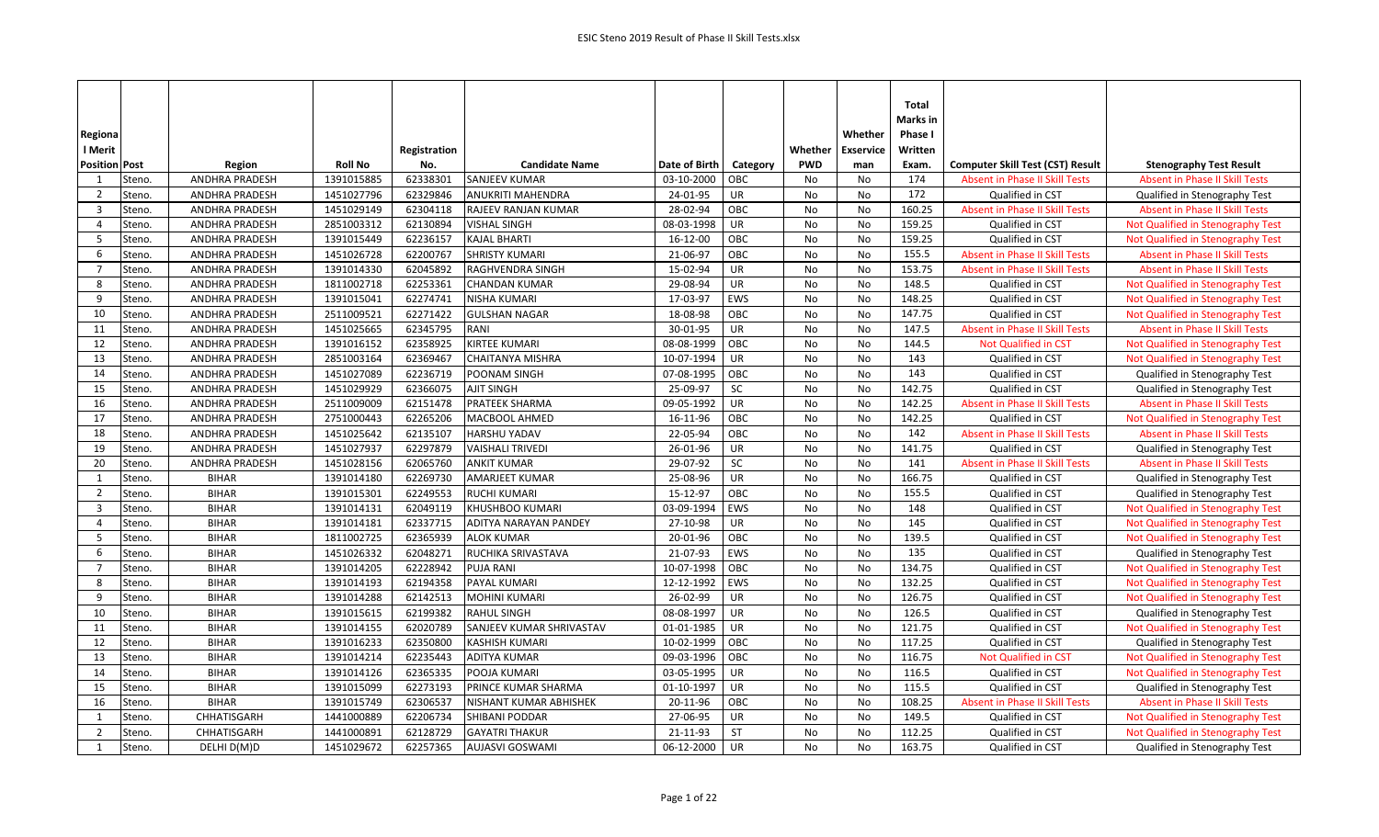| Regiona                  |                       |                |              |                          |               |            |            | Whether          | Total<br>Marks in<br>Phase I |                                         |                                       |
|--------------------------|-----------------------|----------------|--------------|--------------------------|---------------|------------|------------|------------------|------------------------------|-----------------------------------------|---------------------------------------|
| I Merit                  |                       |                | Registration |                          |               |            | Whether    | <b>Exservice</b> | Written                      |                                         |                                       |
| <b>Position Post</b>     | Region                | <b>Roll No</b> | No.          | <b>Candidate Name</b>    | Date of Birth | Category   | <b>PWD</b> | man              | Exam.                        | <b>Computer Skill Test (CST) Result</b> | <b>Stenography Test Result</b>        |
| 1<br>Steno.              | ANDHRA PRADESH        | 1391015885     | 62338301     | <b>SANJEEV KUMAR</b>     | 03-10-2000    | OBC        | No         | No               | 174                          | <b>Absent in Phase II Skill Tests</b>   | <b>Absent in Phase II Skill Tests</b> |
| Steno.<br>$\overline{2}$ | <b>ANDHRA PRADESH</b> | 1451027796     | 62329846     | <b>ANUKRITI MAHENDRA</b> | 24-01-95      | UR         | No         | No               | 172                          | Qualified in CST                        | Qualified in Stenography Test         |
| $\overline{3}$<br>Steno. | ANDHRA PRADESH        | 1451029149     | 62304118     | RAJEEV RANJAN KUMAR      | 28-02-94      | OBC        | No         | No               | 160.25                       | <b>Absent in Phase II Skill Tests</b>   | <b>Absent in Phase II Skill Tests</b> |
| $\overline{4}$<br>Steno. | ANDHRA PRADESH        | 2851003312     | 62130894     | VISHAL SINGH             | 08-03-1998    | <b>UR</b>  | No         | No               | 159.25                       | Qualified in CST                        | Not Qualified in Stenography Test     |
| 5<br>Steno.              | <b>ANDHRA PRADESH</b> | 1391015449     | 62236157     | KAJAL BHARTI             | 16-12-00      | OBC        | No         | No               | 159.25                       | Qualified in CST                        | Not Qualified in Stenography Test     |
| 6<br>Steno.              | <b>ANDHRA PRADESH</b> | 1451026728     | 62200767     | <b>SHRISTY KUMARI</b>    | 21-06-97      | OBC        | No         | No               | 155.5                        | <b>Absent in Phase II Skill Tests</b>   | <b>Absent in Phase II Skill Tests</b> |
| $\overline{7}$<br>Steno. | <b>ANDHRA PRADESH</b> | 1391014330     | 62045892     | RAGHVENDRA SINGH         | 15-02-94      | <b>UR</b>  | No         | No               | 153.75                       | <b>Absent in Phase II Skill Tests</b>   | <b>Absent in Phase II Skill Tests</b> |
| Steno.<br>8              | ANDHRA PRADESH        | 1811002718     | 62253361     | <b>CHANDAN KUMAR</b>     | 29-08-94      | UR         | No         | No               | 148.5                        | Qualified in CST                        | Not Qualified in Stenography Test     |
| 9<br>Steno.              | ANDHRA PRADESH        | 1391015041     | 62274741     | <b>NISHA KUMARI</b>      | 17-03-97      | EWS        | No         | No               | 148.25                       | Qualified in CST                        | Not Qualified in Stenography Test     |
| 10<br>Steno.             | ANDHRA PRADESH        | 2511009521     | 62271422     | <b>GULSHAN NAGAR</b>     | 18-08-98      | OBC        | No         | No               | 147.75                       | Qualified in CST                        | Not Qualified in Stenography Test     |
| 11<br>Steno.             | ANDHRA PRADESH        | 1451025665     | 62345795     | RANI                     | 30-01-95      | UR         | No         | No               | 147.5                        | <b>Absent in Phase II Skill Tests</b>   | <b>Absent in Phase II Skill Tests</b> |
| 12<br>Steno.             | <b>ANDHRA PRADESH</b> | 1391016152     | 62358925     | KIRTEE KUMARI            | 08-08-1999    | OBC        | No         | No               | 144.5                        | <b>Not Qualified in CST</b>             | Not Qualified in Stenography Test     |
| 13<br>Steno.             | ANDHRA PRADESH        | 2851003164     | 62369467     | CHAITANYA MISHRA         | 10-07-1994    | UR         | No         | No               | 143                          | Qualified in CST                        | Not Qualified in Stenography Test     |
| 14<br>Steno.             | <b>ANDHRA PRADESH</b> | 1451027089     | 62236719     | POONAM SINGH             | 07-08-1995    | OBC        | No         | No               | 143                          | Qualified in CST                        | Qualified in Stenography Test         |
| 15<br>Steno.             | ANDHRA PRADESH        | 1451029929     | 62366075     | <b>AJIT SINGH</b>        | 25-09-97      | SC         | No         | No               | 142.75                       | Qualified in CST                        | Qualified in Stenography Test         |
| 16<br>Steno.             | ANDHRA PRADESH        | 2511009009     | 62151478     | PRATEEK SHARMA           | 09-05-1992    | UR         | No         | No               | 142.25                       | Absent in Phase II Skill Tests          | <b>Absent in Phase II Skill Tests</b> |
| 17<br>Steno.             | ANDHRA PRADESH        | 2751000443     | 62265206     | MACBOOL AHMED            | 16-11-96      | OBC        | No         | No               | 142.25                       | Qualified in CST                        | Not Qualified in Stenography Test     |
| 18<br>Steno.             | <b>ANDHRA PRADESH</b> | 1451025642     | 62135107     | HARSHU YADAV             | 22-05-94      | OBC        | No         | No               | 142                          | <b>Absent in Phase II Skill Tests</b>   | <b>Absent in Phase II Skill Tests</b> |
| 19<br>Steno.             | <b>ANDHRA PRADESH</b> | 1451027937     | 62297879     | <b>VAISHALI TRIVEDI</b>  | 26-01-96      | UR         | No         | <b>No</b>        | 141.75                       | Qualified in CST                        | Qualified in Stenography Test         |
| 20<br>Steno.             | <b>ANDHRA PRADESH</b> | 1451028156     | 62065760     | <b>ANKIT KUMAR</b>       | 29-07-92      | SC         | No         | No               | 141                          | <b>Absent in Phase II Skill Tests</b>   | <b>Absent in Phase II Skill Tests</b> |
| 1<br>Steno.              | <b>BIHAR</b>          | 1391014180     | 62269730     | <b>AMARJEET KUMAR</b>    | 25-08-96      | UR         | No         | No               | 166.75                       | Qualified in CST                        | Qualified in Stenography Test         |
| $\overline{2}$<br>Steno. | <b>BIHAR</b>          | 1391015301     | 62249553     | <b>RUCHI KUMARI</b>      | 15-12-97      | OBC        | No         | <b>No</b>        | 155.5                        | Qualified in CST                        | Qualified in Stenography Test         |
| $\overline{3}$<br>Steno. | <b>BIHAR</b>          | 1391014131     | 62049119     | KHUSHBOO KUMARI          | 03-09-1994    | EWS        | No         | No               | 148                          | Qualified in CST                        | Not Qualified in Stenography Test     |
| $\overline{4}$<br>Steno. | <b>BIHAR</b>          | 1391014181     | 62337715     | ADITYA NARAYAN PANDEY    | 27-10-98      | UR         | No         | No               | 145                          | Qualified in CST                        | Not Qualified in Stenography Test     |
| Steno.<br>- 5            | <b>BIHAR</b>          | 1811002725     | 62365939     | <b>ALOK KUMAR</b>        | 20-01-96      | OBC        | No         | No               | 139.5                        | Qualified in CST                        | Not Qualified in Stenography Test     |
| 6<br>Steno.              | <b>BIHAR</b>          | 1451026332     | 62048271     | RUCHIKA SRIVASTAVA       | 21-07-93      | <b>EWS</b> | No         | No               | 135                          | Qualified in CST                        | Qualified in Stenography Test         |
| 7<br>Steno.              | <b>BIHAR</b>          | 1391014205     | 62228942     | <b>PUJA RANI</b>         | 10-07-1998    | OBC        | No         | No               | 134.75                       | Qualified in CST                        | Not Qualified in Stenography Test     |
| 8<br>Steno.              | <b>BIHAR</b>          | 1391014193     | 62194358     | PAYAL KUMARI             | 12-12-1992    | EWS        | No         | No               | 132.25                       | Qualified in CST                        | Not Qualified in Stenography Test     |
| 9<br>Steno.              | <b>BIHAR</b>          | 1391014288     | 62142513     | MOHINI KUMARI            | 26-02-99      | UR         | <b>No</b>  | No               | 126.75                       | Qualified in CST                        | Not Qualified in Stenography Test     |
| 10<br>Steno.             | <b>BIHAR</b>          | 1391015615     | 62199382     | <b>RAHUL SINGH</b>       | 08-08-1997    | UR         | No         | No               | 126.5                        | Qualified in CST                        | Qualified in Stenography Test         |
| 11<br>Steno.             | <b>BIHAR</b>          | 1391014155     | 62020789     | SANJEEV KUMAR SHRIVASTAV | 01-01-1985    | UR         | No         | No               | 121.75                       | Qualified in CST                        | Not Qualified in Stenography Test     |
| 12<br>Steno.             | <b>BIHAR</b>          | 1391016233     | 62350800     | KASHISH KUMARI           | 10-02-1999    | OBC        | No         | No               | 117.25                       | Qualified in CST                        | Qualified in Stenography Test         |
| Steno.<br>13             | <b>BIHAR</b>          | 1391014214     | 62235443     | <b>ADITYA KUMAR</b>      | 09-03-1996    | OBC        | No         | No               | 116.75                       | <b>Not Qualified in CST</b>             | Not Qualified in Stenography Test     |
| 14<br>Steno.             | <b>BIHAR</b>          | 1391014126     | 62365335     | POOJA KUMARI             | 03-05-1995    | UR         | No         | No               | 116.5                        | Qualified in CST                        | Not Qualified in Stenography Test     |
| 15<br>Steno.             | <b>BIHAR</b>          | 1391015099     | 62273193     | PRINCE KUMAR SHARMA      | 01-10-1997    | UR         | No         | No               | 115.5                        | Qualified in CST                        | Qualified in Stenography Test         |
| 16<br>Steno.             | <b>BIHAR</b>          | 1391015749     | 62306537     | NISHANT KUMAR ABHISHEK   | 20-11-96      | OBC        | No         | No               | 108.25                       | <b>Absent in Phase II Skill Tests</b>   | <b>Absent in Phase II Skill Tests</b> |
| 1<br>Steno.              | CHHATISGARH           | 1441000889     | 62206734     | SHIBANI PODDAR           | 27-06-95      | UR         | No         | No               | 149.5                        | Qualified in CST                        | Not Qualified in Stenography Test     |
| $\overline{2}$<br>Steno. | CHHATISGARH           | 1441000891     | 62128729     | <b>GAYATRI THAKUR</b>    | 21-11-93      | ST         | No         | No               | 112.25                       | Qualified in CST                        | Not Qualified in Stenography Test     |
| Steno.<br>1              | DELHI D(M)D           | 1451029672     | 62257365     | <b>AUJASVI GOSWAMI</b>   | 06-12-2000    | UR         | No         | <b>No</b>        | 163.75                       | Qualified in CST                        | Qualified in Stenography Test         |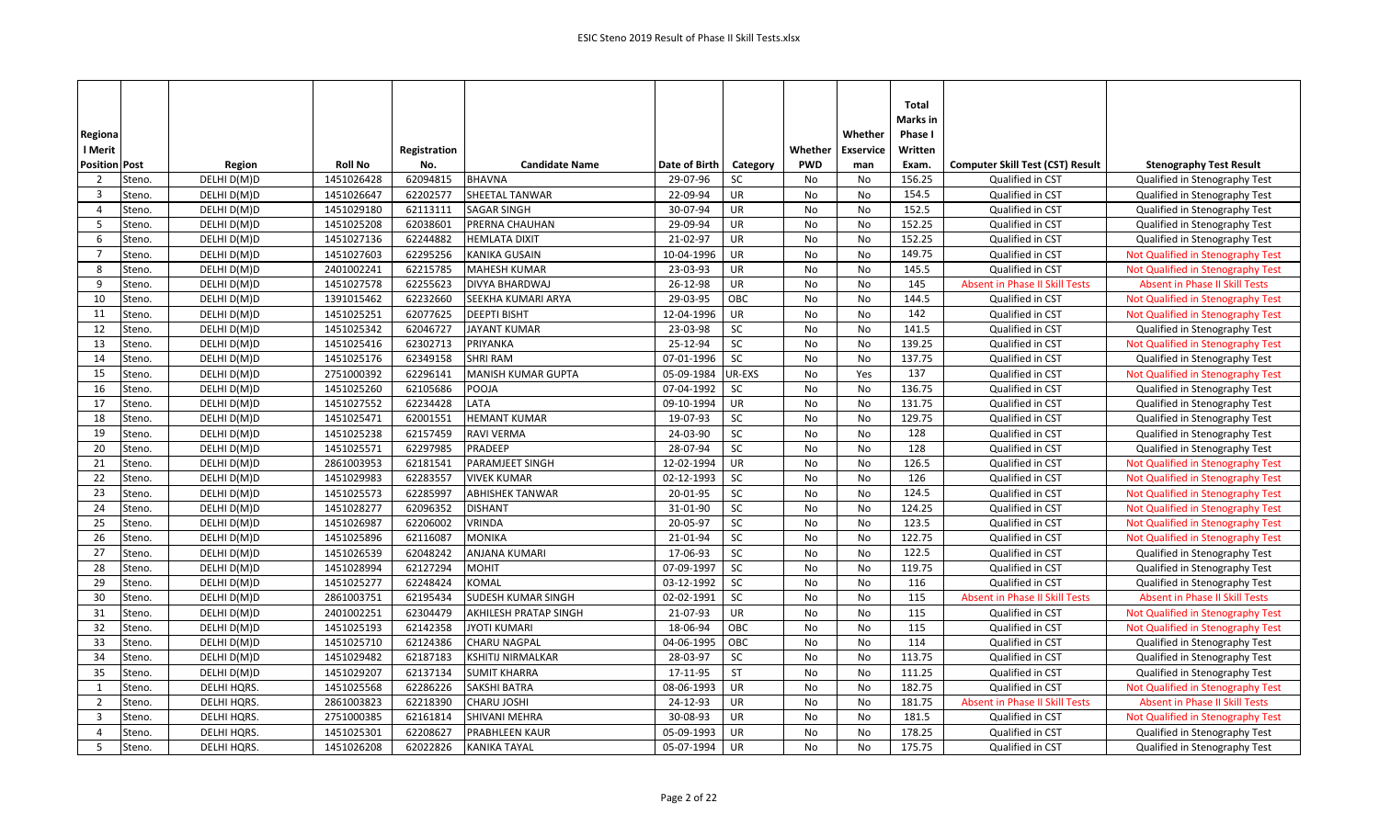|                         |        |             |                |              |                           |               |           |            |                  | Total          |                                         |                                       |
|-------------------------|--------|-------------|----------------|--------------|---------------------------|---------------|-----------|------------|------------------|----------------|-----------------------------------------|---------------------------------------|
|                         |        |             |                |              |                           |               |           |            |                  | Marks in       |                                         |                                       |
| Regiona                 |        |             |                |              |                           |               |           |            | Whether          | <b>Phase I</b> |                                         |                                       |
| I Merit                 |        |             |                | Registration |                           |               |           | Whether    | <b>Exservice</b> | Written        |                                         |                                       |
| <b>Position Post</b>    |        | Region      | <b>Roll No</b> | No.          | <b>Candidate Name</b>     | Date of Birth | Category  | <b>PWD</b> | man              | Exam.          | <b>Computer Skill Test (CST) Result</b> | <b>Stenography Test Result</b>        |
| $\overline{2}$          | Steno. | DELHI D(M)D | 1451026428     | 62094815     | <b>BHAVNA</b>             | 29-07-96      | SC        | No         | No               | 156.25         | Qualified in CST                        | Qualified in Stenography Test         |
| $\overline{\mathbf{3}}$ | Steno. | DELHI D(M)D | 1451026647     | 62202577     | <b>SHEETAL TANWAR</b>     | 22-09-94      | UR        | No         | No               | 154.5          | Qualified in CST                        | Qualified in Stenography Test         |
| $\overline{4}$          | Steno. | DELHI D(M)D | 1451029180     | 62113111     | <b>SAGAR SINGH</b>        | 30-07-94      | UR        | No         | No               | 152.5          | Qualified in CST                        | Qualified in Stenography Test         |
| -5                      | Steno. | DELHI D(M)D | 1451025208     | 62038601     | PRERNA CHAUHAN            | 29-09-94      | UR        | No         | No               | 152.25         | Qualified in CST                        | Qualified in Stenography Test         |
| 6                       | Steno. | DELHI D(M)D | 1451027136     | 62244882     | <b>HEMLATA DIXIT</b>      | 21-02-97      | UR        | No         | No               | 152.25         | Qualified in CST                        | Qualified in Stenography Test         |
| $\overline{7}$          | Steno. | DELHI D(M)D | 1451027603     | 62295256     | <b>KANIKA GUSAIN</b>      | 10-04-1996    | UR        | No         | No               | 149.75         | Qualified in CST                        | Not Qualified in Stenography Test     |
| -8                      | Steno. | DELHI D(M)D | 2401002241     | 62215785     | <b>MAHESH KUMAR</b>       | 23-03-93      | UR        | No         | No               | 145.5          | Qualified in CST                        | Not Qualified in Stenography Test     |
| 9                       | Steno. | DELHI D(M)D | 1451027578     | 62255623     | <b>DIVYA BHARDWAJ</b>     | 26-12-98      | <b>UR</b> | No         | <b>No</b>        | 145            | <b>Absent in Phase II Skill Tests</b>   | Absent in Phase II Skill Tests        |
| 10                      | Steno. | DELHI D(M)D | 1391015462     | 62232660     | SEEKHA KUMARI ARYA        | 29-03-95      | OBC       | No         | No               | 144.5          | Qualified in CST                        | Not Qualified in Stenography Test     |
| 11                      | Steno. | DELHI D(M)D | 1451025251     | 62077625     | <b>DEEPTI BISHT</b>       | 12-04-1996    | UR        | No         | No               | 142            | Qualified in CST                        | Not Qualified in Stenography Test     |
| 12                      | Steno. | DELHI D(M)D | 1451025342     | 62046727     | <b>JAYANT KUMAR</b>       | 23-03-98      | SC        | No         | <b>No</b>        | 141.5          | Qualified in CST                        | Qualified in Stenography Test         |
| 13                      | Steno. | DELHI D(M)D | 1451025416     | 62302713     | PRIYANKA                  | 25-12-94      | SC        | No         | No               | 139.25         | Qualified in CST                        | Not Qualified in Stenography Test     |
| 14                      | Steno. | DELHI D(M)D | 1451025176     | 62349158     | <b>SHRI RAM</b>           | 07-01-1996    | SC        | No         | No               | 137.75         | Qualified in CST                        | Qualified in Stenography Test         |
| 15                      | Steno. | DELHI D(M)D | 2751000392     | 62296141     | <b>MANISH KUMAR GUPTA</b> | 05-09-1984    | UR-EXS    | No         | Yes              | 137            | Qualified in CST                        | Not Qualified in Stenography Test     |
| 16                      | Steno. | DELHI D(M)D | 1451025260     | 62105686     | POOJA                     | 07-04-1992    | SC        | No         | No               | 136.75         | Qualified in CST                        | Qualified in Stenography Test         |
| 17                      | Steno. | DELHI D(M)D | 1451027552     | 62234428     | LATA                      | 09-10-1994    | UR        | No         | No               | 131.75         | Qualified in CST                        | Qualified in Stenography Test         |
| 18                      | Steno. | DELHI D(M)D | 1451025471     | 62001551     | <b>HEMANT KUMAR</b>       | 19-07-93      | SC        | No         | No               | 129.75         | Qualified in CST                        | Qualified in Stenography Test         |
| 19                      | Steno. | DELHI D(M)D | 1451025238     | 62157459     | <b>RAVI VERMA</b>         | 24-03-90      | SC        | No         | <b>No</b>        | 128            | Qualified in CST                        | Qualified in Stenography Test         |
| 20                      | Steno. | DELHI D(M)D | 1451025571     | 62297985     | PRADEEP                   | 28-07-94      | SC        | No         | No               | 128            | Qualified in CST                        | Qualified in Stenography Test         |
| 21                      | Steno. | DELHI D(M)D | 2861003953     | 62181541     | <b>PARAMJEET SINGH</b>    | 12-02-1994    | <b>UR</b> | No         | No               | 126.5          | Qualified in CST                        | Not Qualified in Stenography Test     |
| 22                      | Steno. | DELHI D(M)D | 1451029983     | 62283557     | <b>VIVEK KUMAR</b>        | 02-12-1993    | <b>SC</b> | No         | No               | 126            | Qualified in CST                        | Not Qualified in Stenography Test     |
| 23                      | Steno. | DELHI D(M)D | 1451025573     | 62285997     | <b>ABHISHEK TANWAR</b>    | 20-01-95      | SC        | No         | No               | 124.5          | Qualified in CST                        | Not Qualified in Stenography Test     |
| 24                      | Steno. | DELHI D(M)D | 1451028277     | 62096352     | <b>DISHANT</b>            | 31-01-90      | SC        | No         | No               | 124.25         | Qualified in CST                        | Not Qualified in Stenography Test     |
| 25                      | Steno. | DELHI D(M)D | 1451026987     | 62206002     | <b>VRINDA</b>             | 20-05-97      | SC        | No         | No               | 123.5          | Qualified in CST                        | Not Qualified in Stenography Test     |
| 26                      | Steno. | DELHI D(M)D | 1451025896     | 62116087     | <b>MONIKA</b>             | 21-01-94      | SC        | No         | No               | 122.75         | Qualified in CST                        | Not Qualified in Stenography Test     |
| 27                      | Steno. | DELHI D(M)D | 1451026539     | 62048242     | <b>ANJANA KUMARI</b>      | 17-06-93      | SC        | No         | No               | 122.5          | Qualified in CST                        | Qualified in Stenography Test         |
| 28                      | Steno. | DELHI D(M)D | 1451028994     | 62127294     | <b>MOHIT</b>              | 07-09-1997    | SC        | No         | No               | 119.75         | Qualified in CST                        | Qualified in Stenography Test         |
| 29                      | Steno. | DELHI D(M)D | 1451025277     | 62248424     | <b>KOMAL</b>              | 03-12-1992    | SC        | No         | No               | 116            | Qualified in CST                        | Qualified in Stenography Test         |
| 30                      | Steno. | DELHI D(M)D | 2861003751     | 62195434     | SUDESH KUMAR SINGH        | 02-02-1991    | SC        | No         | <b>No</b>        | 115            | Absent in Phase II Skill Tests          | <b>Absent in Phase II Skill Tests</b> |
| 31                      | Steno. | DELHI D(M)D | 2401002251     | 62304479     | AKHILESH PRATAP SINGH     | 21-07-93      | UR        | No         | No               | 115            | Qualified in CST                        | Not Qualified in Stenography Test     |
| 32                      | Steno. | DELHI D(M)D | 1451025193     | 62142358     | <b>JYOTI KUMARI</b>       | 18-06-94      | OBC       | No         | No               | 115            | Qualified in CST                        | Not Qualified in Stenography Test     |
| 33                      | Steno. | DELHI D(M)D | 1451025710     | 62124386     | CHARU NAGPAL              | 04-06-1995    | OBC       | No         | No               | 114            | Qualified in CST                        | Qualified in Stenography Test         |
| 34                      | Steno. | DELHI D(M)D | 1451029482     | 62187183     | <b>KSHITIJ NIRMALKAR</b>  | 28-03-97      | SC        | No         | No               | 113.75         | Qualified in CST                        | Qualified in Stenography Test         |
| 35                      | Steno. | DELHI D(M)D | 1451029207     | 62137134     | <b>SUMIT KHARRA</b>       | 17-11-95      | <b>ST</b> | No         | No               | 111.25         | Qualified in CST                        | Qualified in Stenography Test         |
| $\mathbf{1}$            | Steno. | DELHI HQRS. | 1451025568     | 62286226     | <b>SAKSHI BATRA</b>       | 08-06-1993    | UR        | No         | No               | 182.75         | Qualified in CST                        | Not Qualified in Stenography Test     |
| 2                       | Steno. | DELHI HQRS. | 2861003823     | 62218390     | <b>CHARU JOSHI</b>        | 24-12-93      | UR        | No         | No               | 181.75         | Absent in Phase II Skill Tests          | <b>Absent in Phase II Skill Tests</b> |
| -3                      | Steno. | DELHI HQRS. | 2751000385     | 62161814     | <b>SHIVANI MEHRA</b>      | 30-08-93      | UR        | No         | No               | 181.5          | Qualified in CST                        | Not Qualified in Stenography Test     |
| $\overline{4}$          | Steno. | DELHI HQRS. | 1451025301     | 62208627     | <b>PRABHLEEN KAUR</b>     | 05-09-1993    | <b>UR</b> | <b>No</b>  | <b>No</b>        | 178.25         | Qualified in CST                        | Qualified in Stenography Test         |
| 5                       | Steno. | DELHI HQRS. | 1451026208     | 62022826     | <b>KANIKA TAYAL</b>       | 05-07-1994    | UR        | No         | No               | 175.75         | Qualified in CST                        | Qualified in Stenography Test         |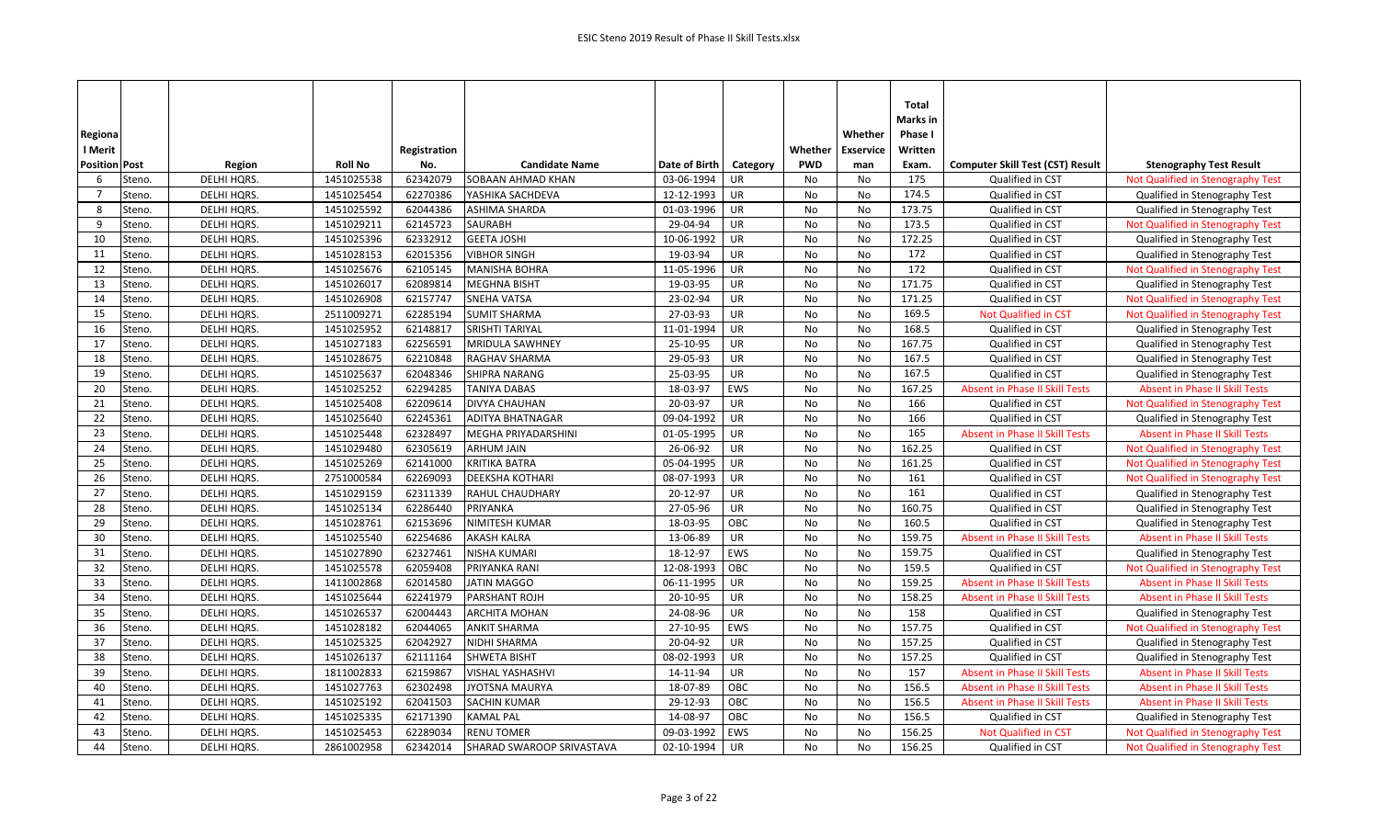|                          |             |                |              |                           |               |            |            |                  | Total    |                                         |                                       |
|--------------------------|-------------|----------------|--------------|---------------------------|---------------|------------|------------|------------------|----------|-----------------------------------------|---------------------------------------|
|                          |             |                |              |                           |               |            |            |                  | Marks in |                                         |                                       |
|                          |             |                |              |                           |               |            |            | Whether          | Phase I  |                                         |                                       |
| Regiona                  |             |                |              |                           |               |            |            |                  |          |                                         |                                       |
| l Merit                  |             |                | Registration |                           |               |            | Whether    | <b>Exservice</b> | Written  |                                         |                                       |
| <b>Position Post</b>     | Region      | <b>Roll No</b> | No.          | <b>Candidate Name</b>     | Date of Birth | Category   | <b>PWD</b> | man              | Exam.    | <b>Computer Skill Test (CST) Result</b> | <b>Stenography Test Result</b>        |
| Steno.<br>-6             | DELHI HQRS. | 1451025538     | 62342079     | SOBAAN AHMAD KHAN         | 03-06-1994    | <b>UR</b>  | No         | No               | 175      | Qualified in CST                        | Not Qualified in Stenography Test     |
| Steno.<br>$\overline{7}$ | DELHI HQRS. | 1451025454     | 62270386     | YASHIKA SACHDEVA          | 12-12-1993    | UR         | No         | No               | 174.5    | Qualified in CST                        | Qualified in Stenography Test         |
| 8<br>Steno.              | DELHI HQRS. | 1451025592     | 62044386     | ASHIMA SHARDA             | 01-03-1996    | UR         | No         | No               | 173.75   | Qualified in CST                        | Qualified in Stenography Test         |
| 9<br>Steno.              | DELHI HQRS. | 1451029211     | 62145723     | SAURABH                   | 29-04-94      | UR         | No         | No               | 173.5    | Qualified in CST                        | Not Qualified in Stenography Test     |
| Steno.<br>10             | DELHI HQRS. | 1451025396     | 62332912     | <b>GEETA JOSHI</b>        | 10-06-1992    | UR         | No         | No               | 172.25   | Qualified in CST                        | Qualified in Stenography Test         |
| 11<br>Steno.             | DELHI HQRS. | 1451028153     | 62015356     | <b>VIBHOR SINGH</b>       | 19-03-94      | UR         | No         | No               | 172      | Qualified in CST                        | Qualified in Stenography Test         |
| 12<br>Steno.             | DELHI HQRS. | 1451025676     | 62105145     | <b>MANISHA BOHRA</b>      | 11-05-1996    | UR         | No         | No               | 172      | Qualified in CST                        | Not Qualified in Stenography Test     |
| 13<br>Steno.             | DELHI HQRS. | 1451026017     | 62089814     | <b>MEGHNA BISHT</b>       | 19-03-95      | UR         | No         | No               | 171.75   | Qualified in CST                        | Qualified in Stenography Test         |
| Steno.<br>14             | DELHI HQRS. | 1451026908     | 62157747     | SNEHA VATSA               | 23-02-94      | UR         | No         | No               | 171.25   | Qualified in CST                        | Not Qualified in Stenography Test     |
| 15<br>Steno.             | DELHI HQRS. | 2511009271     | 62285194     | <b>SUMIT SHARMA</b>       | 27-03-93      | UR         | No         | No               | 169.5    | <b>Not Qualified in CST</b>             | Not Qualified in Stenography Test     |
| 16<br>Steno.             | DELHI HQRS. | 1451025952     | 62148817     | <b>SRISHTI TARIYAL</b>    | 11-01-1994    | UR         | No         | No               | 168.5    | Qualified in CST                        | Qualified in Stenography Test         |
| 17<br>Steno.             | DELHI HQRS. | 1451027183     | 62256591     | MRIDULA SAWHNEY           | 25-10-95      | UR         | No         | No               | 167.75   | Qualified in CST                        | Qualified in Stenography Test         |
| 18<br>Steno.             | DELHI HQRS. | 1451028675     | 62210848     | RAGHAV SHARMA             | 29-05-93      | <b>UR</b>  | No         | No               | 167.5    | Qualified in CST                        | Qualified in Stenography Test         |
| 19<br>Steno.             | DELHI HQRS. | 1451025637     | 62048346     | <b>SHIPRA NARANG</b>      | 25-03-95      | UR         | No         | No               | 167.5    | Qualified in CST                        | Qualified in Stenography Test         |
| 20<br>Steno.             | DELHI HQRS. | 1451025252     | 62294285     | <b>TANIYA DABAS</b>       | 18-03-97      | EWS        | No         | No               | 167.25   | Absent in Phase II Skill Tests          | <b>Absent in Phase II Skill Tests</b> |
| 21<br>Steno.             | DELHI HQRS. | 1451025408     | 62209614     | DIVYA CHAUHAN             | 20-03-97      | UR         | No         | No               | 166      | Qualified in CST                        | Not Qualified in Stenography Test     |
| 22<br>Steno.             | DELHI HQRS. | 1451025640     | 62245361     | <b>ADITYA BHATNAGAR</b>   | 09-04-1992    | UR         | No         | No               | 166      | Qualified in CST                        | Qualified in Stenography Test         |
| 23<br>Steno.             | DELHI HQRS. | 1451025448     | 62328497     | MEGHA PRIYADARSHINI       | 01-05-1995    | UR         | <b>No</b>  | No               | 165      | <b>Absent in Phase II Skill Tests</b>   | <b>Absent in Phase II Skill Tests</b> |
| 24<br>Steno.             | DELHI HQRS. | 1451029480     | 62305619     | <b>ARHUM JAIN</b>         | 26-06-92      | UR         | No         | No               | 162.25   | Qualified in CST                        | Not Qualified in Stenography Test     |
| 25<br>Steno.             | DELHI HQRS. | 1451025269     | 62141000     | <b>KRITIKA BATRA</b>      | 05-04-1995    | UR         | No         | No               | 161.25   | Qualified in CST                        | Not Qualified in Stenography Test     |
| 26<br>Steno.             | DELHI HQRS. | 2751000584     | 62269093     | <b>DEEKSHA KOTHARI</b>    | 08-07-1993    | UR         | No         | No               | 161      | Qualified in CST                        | Not Qualified in Stenography Test     |
| 27<br>Steno.             | DELHI HQRS. | 1451029159     | 62311339     | RAHUL CHAUDHARY           | 20-12-97      | UR         | No         | No               | 161      | Qualified in CST                        | Qualified in Stenography Test         |
| 28<br>Steno.             | DELHI HQRS. | 1451025134     | 62286440     | PRIYANKA                  | 27-05-96      | UR         | No         | No               | 160.75   | Qualified in CST                        | Qualified in Stenography Test         |
| 29<br>Steno.             | DELHI HQRS. | 1451028761     | 62153696     | NIMITESH KUMAR            | 18-03-95      | OBC        | No         | No               | 160.5    | Qualified in CST                        | Qualified in Stenography Test         |
| 30<br>Steno.             | DELHI HQRS. | 1451025540     | 62254686     | AKASH KALRA               | 13-06-89      | UR         | No         | No               | 159.75   | <b>Absent in Phase II Skill Tests</b>   | <b>Absent in Phase II Skill Tests</b> |
| 31<br>Steno.             | DELHI HQRS. | 1451027890     | 62327461     | NISHA KUMARI              | 18-12-97      | EWS        | No         | No               | 159.75   | Qualified in CST                        | Qualified in Stenography Test         |
| 32<br>Steno.             | DELHI HQRS. | 1451025578     | 62059408     | PRIYANKA RANI             | 12-08-1993    | OBC        | No         | No               | 159.5    | Qualified in CST                        | Not Qualified in Stenography Test     |
| 33<br>Steno.             | DELHI HQRS. | 1411002868     | 62014580     | <b>JATIN MAGGO</b>        | 06-11-1995    | UR         | No         | No               | 159.25   | <b>Absent in Phase II Skill Tests</b>   | <b>Absent in Phase II Skill Tests</b> |
| 34<br>Steno.             | DELHI HQRS. | 1451025644     | 62241979     | PARSHANT ROJH             | 20-10-95      | UR         | No         | No               | 158.25   | Absent in Phase II Skill Tests          | <b>Absent in Phase II Skill Tests</b> |
| 35<br>Steno.             | DELHI HQRS. | 1451026537     | 62004443     | ARCHITA MOHAN             | 24-08-96      | UR         | No         | No               | 158      | Qualified in CST                        | Qualified in Stenography Test         |
| 36<br>Steno.             | DELHI HQRS. | 1451028182     | 62044065     | <b>ANKIT SHARMA</b>       | 27-10-95      | EWS        | No         | No               | 157.75   | Qualified in CST                        | Not Qualified in Stenography Test     |
| 37<br>Steno.             | DELHI HQRS. | 1451025325     | 62042927     | NIDHI SHARMA              | 20-04-92      | UR         | No         | No               | 157.25   | Qualified in CST                        | Qualified in Stenography Test         |
| 38<br>Steno.             | DELHI HQRS. | 1451026137     | 62111164     | <b>SHWETA BISHT</b>       | 08-02-1993    | <b>UR</b>  | No         | No               | 157.25   | Qualified in CST                        | Qualified in Stenography Test         |
| 39<br>Steno.             | DELHI HQRS. | 1811002833     | 62159867     | VISHAL YASHASHVI          | 14-11-94      | UR         | No         | No               | 157      | <b>Absent in Phase II Skill Tests</b>   | <b>Absent in Phase II Skill Tests</b> |
| 40<br>Steno.             | DELHI HQRS. | 1451027763     | 62302498     | JYOTSNA MAURYA            | 18-07-89      | OBC        | No         | No               | 156.5    | Absent in Phase II Skill Tests          | <b>Absent in Phase II Skill Tests</b> |
| 41<br>Steno.             | DELHI HQRS. | 1451025192     | 62041503     | SACHIN KUMAR              | 29-12-93      | OBC        | No         | No               | 156.5    | Absent in Phase II Skill Tests          | <b>Absent in Phase II Skill Tests</b> |
| 42<br>Steno.             | DELHI HQRS. | 1451025335     | 62171390     | <b>KAMAL PAL</b>          | 14-08-97      | OBC        | No         | No               | 156.5    | Qualified in CST                        | Qualified in Stenography Test         |
| 43<br>Steno.             | DELHI HQRS. | 1451025453     | 62289034     | <b>RENU TOMER</b>         | 09-03-1992    | <b>EWS</b> | <b>No</b>  | No               | 156.25   | <b>Not Qualified in CST</b>             | Not Qualified in Stenography Test     |
| 44<br>Steno.             | DELHI HQRS. | 2861002958     | 62342014     | SHARAD SWAROOP SRIVASTAVA | 02-10-1994    | UR         | No         | No               | 156.25   | Qualified in CST                        | Not Qualified in Stenography Test     |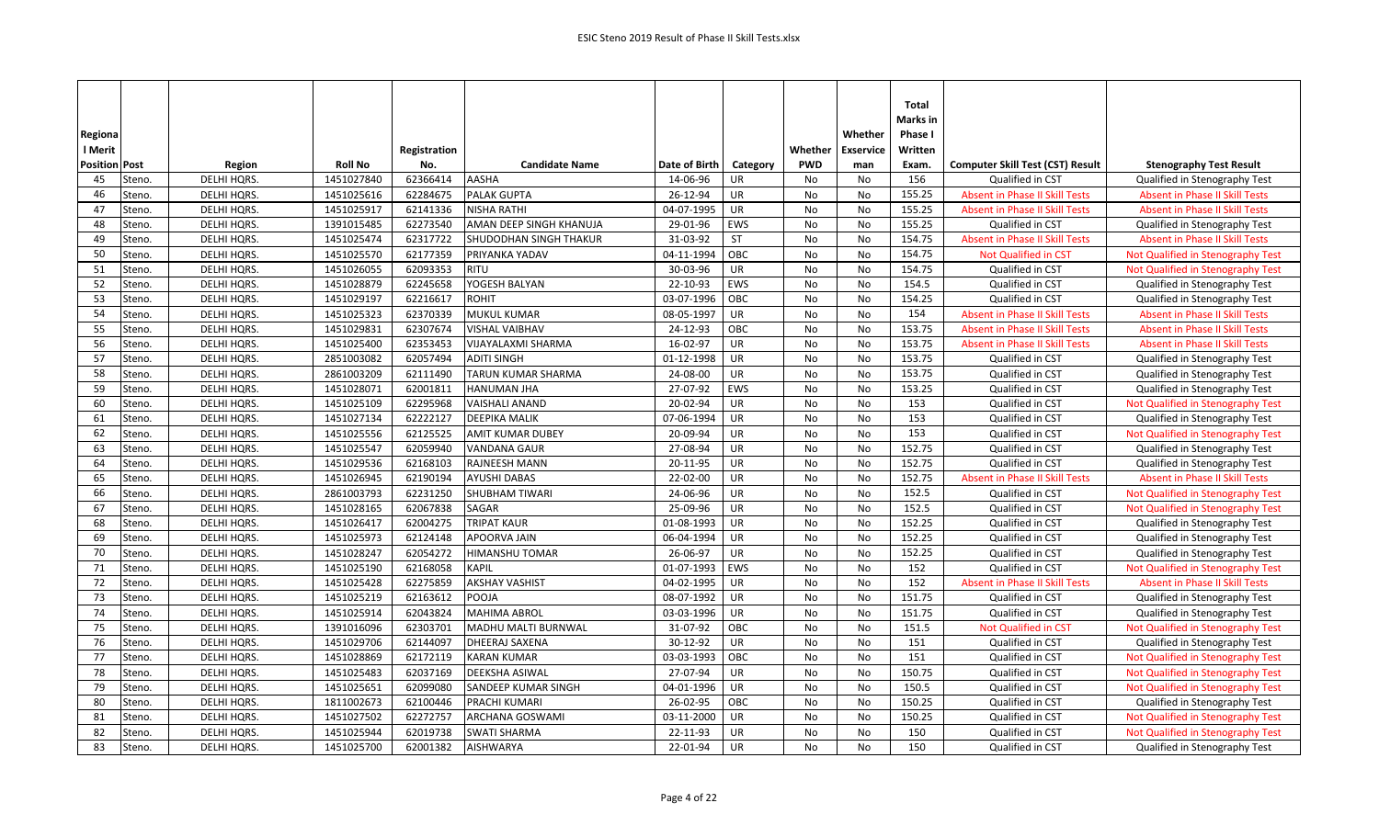| Regiona<br>l Merit   |        |                    |                | Registration |                               |               |            | Whether    | Whether<br><b>Exservice</b> | <b>Total</b><br>Marks in<br>Phase I<br>Written |                                         |                                       |
|----------------------|--------|--------------------|----------------|--------------|-------------------------------|---------------|------------|------------|-----------------------------|------------------------------------------------|-----------------------------------------|---------------------------------------|
| <b>Position Post</b> |        | Region             | <b>Roll No</b> | No.          | <b>Candidate Name</b>         | Date of Birth | Category   | <b>PWD</b> | man                         | Exam.                                          | <b>Computer Skill Test (CST) Result</b> | <b>Stenography Test Result</b>        |
| 45                   | Steno. | DELHI HQRS.        | 1451027840     | 62366414     | AASHA                         | 14-06-96      | <b>UR</b>  | No         | No                          | 156                                            | Qualified in CST                        | Qualified in Stenography Test         |
| 46                   | Steno. | <b>DELHI HQRS</b>  | 1451025616     | 62284675     | <b>PALAK GUPTA</b>            | 26-12-94      | UR         | <b>No</b>  | No                          | 155.25                                         | <b>Absent in Phase II Skill Tests</b>   | <b>Absent in Phase II Skill Tests</b> |
| 47                   | Steno. | DELHI HQRS.        | 1451025917     | 62141336     | <b>NISHA RATHI</b>            | 04-07-1995    | <b>UR</b>  | No         | No                          | 155.25                                         | <b>Absent in Phase II Skill Tests</b>   | <b>Absent in Phase II Skill Tests</b> |
| 48                   | Steno. | DELHI HQRS.        | 1391015485     | 62273540     | AMAN DEEP SINGH KHANUJA       | 29-01-96      | <b>EWS</b> | No         | No                          | 155.25                                         | Qualified in CST                        | Qualified in Stenography Test         |
| 49                   | Steno. | DELHI HQRS.        | 1451025474     | 62317722     | <b>SHUDODHAN SINGH THAKUR</b> | 31-03-92      | <b>ST</b>  | <b>No</b>  | <b>No</b>                   | 154.75                                         | <b>Absent in Phase II Skill Tests</b>   | <b>Absent in Phase II Skill Tests</b> |
| 50                   | Steno. | DELHI HQRS.        | 1451025570     | 62177359     | PRIYANKA YADAV                | 04-11-1994    | OBC        | <b>No</b>  | No                          | 154.75                                         | Not Qualified in CST                    | Not Qualified in Stenography Test     |
| 51                   | Steno. | DELHI HQRS.        | 1451026055     | 62093353     | <b>RITU</b>                   | 30-03-96      | UR         | No         | No                          | 154.75                                         | Qualified in CST                        | Not Qualified in Stenography Test     |
| 52                   | Steno. | DELHI HQRS.        | 1451028879     | 62245658     | YOGESH BALYAN                 | 22-10-93      | <b>EWS</b> | No         | No                          | 154.5                                          | Qualified in CST                        | Qualified in Stenography Test         |
| 53                   | Steno. | DELHI HQRS.        | 1451029197     | 62216617     | <b>ROHIT</b>                  | 03-07-1996    | OBC        | <b>No</b>  | <b>No</b>                   | 154.25                                         | Qualified in CST                        | Qualified in Stenography Test         |
| 54                   | Steno. | DELHI HQRS.        | 1451025323     | 62370339     | MUKUL KUMAR                   | 08-05-1997    | <b>UR</b>  | No         | No                          | 154                                            | <b>Absent in Phase II Skill Tests</b>   | <b>Absent in Phase II Skill Tests</b> |
| 55                   | Steno. | DELHI HQRS.        | 1451029831     | 62307674     | <b>VISHAL VAIBHAV</b>         | 24-12-93      | OBC        | <b>No</b>  | No                          | 153.75                                         | <b>Absent in Phase II Skill Tests</b>   | <b>Absent in Phase II Skill Tests</b> |
| 56                   | Steno. | DELHI HQRS.        | 1451025400     | 62353453     | VIJAYALAXMI SHARMA            | 16-02-97      | UR         | <b>No</b>  | No                          | 153.75                                         | <b>Absent in Phase II Skill Tests</b>   | <b>Absent in Phase II Skill Tests</b> |
| 57                   | Steno. | DELHI HQRS.        | 2851003082     | 62057494     | <b>ADITI SINGH</b>            | 01-12-1998    | UR         | No         | No                          | 153.75                                         | Qualified in CST                        | Qualified in Stenography Test         |
| 58                   | Steno. | DELHI HQRS.        | 2861003209     | 62111490     | <b>TARUN KUMAR SHARMA</b>     | 24-08-00      | <b>UR</b>  | No         | No                          | 153.75                                         | Qualified in CST                        | Qualified in Stenography Test         |
| 59                   | Steno. | DELHI HQRS.        | 1451028071     | 62001811     | <b>HANUMAN JHA</b>            | 27-07-92      | <b>EWS</b> | No         | No                          | 153.25                                         | Qualified in CST                        | Qualified in Stenography Test         |
| 60                   | Steno. | DELHI HQRS.        | 1451025109     | 62295968     | <b>VAISHALI ANAND</b>         | 20-02-94      | UR         | No         | No                          | 153                                            | Qualified in CST                        | Not Qualified in Stenography Test     |
| 61                   | Steno. | DELHI HQRS.        | 1451027134     | 62222127     | <b>DEEPIKA MALIK</b>          | 07-06-1994    | <b>UR</b>  | No         | No                          | 153                                            | Qualified in CST                        | Qualified in Stenography Test         |
| 62                   | Steno. | DELHI HQRS.        | 1451025556     | 62125525     | <b>AMIT KUMAR DUBEY</b>       | 20-09-94      | <b>UR</b>  | No         | No                          | 153                                            | Qualified in CST                        | Not Qualified in Stenography Test     |
| 63                   | Steno. | DELHI HQRS.        | 1451025547     | 62059940     | <b>VANDANA GAUR</b>           | 27-08-94      | UR         | <b>No</b>  | N <sub>o</sub>              | 152.75                                         | Qualified in CST                        | Qualified in Stenography Test         |
| 64                   | Steno. | DELHI HQRS.        | 1451029536     | 62168103     | RAJNEESH MANN                 | 20-11-95      | UR         | No         | No                          | 152.75                                         | Qualified in CST                        | Qualified in Stenography Test         |
| 65                   | Steno. | DELHI HQRS.        | 1451026945     | 62190194     | <b>AYUSHI DABAS</b>           | 22-02-00      | <b>UR</b>  | No         | No                          | 152.75                                         | <b>Absent in Phase II Skill Tests</b>   | <b>Absent in Phase II Skill Tests</b> |
| 66                   | Steno. | DELHI HQRS.        | 2861003793     | 62231250     | <b>SHUBHAM TIWARI</b>         | 24-06-96      | <b>UR</b>  | <b>No</b>  | <b>No</b>                   | 152.5                                          | Qualified in CST                        | Not Qualified in Stenography Test     |
| 67                   | Steno. | DELHI HQRS.        | 1451028165     | 62067838     | SAGAR                         | 25-09-96      | UR         | <b>No</b>  | No                          | 152.5                                          | Qualified in CST                        | Not Qualified in Stenography Test     |
| 68                   | Steno. | DELHI HQRS.        | 1451026417     | 62004275     | <b>TRIPAT KAUR</b>            | 01-08-1993    | <b>UR</b>  | No         | No                          | 152.25                                         | Qualified in CST                        | Qualified in Stenography Test         |
| 69                   | Steno. | DELHI HQRS.        | 1451025973     | 62124148     | <b>APOORVA JAIN</b>           | 06-04-1994    | <b>UR</b>  | No         | No                          | 152.25                                         | Qualified in CST                        | Qualified in Stenography Test         |
| 70                   | Steno. | DELHI HQRS.        | 1451028247     | 62054272     | <b>HIMANSHU TOMAR</b>         | 26-06-97      | <b>UR</b>  | <b>No</b>  | <b>No</b>                   | 152.25                                         | Qualified in CST                        | Qualified in Stenography Test         |
| 71                   | Steno. | DELHI HQRS.        | 1451025190     | 62168058     | <b>KAPIL</b>                  | 01-07-1993    | EWS        | No         | No                          | 152                                            | Qualified in CST                        | Not Qualified in Stenography Test     |
| 72                   | Steno. | DELHI HQRS.        | 1451025428     | 62275859     | <b>AKSHAY VASHIST</b>         | 04-02-1995    | <b>UR</b>  | <b>No</b>  | No                          | 152                                            | <b>Absent in Phase II Skill Tests</b>   | <b>Absent in Phase II Skill Tests</b> |
| 73                   | Steno. | DELHI HQRS.        | 1451025219     | 62163612     | <b>POOJA</b>                  | 08-07-1992    | <b>UR</b>  | <b>No</b>  | No                          | 151.75                                         | Qualified in CST                        | Qualified in Stenography Test         |
| 74                   | Steno. | DELHI HQRS.        | 1451025914     | 62043824     | <b>MAHIMA ABROL</b>           | 03-03-1996    | <b>UR</b>  | No         | No                          | 151.75                                         | Qualified in CST                        | Qualified in Stenography Test         |
| 75                   | Steno. | DELHI HQRS.        | 1391016096     | 62303701     | <b>MADHU MALTI BURNWAL</b>    | 31-07-92      | OBC        | No         | No                          | 151.5                                          | Not Qualified in CST                    | Not Qualified in Stenography Test     |
| 76                   | Steno. | DELHI HQRS.        | 1451029706     | 62144097     | DHEERAJ SAXENA                | 30-12-92      | <b>UR</b>  | No         | No                          | 151                                            | Qualified in CST                        | Qualified in Stenography Test         |
| 77                   | Steno. | DELHI HQRS.        | 1451028869     | 62172119     | <b>KARAN KUMAR</b>            | 03-03-1993    | OBC        | No         | No                          | 151                                            | Qualified in CST                        | Not Qualified in Stenography Test     |
| 78                   | Steno. | DELHI HQRS.        | 1451025483     | 62037169     | <b>DEEKSHA ASIWAL</b>         | 27-07-94      | UR         | No         | No                          | 150.75                                         | Qualified in CST                        | Not Qualified in Stenography Test     |
| 79                   | Steno. | DELHI HQRS.        | 1451025651     | 62099080     | SANDEEP KUMAR SINGH           | 04-01-1996    | <b>UR</b>  | <b>No</b>  | No                          | 150.5                                          | Qualified in CST                        | Not Qualified in Stenography Test     |
| 80                   | Steno. | DELHI HQRS.        | 1811002673     | 62100446     | <b>PRACHI KUMARI</b>          | 26-02-95      | OBC        | No         | No                          | 150.25                                         | Qualified in CST                        | Qualified in Stenography Test         |
| 81                   | Steno. | DELHI HQRS.        | 1451027502     | 62272757     | ARCHANA GOSWAMI               | 03-11-2000    | <b>UR</b>  | No         | No                          | 150.25                                         | Qualified in CST                        | Not Qualified in Stenography Test     |
| 82                   | Steno. | DELHI HQRS.        | 1451025944     | 62019738     | <b>SWATI SHARMA</b>           | 22-11-93      | UR         | No         | No                          | 150                                            | Qualified in CST                        | Not Qualified in Stenography Test     |
| 83                   | Steno. | <b>DELHI HORS.</b> | 1451025700     | 62001382     | <b>AISHWARYA</b>              | 22-01-94      | <b>UR</b>  | <b>No</b>  | <b>No</b>                   | 150                                            | Qualified in CST                        | Qualified in Stenography Test         |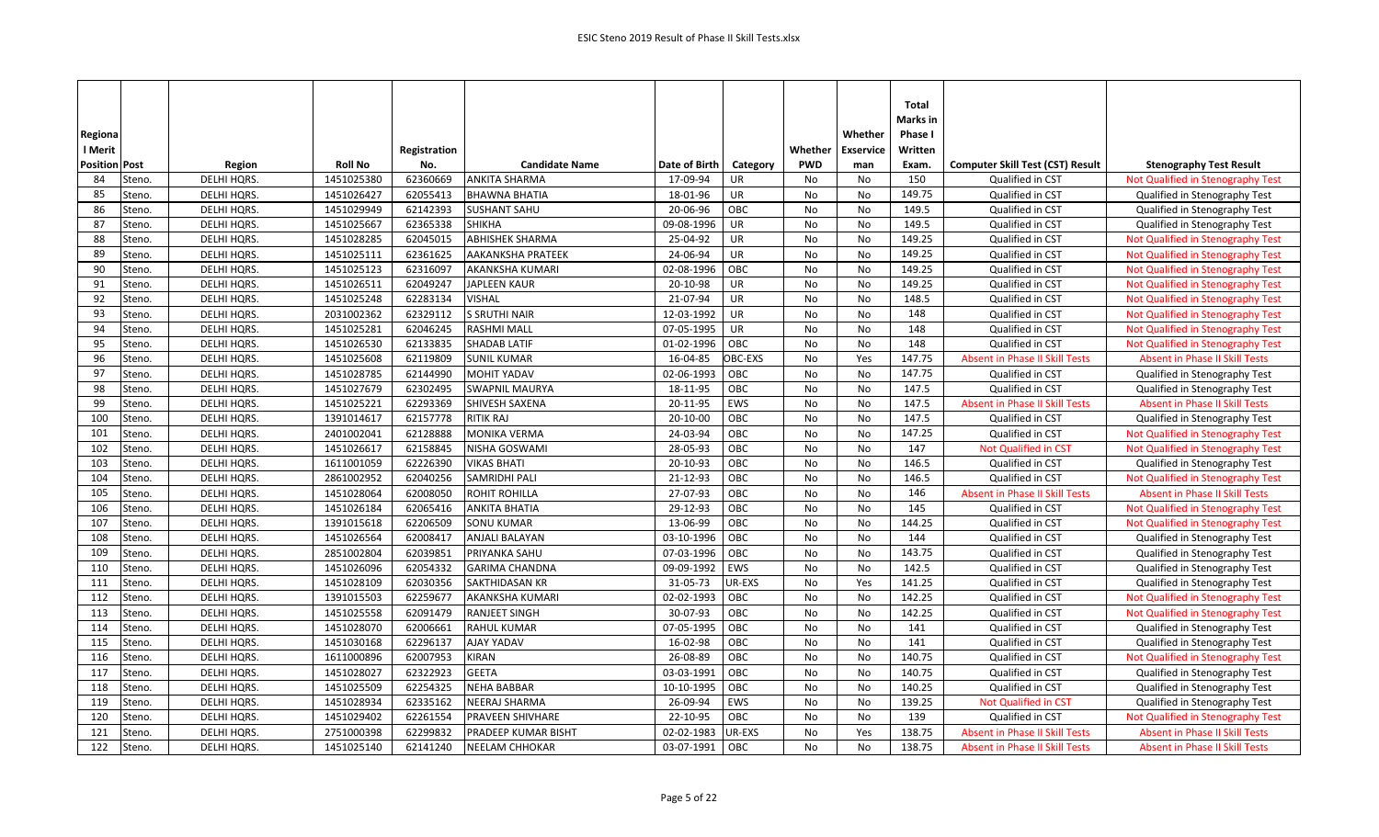|                      |             |                |              |                        |               |           |            |                  | Total    |                                         |                                       |
|----------------------|-------------|----------------|--------------|------------------------|---------------|-----------|------------|------------------|----------|-----------------------------------------|---------------------------------------|
|                      |             |                |              |                        |               |           |            |                  | Marks in |                                         |                                       |
| Regiona              |             |                |              |                        |               |           |            | Whether          | Phase I  |                                         |                                       |
| I Merit              |             |                | Registration |                        |               |           | Whether    | <b>Exservice</b> | Written  |                                         |                                       |
| <b>Position Post</b> | Region      | <b>Roll No</b> | No.          | <b>Candidate Name</b>  | Date of Birth | Category  | <b>PWD</b> | man              | Exam.    | <b>Computer Skill Test (CST) Result</b> | <b>Stenography Test Result</b>        |
| 84<br>Steno.         | DELHI HQRS. | 1451025380     | 62360669     | <b>ANKITA SHARMA</b>   | 17-09-94      | UR        | No         | No               | 150      | Qualified in CST                        | Not Qualified in Stenography Test     |
| 85<br>Steno.         | DELHI HQRS. | 1451026427     | 62055413     | <b>BHAWNA BHATIA</b>   | 18-01-96      | UR        | No         | No               | 149.75   | Qualified in CST                        | Qualified in Stenography Test         |
| 86<br>Steno.         | DELHI HQRS. | 1451029949     | 62142393     | <b>SUSHANT SAHU</b>    | 20-06-96      | OBC       | No         | No               | 149.5    | Qualified in CST                        | Qualified in Stenography Test         |
| 87<br>Steno.         | DELHI HQRS. | 1451025667     | 62365338     | <b>SHIKHA</b>          | 09-08-1996    | UR        | No         | No               | 149.5    | Qualified in CST                        | Qualified in Stenography Test         |
| 88<br>Steno.         | DELHI HQRS. | 1451028285     | 62045015     | <b>ABHISHEK SHARMA</b> | 25-04-92      | UR        | No         | No               | 149.25   | Qualified in CST                        | Not Qualified in Stenography Test     |
| 89<br>Steno.         | DELHI HQRS. | 1451025111     | 62361625     | AAKANKSHA PRATEEK      | 24-06-94      | UR        | No         | No               | 149.25   | Qualified in CST                        | Not Qualified in Stenography Test     |
| 90<br>Steno.         | DELHI HQRS. | 1451025123     | 62316097     | AKANKSHA KUMARI        | 02-08-1996    | OBC       | No         | No               | 149.25   | Qualified in CST                        | Not Qualified in Stenography Test     |
| 91<br>Steno.         | DELHI HQRS. | 1451026511     | 62049247     | JAPLEEN KAUR           | 20-10-98      | UR        | No         | No               | 149.25   | Qualified in CST                        | Not Qualified in Stenography Test     |
| 92<br>Steno.         | DELHI HQRS. | 1451025248     | 62283134     | <b>VISHAL</b>          | 21-07-94      | UR        | No         | No               | 148.5    | Qualified in CST                        | Not Qualified in Stenography Test     |
| 93<br>Steno.         | DELHI HQRS. | 2031002362     | 62329112     | <b>S SRUTHI NAIR</b>   | 12-03-1992    | <b>UR</b> | No         | No               | 148      | Qualified in CST                        | Not Qualified in Stenography Test     |
| 94<br>Steno.         | DELHI HQRS. | 1451025281     | 62046245     | <b>RASHMI MALL</b>     | 07-05-1995    | UR        | No         | No               | 148      | Qualified in CST                        | Not Qualified in Stenography Test     |
| 95<br>Steno.         | DELHI HQRS. | 1451026530     | 62133835     | <b>SHADAB LATIF</b>    | 01-02-1996    | OBC       | No         | No               | 148      | Qualified in CST                        | Not Qualified in Stenography Test     |
| 96<br>Steno.         | DELHI HQRS. | 1451025608     | 62119809     | <b>SUNIL KUMAR</b>     | 16-04-85      | OBC-EXS   | No         | Yes              | 147.75   | <b>Absent in Phase II Skill Tests</b>   | <b>Absent in Phase II Skill Tests</b> |
| 97<br>Steno.         | DELHI HQRS. | 1451028785     | 62144990     | <b>MOHIT YADAV</b>     | 02-06-1993    | OBC       | No         | No               | 147.75   | Qualified in CST                        | Qualified in Stenography Test         |
| 98<br>Steno.         | DELHI HQRS. | 1451027679     | 62302495     | <b>SWAPNIL MAURYA</b>  | 18-11-95      | OBC       | No         | No               | 147.5    | Qualified in CST                        | Qualified in Stenography Test         |
| 99<br>Steno.         | DELHI HQRS. | 1451025221     | 62293369     | SHIVESH SAXENA         | 20-11-95      | EWS       | No         | No               | 147.5    | Absent in Phase II Skill Tests          | Absent in Phase II Skill Tests        |
| 100<br>Steno.        | DELHI HQRS. | 1391014617     | 62157778     | <b>RITIK RAJ</b>       | 20-10-00      | OBC       | No         | No               | 147.5    | Qualified in CST                        | Qualified in Stenography Test         |
| 101<br>Steno.        | DELHI HQRS. | 2401002041     | 62128888     | <b>MONIKA VERMA</b>    | 24-03-94      | OBC       | No         | No               | 147.25   | Qualified in CST                        | Not Qualified in Stenography Test     |
| Steno.<br>102        | DELHI HQRS. | 1451026617     | 62158845     | NISHA GOSWAMI          | 28-05-93      | OBC       | No         | No               | 147      | <b>Not Qualified in CST</b>             | Not Qualified in Stenography Test     |
| 103<br>Steno.        | DELHI HQRS. | 1611001059     | 62226390     | <b>VIKAS BHATI</b>     | 20-10-93      | OBC       | No         | No               | 146.5    | Qualified in CST                        | Qualified in Stenography Test         |
| 104<br>Steno.        | DELHI HQRS. | 2861002952     | 62040256     | <b>SAMRIDHI PALI</b>   | 21-12-93      | OBC       | No         | No               | 146.5    | Qualified in CST                        | Not Qualified in Stenography Test     |
| 105<br>Steno.        | DELHI HQRS. | 1451028064     | 62008050     | ROHIT ROHILLA          | 27-07-93      | OBC       | No         | No               | 146      | Absent in Phase II Skill Tests          | <b>Absent in Phase II Skill Tests</b> |
| 106<br>Steno.        | DELHI HQRS. | 1451026184     | 62065416     | <b>ANKITA BHATIA</b>   | 29-12-93      | OBC       | No         | No               | 145      | Qualified in CST                        | Not Qualified in Stenography Test     |
| 107<br>Steno.        | DELHI HQRS. | 1391015618     | 62206509     | SONU KUMAR             | 13-06-99      | OBC       | No         | No               | 144.25   | Qualified in CST                        | Not Qualified in Stenography Test     |
| Steno.<br>108        | DELHI HQRS. | 1451026564     | 62008417     | <b>ANJALI BALAYAN</b>  | 03-10-1996    | OBC       | No         | <b>No</b>        | 144      | Qualified in CST                        | Qualified in Stenography Test         |
| 109<br>Steno.        | DELHI HQRS. | 2851002804     | 62039851     | PRIYANKA SAHU          | 07-03-1996    | OBC       | No         | No               | 143.75   | Qualified in CST                        | Qualified in Stenography Test         |
| 110<br>Steno.        | DELHI HQRS. | 1451026096     | 62054332     | <b>GARIMA CHANDNA</b>  | 09-09-1992    | EWS       | No         | No               | 142.5    | Qualified in CST                        | Qualified in Stenography Test         |
| 111<br>Steno.        | DELHI HQRS. | 1451028109     | 62030356     | SAKTHIDASAN KR         | 31-05-73      | UR-EXS    | No         | Yes              | 141.25   | Qualified in CST                        | Qualified in Stenography Test         |
| 112<br>Steno.        | DELHI HQRS. | 1391015503     | 62259677     | AKANKSHA KUMARI        | 02-02-1993    | OBC       | No         | No               | 142.25   | Qualified in CST                        | Not Qualified in Stenography Test     |
| 113<br>Steno.        | DELHI HQRS. | 1451025558     | 62091479     | <b>RANJEET SINGH</b>   | 30-07-93      | OBC       | No         | No               | 142.25   | Qualified in CST                        | Not Qualified in Stenography Test     |
| Steno.<br>114        | DELHI HQRS. | 1451028070     | 62006661     | <b>RAHUL KUMAR</b>     | 07-05-1995    | OBC       | No         | No               | 141      | Qualified in CST                        | Qualified in Stenography Test         |
| 115<br>Steno.        | DELHI HQRS. | 1451030168     | 62296137     | AJAY YADAV             | 16-02-98      | OBC       | No         | No               | 141      | Qualified in CST                        | Qualified in Stenography Test         |
| 116<br>Steno.        | DELHI HQRS. | 1611000896     | 62007953     | KIRAN                  | 26-08-89      | OBC       | No         | No               | 140.75   | Qualified in CST                        | Not Qualified in Stenography Test     |
| 117<br>Steno.        | DELHI HQRS. | 1451028027     | 62322923     | <b>GEETA</b>           | 03-03-1991    | OBC       | No         | No               | 140.75   | Qualified in CST                        | Qualified in Stenography Test         |
| 118<br>Steno.        | DELHI HQRS. | 1451025509     | 62254325     | <b>NEHA BABBAR</b>     | 10-10-1995    | OBC       | <b>No</b>  | No               | 140.25   | Qualified in CST                        | Qualified in Stenography Test         |
| 119<br>Steno.        | DELHI HQRS. | 1451028934     | 62335162     | NEERAJ SHARMA          | 26-09-94      | EWS       | No         | No               | 139.25   | Not Qualified in CST                    | Qualified in Stenography Test         |
| 120<br>Steno.        | DELHI HQRS. | 1451029402     | 62261554     | PRAVEEN SHIVHARE       | 22-10-95      | OBC       | No         | No               | 139      | Qualified in CST                        | Not Qualified in Stenography Test     |
| 121<br>Steno.        | DELHI HQRS. | 2751000398     | 62299832     | PRADEEP KUMAR BISHT    | 02-02-1983    | UR-EXS    | <b>No</b>  | Yes              | 138.75   | <b>Absent in Phase II Skill Tests</b>   | <b>Absent in Phase II Skill Tests</b> |
| 122<br>Steno.        | DELHI HQRS. | 1451025140     | 62141240     | <b>NEELAM CHHOKAR</b>  | 03-07-1991    | OBC       | No         | No               | 138.75   | <b>Absent in Phase II Skill Tests</b>   | <b>Absent in Phase II Skill Tests</b> |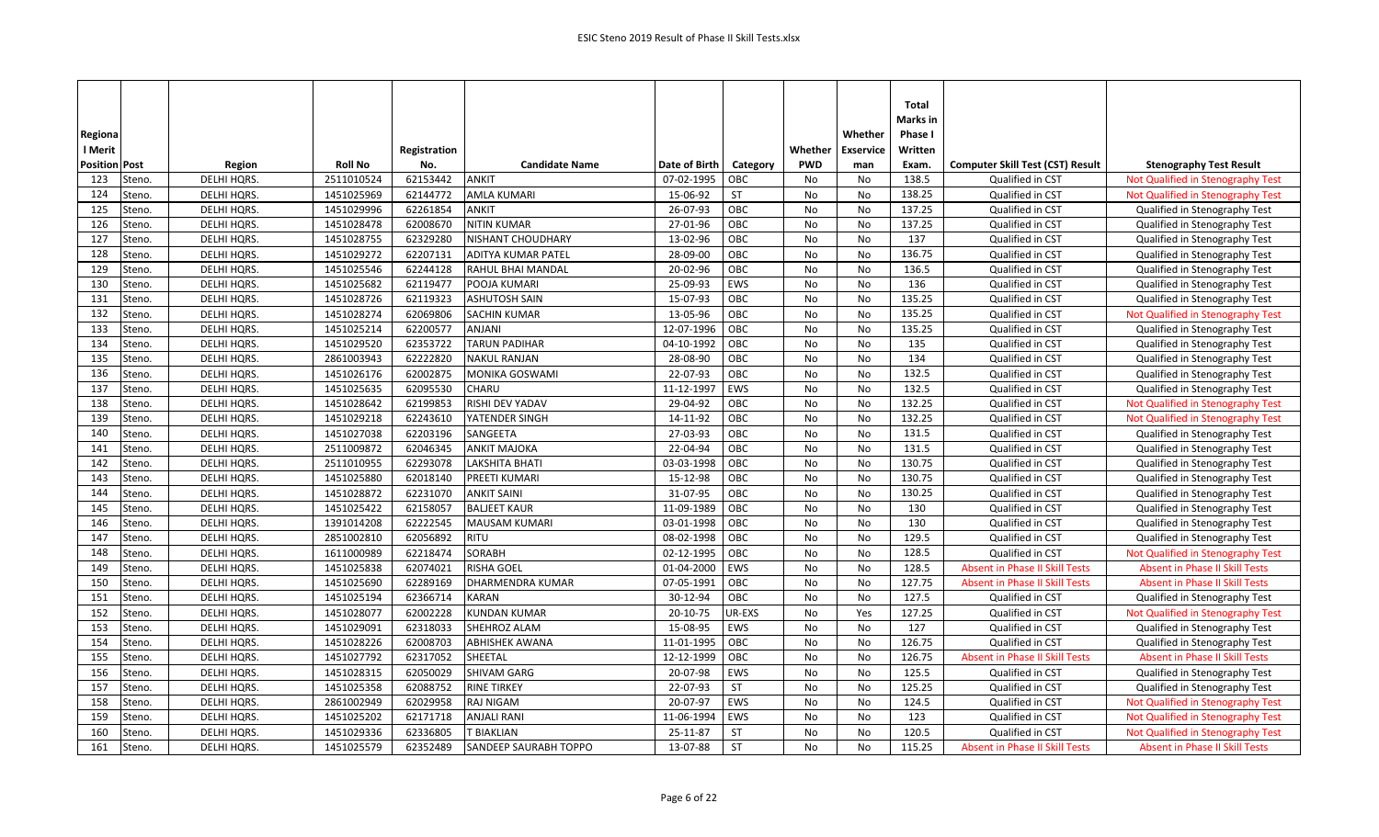|                      |        |             |                |              |                              |               |            |            |                  | <b>Total</b>    |                                         |                                       |
|----------------------|--------|-------------|----------------|--------------|------------------------------|---------------|------------|------------|------------------|-----------------|-----------------------------------------|---------------------------------------|
|                      |        |             |                |              |                              |               |            |            |                  | <b>Marks</b> in |                                         |                                       |
| Regiona              |        |             |                |              |                              |               |            |            | Whether          | Phase I         |                                         |                                       |
| l Merit              |        |             |                | Registration |                              |               |            | Whether    | <b>Exservice</b> | Written         |                                         |                                       |
| <b>Position Post</b> |        | Region      | <b>Roll No</b> | No.          | <b>Candidate Name</b>        | Date of Birth | Category   | <b>PWD</b> | man              | Exam.           | <b>Computer Skill Test (CST) Result</b> | <b>Stenography Test Result</b>        |
| 123                  | Steno. | DELHI HQRS. | 2511010524     | 62153442     | ANKIT                        | 07-02-1995    | OBC        | No         | No               | 138.5           | Qualified in CST                        | Not Qualified in Stenography Test     |
| 124                  | Steno. | DELHI HQRS. | 1451025969     | 62144772     | <b>AMLA KUMARI</b>           | 15-06-92      | <b>ST</b>  | No         | No               | 138.25          | Qualified in CST                        | Not Qualified in Stenography Test     |
| 125                  | Steno. | DELHI HQRS. | 1451029996     | 62261854     | <b>ANKIT</b>                 | 26-07-93      | OBC        | No         | No               | 137.25          | Qualified in CST                        | Qualified in Stenography Test         |
| 126                  | Steno. | DELHI HQRS. | 1451028478     | 62008670     | <b>NITIN KUMAR</b>           | 27-01-96      | OBC        | <b>No</b>  | No               | 137.25          | Qualified in CST                        | Qualified in Stenography Test         |
| 127                  | Steno. | DELHI HQRS. | 1451028755     | 62329280     | NISHANT CHOUDHARY            | 13-02-96      | OBC        | No         | No               | 137             | Qualified in CST                        | Qualified in Stenography Test         |
| 128                  | Steno. | DELHI HQRS. | 1451029272     | 62207131     | ADITYA KUMAR PATEL           | 28-09-00      | OBC        | No         | No               | 136.75          | Qualified in CST                        | Qualified in Stenography Test         |
| 129                  | Steno. | DELHI HQRS. | 1451025546     | 62244128     | RAHUL BHAI MANDAL            | 20-02-96      | OBC        | No         | No               | 136.5           | Qualified in CST                        | Qualified in Stenography Test         |
| 130                  | Steno. | DELHI HQRS. | 1451025682     | 62119477     | POOJA KUMARI                 | 25-09-93      | EWS        | <b>No</b>  | <b>No</b>        | 136             | Qualified in CST                        | Qualified in Stenography Test         |
| 131                  | Steno. | DELHI HQRS. | 1451028726     | 62119323     | <b>ASHUTOSH SAIN</b>         | 15-07-93      | OBC        | No         | No               | 135.25          | Qualified in CST                        | Qualified in Stenography Test         |
| 132                  | Steno. | DELHI HQRS. | 1451028274     | 62069806     | <b>SACHIN KUMAR</b>          | 13-05-96      | OBC        | No         | No               | 135.25          | Qualified in CST                        | Not Qualified in Stenography Test     |
| 133                  | Steno. | DELHI HQRS. | 1451025214     | 62200577     | <b>ANJANI</b>                | 12-07-1996    | OBC        | No         | No               | 135.25          | Qualified in CST                        | Qualified in Stenography Test         |
| 134                  | Steno. | DELHI HQRS. | 1451029520     | 62353722     | <b>TARUN PADIHAR</b>         | 04-10-1992    | OBC        | No         | No               | 135             | Qualified in CST                        | Qualified in Stenography Test         |
| 135                  | Steno. | DELHI HQRS. | 2861003943     | 62222820     | <b>NAKUL RANJAN</b>          | 28-08-90      | OBC        | No         | No               | 134             | Qualified in CST                        | Qualified in Stenography Test         |
| 136                  | Steno. | DELHI HQRS. | 1451026176     | 62002875     | <b>MONIKA GOSWAMI</b>        | 22-07-93      | OBC        | No         | No               | 132.5           | Qualified in CST                        | Qualified in Stenography Test         |
| 137                  | Steno. | DELHI HQRS. | 1451025635     | 62095530     | <b>CHARU</b>                 | 11-12-1997    | EWS        | No         | No               | 132.5           | Qualified in CST                        | Qualified in Stenography Test         |
| 138                  | Steno. | DELHI HQRS. | 1451028642     | 62199853     | RISHI DEV YADAV              | 29-04-92      | OBC        | No         | No               | 132.25          | Qualified in CST                        | Not Qualified in Stenography Test     |
| 139                  | Steno. | DELHI HQRS. | 1451029218     | 62243610     | YATENDER SINGH               | 14-11-92      | OBC        | No         | No               | 132.25          | Qualified in CST                        | Not Qualified in Stenography Test     |
| 140                  | Steno. | DELHI HQRS. | 1451027038     | 62203196     | SANGEETA                     | 27-03-93      | OBC        | <b>No</b>  | No               | 131.5           | Qualified in CST                        | Qualified in Stenography Test         |
| 141                  | Steno. | DELHI HQRS. | 2511009872     | 62046345     | <b>ANKIT MAJOKA</b>          | 22-04-94      | OBC        | No         | No               | 131.5           | Qualified in CST                        | Qualified in Stenography Test         |
| 142                  | Steno. | DELHI HQRS. | 2511010955     | 62293078     | LAKSHITA BHATI               | 03-03-1998    | OBC        | <b>No</b>  | No               | 130.75          | Qualified in CST                        | Qualified in Stenography Test         |
| 143                  | Steno. | DELHI HQRS. | 1451025880     | 62018140     | PREETI KUMARI                | 15-12-98      | OBC        | No         | <b>No</b>        | 130.75          | Qualified in CST                        | Qualified in Stenography Test         |
| 144                  | Steno. | DELHI HQRS. | 1451028872     | 62231070     | <b>ANKIT SAINI</b>           | 31-07-95      | OBC        | No         | No               | 130.25          | Qualified in CST                        | Qualified in Stenography Test         |
| 145                  | Steno. | DELHI HQRS. | 1451025422     | 62158057     | <b>BALJEET KAUR</b>          | 11-09-1989    | OBC        | No         | No               | 130             | Qualified in CST                        | Qualified in Stenography Test         |
| 146                  | Steno. | DELHI HQRS. | 1391014208     | 62222545     | <b>MAUSAM KUMARI</b>         | 03-01-1998    | OBC        | No         | No               | 130             | Qualified in CST                        | Qualified in Stenography Test         |
| 147                  | Steno. | DELHI HQRS. | 2851002810     | 62056892     | <b>RITU</b>                  | 08-02-1998    | OBC        | No         | No               | 129.5           | Qualified in CST                        | Qualified in Stenography Test         |
| 148                  | Steno. | DELHI HQRS. | 1611000989     | 62218474     | <b>SORABH</b>                | 02-12-1995    | OBC        | No         | No               | 128.5           | Qualified in CST                        | Not Qualified in Stenography Test     |
| 149                  | Steno. | DELHI HQRS. | 1451025838     | 62074021     | <b>RISHA GOEL</b>            | 01-04-2000    | EWS        | No         | No               | 128.5           | <b>Absent in Phase II Skill Tests</b>   | <b>Absent in Phase II Skill Tests</b> |
| 150                  | Steno. | DELHI HQRS. | 1451025690     | 62289169     | DHARMENDRA KUMAR             | 07-05-1991    | OBC        | No         | No               | 127.75          | <b>Absent in Phase II Skill Tests</b>   | <b>Absent in Phase II Skill Tests</b> |
| 151                  | Steno. | DELHI HQRS. | 1451025194     | 62366714     | <b>KARAN</b>                 | 30-12-94      | OBC        | No         | No               | 127.5           | Qualified in CST                        | Qualified in Stenography Test         |
| 152                  | Steno. | DELHI HQRS. | 1451028077     | 62002228     | <b>KUNDAN KUMAR</b>          | 20-10-75      | UR-EXS     | <b>No</b>  | Yes              | 127.25          | Qualified in CST                        | Not Qualified in Stenography Test     |
| 153                  | Steno. | DELHI HQRS. | 1451029091     | 62318033     | SHEHROZ ALAM                 | 15-08-95      | <b>EWS</b> | <b>No</b>  | <b>No</b>        | 127             | Qualified in CST                        | Qualified in Stenography Test         |
| 154                  | Steno. | DELHI HQRS. | 1451028226     | 62008703     | <b>ABHISHEK AWANA</b>        | 11-01-1995    | OBC        | No         | No               | 126.75          | Qualified in CST                        | Qualified in Stenography Test         |
| 155                  | Steno. | DELHI HQRS. | 1451027792     | 62317052     | SHEETAL                      | 12-12-1999    | OBC        | No         | No               | 126.75          | Absent in Phase II Skill Tests          | <b>Absent in Phase II Skill Tests</b> |
| 156                  | Steno. | DELHI HQRS. | 1451028315     | 62050029     | <b>SHIVAM GARG</b>           | 20-07-98      | EWS        | <b>No</b>  | <b>No</b>        | 125.5           | Qualified in CST                        | Qualified in Stenography Test         |
| 157                  | Steno. | DELHI HQRS. | 1451025358     | 62088752     | <b>RINE TIRKEY</b>           | 22-07-93      | <b>ST</b>  | No         | No               | 125.25          | Qualified in CST                        | Qualified in Stenography Test         |
| 158                  | Steno. | DELHI HQRS. | 2861002949     | 62029958     | <b>RAJ NIGAM</b>             | 20-07-97      | EWS        | No         | No               | 124.5           | Qualified in CST                        | Not Qualified in Stenography Test     |
| 159                  | Steno. | DELHI HQRS. | 1451025202     | 62171718     | <b>ANJALI RANI</b>           | 11-06-1994    | <b>EWS</b> | No         | <b>No</b>        | 123             | Qualified in CST                        | Not Qualified in Stenography Test     |
| 160                  | Steno. | DELHI HQRS. | 1451029336     | 62336805     | <b>T BIAKLIAN</b>            | 25-11-87      | ST         | <b>No</b>  | No               | 120.5           | Qualified in CST                        | Not Qualified in Stenography Test     |
| 161                  | Steno. | DELHI HQRS. | 1451025579     | 62352489     | <b>SANDEEP SAURABH TOPPO</b> | 13-07-88      | <b>ST</b>  | No         | No               | 115.25          | <b>Absent in Phase II Skill Tests</b>   | <b>Absent in Phase II Skill Tests</b> |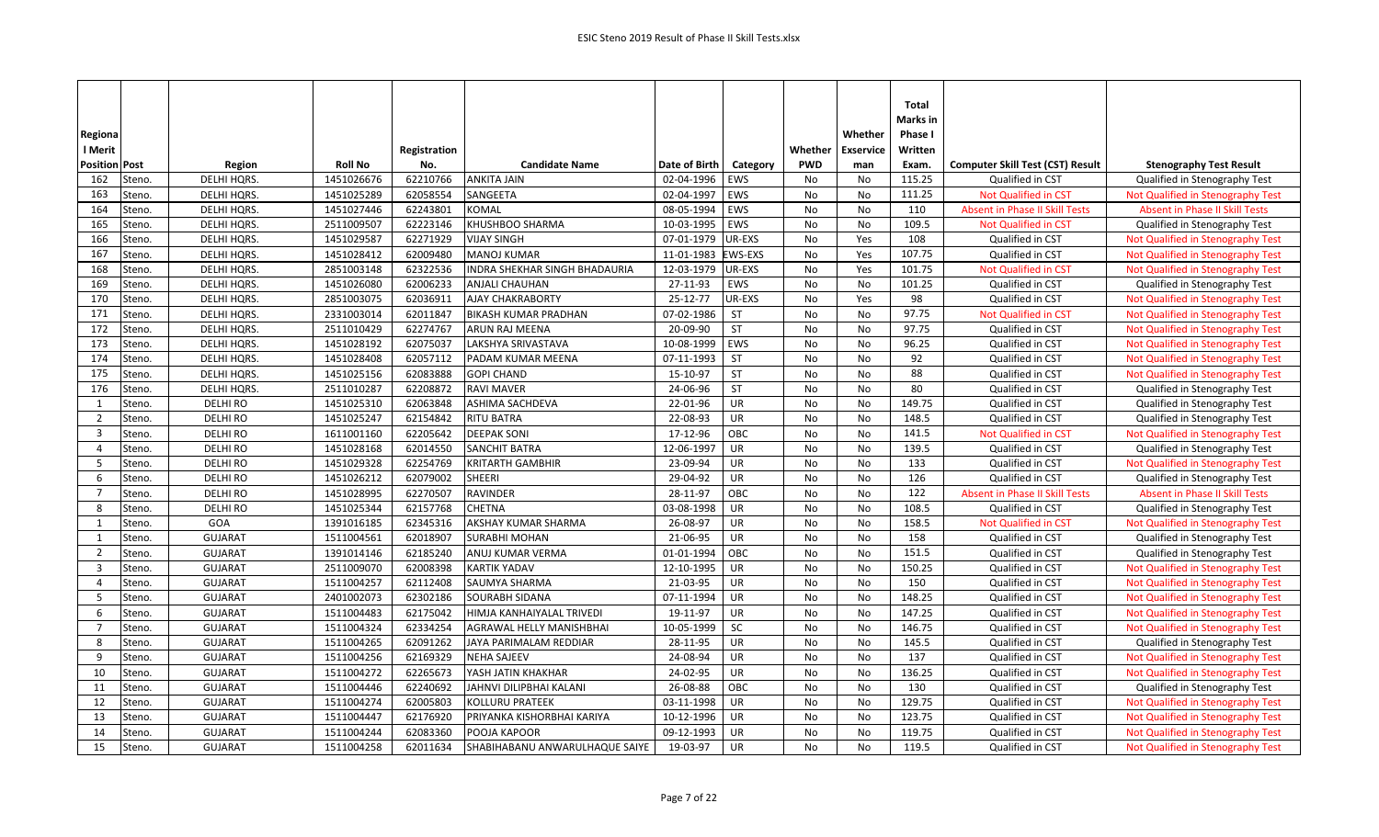| Regiona<br>l Merit   |        |                   |                | Registration |                                |               |                | Whether    | Whether<br><b>Exservice</b> | Total<br>Marks in<br>Phase I<br>Written |                                         |                                       |
|----------------------|--------|-------------------|----------------|--------------|--------------------------------|---------------|----------------|------------|-----------------------------|-----------------------------------------|-----------------------------------------|---------------------------------------|
| <b>Position Post</b> |        | Region            | <b>Roll No</b> | No.          | <b>Candidate Name</b>          | Date of Birth | Category       | <b>PWD</b> | man                         | Exam.                                   | <b>Computer Skill Test (CST) Result</b> | <b>Stenography Test Result</b>        |
| 162                  | Steno. | DELHI HQRS.       | 1451026676     | 62210766     | <b>ANKITA JAIN</b>             | 02-04-1996    | EWS            | No         | No                          | 115.25                                  | Qualified in CST                        | Qualified in Stenography Test         |
| 163                  | Steno. | <b>DELHI HQRS</b> | 1451025289     | 62058554     | SANGEETA                       | 02-04-1997    | EWS            | No         | No                          | 111.25                                  | <b>Not Qualified in CST</b>             | Not Qualified in Stenography Test     |
| 164                  | Steno. | DELHI HQRS.       | 1451027446     | 62243801     | <b>KOMAL</b>                   | 08-05-1994    | EWS            | No         | No                          | 110                                     | <b>Absent in Phase II Skill Tests</b>   | <b>Absent in Phase II Skill Tests</b> |
| 165                  | Steno. | DELHI HQRS.       | 2511009507     | 62223146     | KHUSHBOO SHARMA                | 10-03-1995    | EWS            | No         | No                          | 109.5                                   | Not Qualified in CST                    | Qualified in Stenography Test         |
| 166                  | Steno. | DELHI HQRS.       | 1451029587     | 62271929     | <b>VIJAY SINGH</b>             | 07-01-1979    | UR-EXS         | <b>No</b>  | Yes                         | 108                                     | Qualified in CST                        | Not Qualified in Stenography Test     |
| 167                  | Steno. | DELHI HQRS.       | 1451028412     | 62009480     | <b>MANOJ KUMAR</b>             | 11-01-1983    | <b>EWS-EXS</b> | No         | Yes                         | 107.75                                  | Qualified in CST                        | Not Qualified in Stenography Test     |
| 168                  | Steno. | DELHI HQRS.       | 2851003148     | 62322536     | INDRA SHEKHAR SINGH BHADAURIA  | 12-03-1979    | UR-EXS         | No         | Yes                         | 101.75                                  | Not Qualified in CST                    | Not Qualified in Stenography Test     |
| 169                  | Steno. | DELHI HQRS.       | 1451026080     | 62006233     | <b>ANJALI CHAUHAN</b>          | 27-11-93      | EWS            | No         | No                          | 101.25                                  | Qualified in CST                        | Qualified in Stenography Test         |
| 170                  | Steno. | DELHI HQRS.       | 2851003075     | 62036911     | AJAY CHAKRABORTY               | 25-12-77      | UR-EXS         | No         | Yes                         | 98                                      | Qualified in CST                        | Not Qualified in Stenography Test     |
| 171                  | Steno. | DELHI HQRS.       | 2331003014     | 62011847     | <b>BIKASH KUMAR PRADHAN</b>    | 07-02-1986    | <b>ST</b>      | No         | No                          | 97.75                                   | Not Qualified in CST                    | Not Qualified in Stenography Test     |
| 172                  | Steno. | DELHI HQRS.       | 2511010429     | 62274767     | <b>ARUN RAJ MEENA</b>          | 20-09-90      | <b>ST</b>      | <b>No</b>  | No                          | 97.75                                   | Qualified in CST                        | Not Qualified in Stenography Test     |
| 173                  | Steno. | DELHI HQRS.       | 1451028192     | 62075037     | LAKSHYA SRIVASTAVA             | 10-08-1999    | EWS            | <b>No</b>  | No                          | 96.25                                   | Qualified in CST                        | Not Qualified in Stenography Test     |
| 174                  | Steno. | DELHI HQRS.       | 1451028408     | 62057112     | PADAM KUMAR MEENA              | 07-11-1993    | <b>ST</b>      | No         | No                          | 92                                      | Qualified in CST                        | Not Qualified in Stenography Test     |
| 175                  | Steno. | DELHI HQRS.       | 1451025156     | 62083888     | <b>GOPI CHAND</b>              | 15-10-97      | <b>ST</b>      | <b>No</b>  | No                          | 88                                      | Qualified in CST                        | Not Qualified in Stenography Test     |
| 176                  | Steno. | DELHI HQRS.       | 2511010287     | 62208872     | <b>RAVI MAVER</b>              | 24-06-96      | <b>ST</b>      | No         | No                          | 80                                      | Qualified in CST                        | Qualified in Stenography Test         |
| $\mathbf{1}$         | Steno. | <b>DELHI RO</b>   | 1451025310     | 62063848     | ASHIMA SACHDEVA                | 22-01-96      | <b>UR</b>      | No         | No                          | 149.75                                  | Qualified in CST                        | Qualified in Stenography Test         |
| $\overline{2}$       | Steno. | <b>DELHI RO</b>   | 1451025247     | 62154842     | <b>RITU BATRA</b>              | 22-08-93      | UR             | No         | No                          | 148.5                                   | Qualified in CST                        | Qualified in Stenography Test         |
| 3                    | Steno. | <b>DELHI RO</b>   | 1611001160     | 62205642     | <b>DEEPAK SONI</b>             | 17-12-96      | OBC            | No         | No                          | 141.5                                   | Not Qualified in CST                    | Not Qualified in Stenography Test     |
| $\overline{4}$       | Steno. | <b>DELHI RO</b>   | 1451028168     | 62014550     | <b>SANCHIT BATRA</b>           | 12-06-1997    | UR             | No         | No                          | 139.5                                   | Qualified in CST                        | Qualified in Stenography Test         |
| 5                    | Steno. | <b>DELHI RO</b>   | 1451029328     | 62254769     | <b>KRITARTH GAMBHIR</b>        | 23-09-94      | UR             | No         | No                          | 133                                     | Qualified in CST                        | Not Qualified in Stenography Test     |
| 6                    | Steno. | <b>DELHI RO</b>   | 1451026212     | 62079002     | <b>SHEERI</b>                  | 29-04-92      | UR             | No         | No                          | 126                                     | Qualified in CST                        | Qualified in Stenography Test         |
| -7                   | Steno. | <b>DELHI RO</b>   | 1451028995     | 62270507     | <b>RAVINDER</b>                | 28-11-97      | OBC            | <b>No</b>  | <b>No</b>                   | 122                                     | <b>Absent in Phase II Skill Tests</b>   | <b>Absent in Phase II Skill Tests</b> |
| 8                    | Steno. | <b>DELHI RO</b>   | 1451025344     | 62157768     | <b>CHETNA</b>                  | 03-08-1998    | <b>UR</b>      | No         | No                          | 108.5                                   | Qualified in CST                        | Qualified in Stenography Test         |
| 1                    | Steno. | GOA               | 1391016185     | 62345316     | AKSHAY KUMAR SHARMA            | 26-08-97      | UR             | No         | No                          | 158.5                                   | Not Qualified in CST                    | Not Qualified in Stenography Test     |
| -1                   | Steno. | <b>GUJARAT</b>    | 1511004561     | 62018907     | <b>SURABHI MOHAN</b>           | 21-06-95      | UR             | <b>No</b>  | <b>No</b>                   | 158                                     | Qualified in CST                        | Qualified in Stenography Test         |
| $\overline{2}$       | Steno. | <b>GUJARAT</b>    | 1391014146     | 62185240     | ANUJ KUMAR VERMA               | 01-01-1994    | OBC            | <b>No</b>  | No                          | 151.5                                   | Qualified in CST                        | Qualified in Stenography Test         |
| $\overline{3}$       | Steno. | <b>GUJARAT</b>    | 2511009070     | 62008398     | <b>KARTIK YADAV</b>            | 12-10-1995    | <b>UR</b>      | No         | No                          | 150.25                                  | Qualified in CST                        | Not Qualified in Stenography Test     |
| $\overline{a}$       | Steno. | <b>GUJARAT</b>    | 1511004257     | 62112408     | <b>SAUMYA SHARMA</b>           | 21-03-95      | <b>UR</b>      | No         | No                          | 150                                     | Qualified in CST                        | Not Qualified in Stenography Test     |
| 5                    | Steno. | <b>GUJARAT</b>    | 2401002073     | 62302186     | <b>SOURABH SIDANA</b>          | 07-11-1994    | <b>UR</b>      | <b>No</b>  | No                          | 148.25                                  | Qualified in CST                        | Not Qualified in Stenography Test     |
| 6                    | Steno. | <b>GUJARAT</b>    | 1511004483     | 62175042     | HIMJA KANHAIYALAL TRIVEDI      | 19-11-97      | UR             | No         | No                          | 147.25                                  | Qualified in CST                        | Not Qualified in Stenography Test     |
| - 7                  | Steno. | <b>GUJARAT</b>    | 1511004324     | 62334254     | AGRAWAL HELLY MANISHBHAI       | 10-05-1999    | SC             | No         | No                          | 146.75                                  | Qualified in CST                        | Not Qualified in Stenography Test     |
| 8                    | Steno. | <b>GUJARAT</b>    | 1511004265     | 62091262     | JAYA PARIMALAM REDDIAR         | 28-11-95      | UR             | No         | No                          | 145.5                                   | Qualified in CST                        | Qualified in Stenography Test         |
| -9                   | Steno. | <b>GUJARAT</b>    | 1511004256     | 62169329     | <b>NEHA SAJEEV</b>             | 24-08-94      | UR             | No         | No                          | 137                                     | Qualified in CST                        | Not Qualified in Stenography Test     |
| 10                   | Steno. | <b>GUJARAT</b>    | 1511004272     | 62265673     | YASH JATIN KHAKHAR             | 24-02-95      | <b>UR</b>      | No         | No                          | 136.25                                  | Qualified in CST                        | Not Qualified in Stenography Test     |
| 11                   | Steno. | <b>GUJARAT</b>    | 1511004446     | 62240692     | JAHNVI DILIPBHAI KALANI        | 26-08-88      | OBC            | No         | No                          | 130                                     | Qualified in CST                        | Qualified in Stenography Test         |
| 12                   | Steno. | <b>GUJARAT</b>    | 1511004274     | 62005803     | KOLLURU PRATEEK                | 03-11-1998    | UR             | No         | No                          | 129.75                                  | Qualified in CST                        | Not Qualified in Stenography Test     |
| 13                   | Steno. | <b>GUJARAT</b>    | 1511004447     | 62176920     | PRIYANKA KISHORBHAI KARIYA     | 10-12-1996    | <b>UR</b>      | No         | No                          | 123.75                                  | Qualified in CST                        | Not Qualified in Stenography Test     |
| 14                   | Steno. | <b>GUJARAT</b>    | 1511004244     | 62083360     | POOJA KAPOOR                   | 09-12-1993    | <b>UR</b>      | No         | No                          | 119.75                                  | Qualified in CST                        | Not Qualified in Stenography Test     |
| 15                   | Steno. | <b>GUJARAT</b>    | 1511004258     | 62011634     | SHABIHABANU ANWARULHAQUE SAIYE | 19-03-97      | <b>UR</b>      | No         | No                          | 119.5                                   | Qualified in CST                        | Not Qualified in Stenography Test     |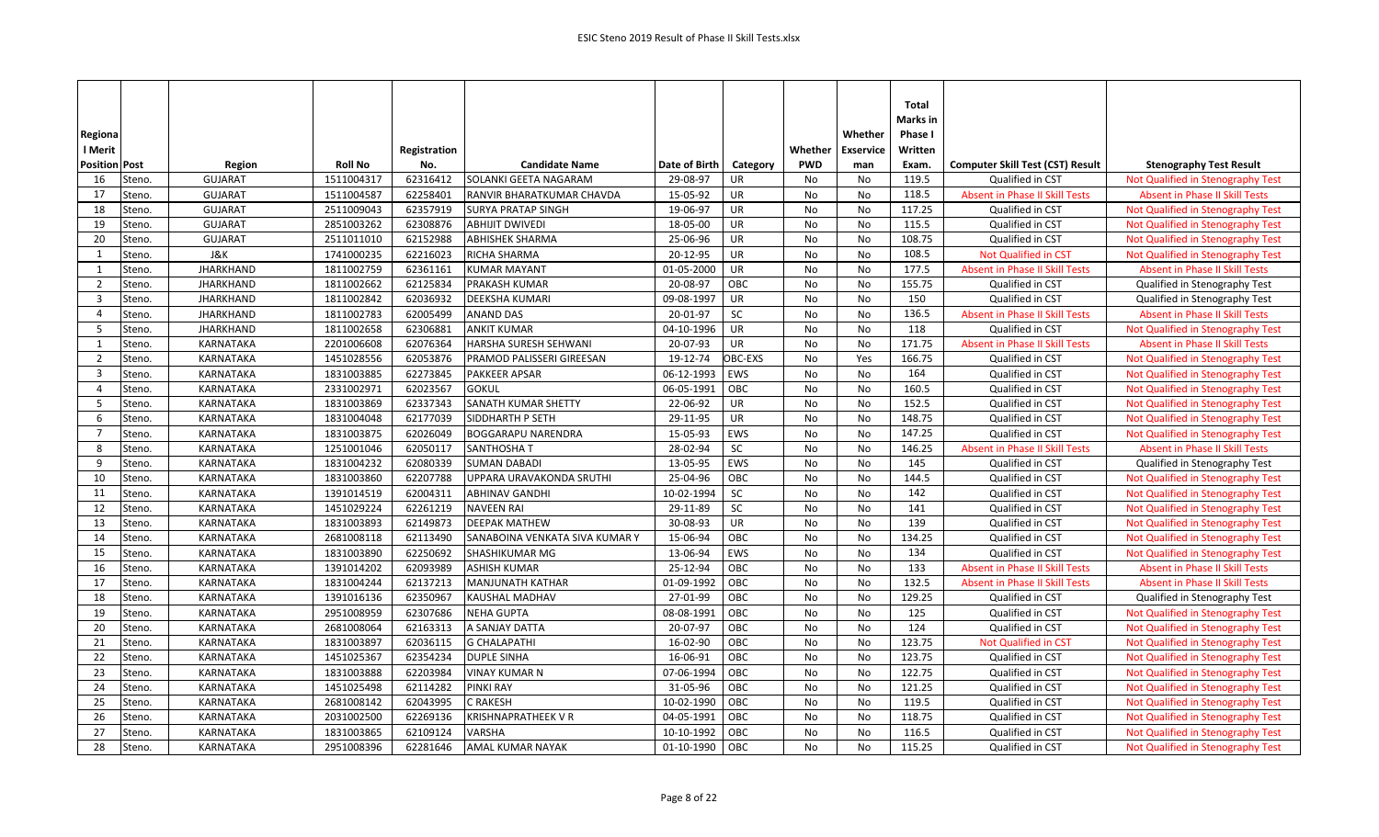| Regiona                           |                  |                |                     |                                |               |            |            | Whether          | Total<br>Marks in<br>Phase I |                                         |                                       |
|-----------------------------------|------------------|----------------|---------------------|--------------------------------|---------------|------------|------------|------------------|------------------------------|-----------------------------------------|---------------------------------------|
| l Merit                           |                  |                |                     |                                |               |            | Whether    | <b>Exservice</b> | Written                      |                                         |                                       |
| <b>Position Post</b>              | Region           | <b>Roll No</b> | Registration<br>No. | <b>Candidate Name</b>          | Date of Birth | Category   | <b>PWD</b> | man              | Exam.                        | <b>Computer Skill Test (CST) Result</b> | <b>Stenography Test Result</b>        |
| 16<br>Steno.                      | <b>GUJARAT</b>   | 1511004317     | 62316412            | SOLANKI GEETA NAGARAM          | 29-08-97      | UR         | No         | No               | 119.5                        | Qualified in CST                        | Not Qualified in Stenography Test     |
| Steno.<br>17                      | <b>GUJARAT</b>   | 1511004587     | 62258401            | RANVIR BHARATKUMAR CHAVDA      | 15-05-92      | UR         | No         | No               | 118.5                        | Absent in Phase II Skill Tests          | <b>Absent in Phase II Skill Tests</b> |
| Steno.<br>18                      | <b>GUJARAT</b>   | 2511009043     | 62357919            | <b>SURYA PRATAP SINGH</b>      | 19-06-97      | UR         | No         | No               | 117.25                       | Qualified in CST                        | Not Qualified in Stenography Test     |
| 19<br>Steno.                      | <b>GUJARAT</b>   | 2851003262     | 62308876            | <b>ABHIJIT DWIVEDI</b>         | 18-05-00      | UR         | No         | No               | 115.5                        | Qualified in CST                        | Not Qualified in Stenography Test     |
| 20<br>Steno.                      | <b>GUJARAT</b>   | 2511011010     | 62152988            | <b>ABHISHEK SHARMA</b>         | 25-06-96      | UR         | No         | <b>No</b>        | 108.75                       | Qualified in CST                        | Not Qualified in Stenography Test     |
| 1<br>Steno.                       | J&K              | 1741000235     | 62216023            | RICHA SHARMA                   | 20-12-95      | UR         | No         | No               | 108.5                        | Not Qualified in CST                    | Not Qualified in Stenography Test     |
| 1<br>Steno.                       | <b>JHARKHAND</b> | 1811002759     | 62361161            | <b>KUMAR MAYANT</b>            | 01-05-2000    | <b>UR</b>  | No         | No               | 177.5                        | <b>Absent in Phase II Skill Tests</b>   | <b>Absent in Phase II Skill Tests</b> |
| $\overline{2}$<br>Steno.          | <b>JHARKHAND</b> | 1811002662     | 62125834            | PRAKASH KUMAR                  | 20-08-97      | OBC        | No         | No               | 155.75                       | Qualified in CST                        | Qualified in Stenography Test         |
| $\overline{\mathbf{3}}$<br>Steno. | <b>JHARKHAND</b> | 1811002842     | 62036932            | DEEKSHA KUMARI                 | 09-08-1997    | UR         | No         | No               | 150                          | Qualified in CST                        | Qualified in Stenography Test         |
| $\overline{4}$<br>Steno.          | <b>JHARKHAND</b> | 1811002783     | 62005499            | ANAND DAS                      | 20-01-97      | SC         | No         | No               | 136.5                        | <b>Absent in Phase II Skill Tests</b>   | <b>Absent in Phase II Skill Tests</b> |
| - 5<br>Steno.                     | <b>JHARKHAND</b> | 1811002658     | 62306881            | <b>ANKIT KUMAR</b>             | 04-10-1996    | UR         | No         | No               | 118                          | Qualified in CST                        | Not Qualified in Stenography Test     |
| 1<br>Steno.                       | KARNATAKA        | 2201006608     | 62076364            | HARSHA SURESH SEHWANI          | 20-07-93      | UR         | <b>No</b>  | No               | 171.75                       | <b>Absent in Phase II Skill Tests</b>   | <b>Absent in Phase II Skill Tests</b> |
| 2<br>Steno.                       | KARNATAKA        | 1451028556     | 62053876            | PRAMOD PALISSERI GIREESAN      | 19-12-74      | OBC-EXS    | No         | Yes              | 166.75                       | Qualified in CST                        | Not Qualified in Stenography Test     |
| $\overline{3}$<br>Steno.          | KARNATAKA        | 1831003885     | 62273845            | <b>PAKKEER APSAR</b>           | 06-12-1993    | EWS        | No         | No               | 164                          | Qualified in CST                        | Not Qualified in Stenography Test     |
| $\overline{4}$<br>Steno.          | KARNATAKA        | 2331002971     | 62023567            | <b>GOKUL</b>                   | 06-05-1991    | OBC        | No         | No               | 160.5                        | Qualified in CST                        | Not Qualified in Stenography Test     |
| 5<br>Steno.                       | KARNATAKA        | 1831003869     | 62337343            | SANATH KUMAR SHETTY            | 22-06-92      | UR         | No         | No               | 152.5                        | Qualified in CST                        | Not Qualified in Stenography Test     |
| 6<br>Steno.                       | KARNATAKA        | 1831004048     | 62177039            | SIDDHARTH P SETH               | 29-11-95      | UR         | No         | No               | 148.75                       | Qualified in CST                        | Not Qualified in Stenography Test     |
| 7<br>Steno.                       | KARNATAKA        | 1831003875     | 62026049            | <b>BOGGARAPU NARENDRA</b>      | 15-05-93      | <b>EWS</b> | No         | No               | 147.25                       | Qualified in CST                        | Not Qualified in Stenography Test     |
| 8<br>Steno.                       | KARNATAKA        | 1251001046     | 62050117            | SANTHOSHA T                    | 28-02-94      | <b>SC</b>  | <b>No</b>  | No               | 146.25                       | <b>Absent in Phase II Skill Tests</b>   | Absent in Phase II Skill Tests        |
| 9<br>Steno.                       | KARNATAKA        | 1831004232     | 62080339            | <b>SUMAN DABADI</b>            | 13-05-95      | <b>EWS</b> | No         | No               | 145                          | Qualified in CST                        | Qualified in Stenography Test         |
| 10<br>Steno.                      | KARNATAKA        | 1831003860     | 62207788            | UPPARA URAVAKONDA SRUTHI       | 25-04-96      | OBC        | No         | No               | 144.5                        | Qualified in CST                        | Not Qualified in Stenography Test     |
| 11<br>Steno.                      | KARNATAKA        | 1391014519     | 62004311            | <b>ABHINAV GANDHI</b>          | 10-02-1994    | SC         | No         | No               | 142                          | Qualified in CST                        | Not Qualified in Stenography Test     |
| 12<br>Steno.                      | KARNATAKA        | 1451029224     | 62261219            | <b>NAVEEN RAI</b>              | 29-11-89      | SC         | No         | No               | 141                          | Qualified in CST                        | Not Qualified in Stenography Test     |
| 13<br>Steno.                      | KARNATAKA        | 1831003893     | 62149873            | <b>DEEPAK MATHEW</b>           | 30-08-93      | UR         | No         | No               | 139                          | Qualified in CST                        | Not Qualified in Stenography Test     |
| Steno.<br>14                      | <b>KARNATAKA</b> | 2681008118     | 62113490            | SANABOINA VENKATA SIVA KUMAR Y | 15-06-94      | OBC        | No         | No               | 134.25                       | Qualified in CST                        | Not Qualified in Stenography Test     |
| 15<br>Steno.                      | KARNATAKA        | 1831003890     | 62250692            | SHASHIKUMAR MG                 | 13-06-94      | EWS        | No         | No               | 134                          | Qualified in CST                        | Not Qualified in Stenography Test     |
| 16<br>Steno.                      | KARNATAKA        | 1391014202     | 62093989            | <b>ASHISH KUMAR</b>            | 25-12-94      | OBC        | No         | No               | 133                          | <b>Absent in Phase II Skill Tests</b>   | <b>Absent in Phase II Skill Tests</b> |
| 17<br>Steno.                      | KARNATAKA        | 1831004244     | 62137213            | <b>MANJUNATH KATHAR</b>        | 01-09-1992    | OBC        | No         | No               | 132.5                        | <b>Absent in Phase II Skill Tests</b>   | <b>Absent in Phase II Skill Tests</b> |
| 18<br>Steno.                      | KARNATAKA        | 1391016136     | 62350967            | KAUSHAL MADHAV                 | 27-01-99      | OBC        | No         | No               | 129.25                       | Qualified in CST                        | Qualified in Stenography Test         |
| 19<br>Steno.                      | KARNATAKA        | 2951008959     | 62307686            | <b>NEHA GUPTA</b>              | 08-08-1991    | OBC        | No         | No               | 125                          | Qualified in CST                        | Not Qualified in Stenography Test     |
| 20<br>Steno.                      | KARNATAKA        | 2681008064     | 62163313            | A SANJAY DATTA                 | 20-07-97      | OBC        | No         | No               | 124                          | Qualified in CST                        | Not Qualified in Stenography Test     |
| 21<br>Steno.                      | KARNATAKA        | 1831003897     | 62036115            | <b>G CHALAPATHI</b>            | 16-02-90      | OBC        | No         | No               | 123.75                       | <b>Not Qualified in CST</b>             | Not Qualified in Stenography Test     |
| 22<br>Steno.                      | KARNATAKA        | 1451025367     | 62354234            | <b>DUPLE SINHA</b>             | 16-06-91      | OBC        | No         | No               | 123.75                       | Qualified in CST                        | Not Qualified in Stenography Test     |
| 23<br>Steno.                      | KARNATAKA        | 1831003888     | 62203984            | <b>VINAY KUMAR N</b>           | 07-06-1994    | OBC        | No         | No               | 122.75                       | Qualified in CST                        | Not Qualified in Stenography Test     |
| 24<br>Steno.                      | KARNATAKA        | 1451025498     | 62114282            | PINKI RAY                      | 31-05-96      | OBC        | No         | No               | 121.25                       | Qualified in CST                        | Not Qualified in Stenography Test     |
| 25<br>Steno.                      | KARNATAKA        | 2681008142     | 62043995            | C RAKESH                       | 10-02-1990    | OBC        | No         | No               | 119.5                        | Qualified in CST                        | Not Qualified in Stenography Test     |
| 26<br>Steno.                      | KARNATAKA        | 2031002500     | 62269136            | KRISHNAPRATHEEK V R            | 04-05-1991    | OBC        | No         | No               | 118.75                       | Qualified in CST                        | Not Qualified in Stenography Test     |
| 27<br>Steno.                      | KARNATAKA        | 1831003865     | 62109124            | <b>VARSHA</b>                  | 10-10-1992    | OBC        | No         | No               | 116.5                        | Qualified in CST                        | Not Qualified in Stenography Test     |
| 28<br>Steno.                      | KARNATAKA        | 2951008396     | 62281646            | <b>AMAL KUMAR NAYAK</b>        | 01-10-1990    | OBC        | No         | No               | 115.25                       | Qualified in CST                        | Not Qualified in Stenography Test     |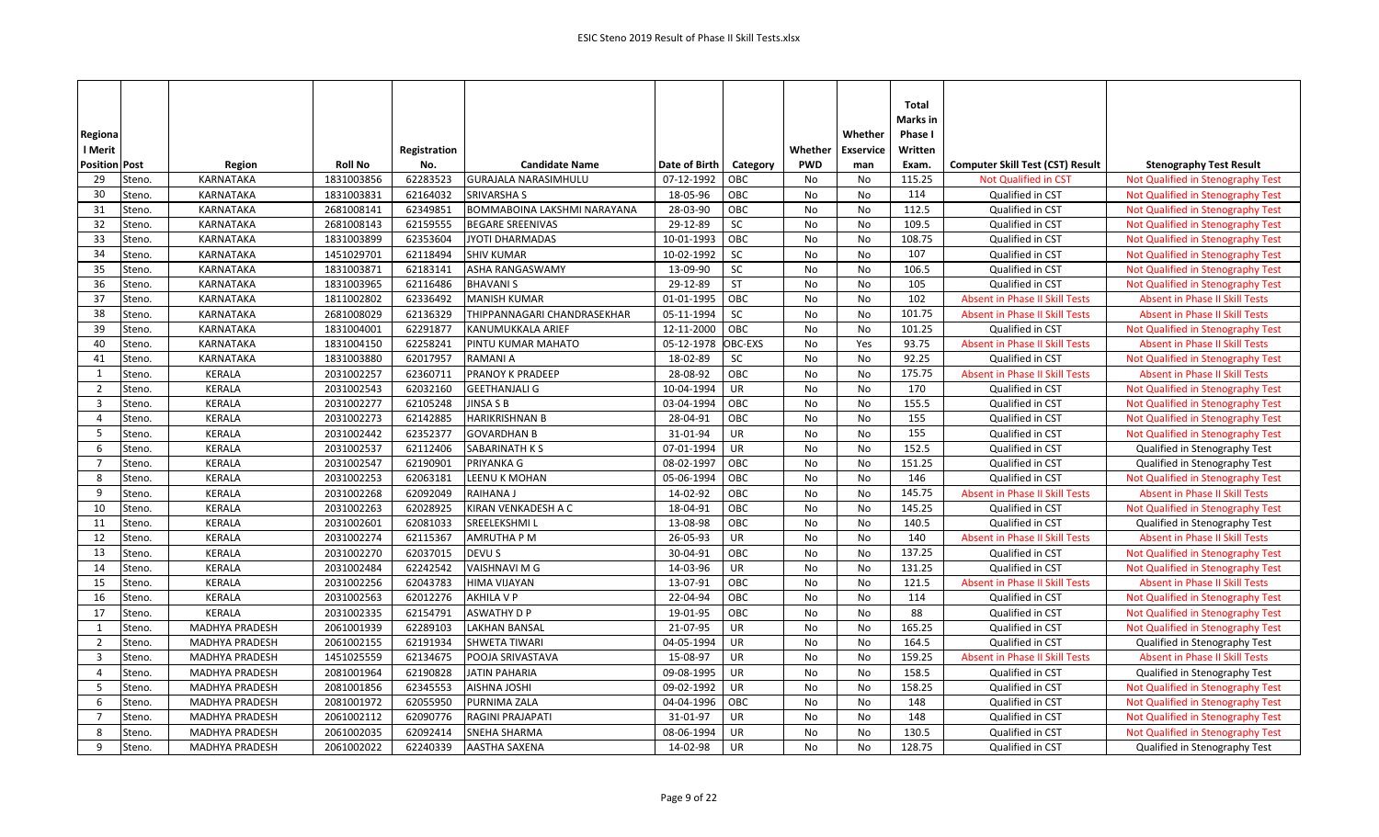| Regiona                  |                       |                |              |                                    |               |           |            | Whether          | Total<br>Marks in<br>Phase I |                                         |                                       |
|--------------------------|-----------------------|----------------|--------------|------------------------------------|---------------|-----------|------------|------------------|------------------------------|-----------------------------------------|---------------------------------------|
| I Merit                  |                       |                | Registration |                                    |               |           | Whether    | <b>Exservice</b> | Written                      |                                         |                                       |
| <b>Position Post</b>     | Region                | <b>Roll No</b> | No.          | <b>Candidate Name</b>              | Date of Birth | Category  | <b>PWD</b> | man              | Exam.                        | <b>Computer Skill Test (CST) Result</b> | <b>Stenography Test Result</b>        |
| 29<br>Steno.             | KARNATAKA             | 1831003856     | 62283523     | <b>GURAJALA NARASIMHULU</b>        | 07-12-1992    | OBC       | No         | No               | 115.25                       | <b>Not Qualified in CST</b>             | Not Qualified in Stenography Test     |
| 30<br>Steno.             | <b>KARNATAKA</b>      | 1831003831     | 62164032     | <b>SRIVARSHA S</b>                 | 18-05-96      | OBC       | No         | No               | 114                          | Qualified in CST                        | Not Qualified in Stenography Test     |
| 31<br>Steno.             | KARNATAKA             | 2681008141     | 62349851     | <b>BOMMABOINA LAKSHMI NARAYANA</b> | 28-03-90      | OBC       | No         | No               | 112.5                        | Qualified in CST                        | Not Qualified in Stenography Test     |
| 32<br>Steno.             | KARNATAKA             | 2681008143     | 62159555     | <b>BEGARE SREENIVAS</b>            | 29-12-89      | SC        | No         | No               | 109.5                        | Qualified in CST                        | Not Qualified in Stenography Test     |
| 33<br>Steno.             | <b>KARNATAKA</b>      | 1831003899     | 62353604     | JYOTI DHARMADAS                    | 10-01-1993    | OBC       | No         | No               | 108.75                       | Qualified in CST                        | Not Qualified in Stenography Test     |
| 34<br>Steno.             | KARNATAKA             | 1451029701     | 62118494     | <b>SHIV KUMAR</b>                  | 10-02-1992    | SC        | No         | No               | 107                          | Qualified in CST                        | Not Qualified in Stenography Test     |
| 35<br>Steno.             | KARNATAKA             | 1831003871     | 62183141     | ASHA RANGASWAMY                    | 13-09-90      | SC        | No         | No               | 106.5                        | Qualified in CST                        | Not Qualified in Stenography Test     |
| 36<br>Steno.             | KARNATAKA             | 1831003965     | 62116486     | <b>BHAVANIS</b>                    | 29-12-89      | <b>ST</b> | No         | No               | 105                          | Qualified in CST                        | Not Qualified in Stenography Test     |
| 37<br>Steno.             | KARNATAKA             | 1811002802     | 62336492     | <b>MANISH KUMAR</b>                | 01-01-1995    | OBC       | No         | No               | 102                          | <b>Absent in Phase II Skill Tests</b>   | <b>Absent in Phase II Skill Tests</b> |
| 38<br>Steno.             | KARNATAKA             | 2681008029     | 62136329     | THIPPANNAGARI CHANDRASEKHAR        | 05-11-1994    | <b>SC</b> | No         | No               | 101.75                       | <b>Absent in Phase II Skill Tests</b>   | <b>Absent in Phase II Skill Tests</b> |
| 39<br>Steno.             | KARNATAKA             | 1831004001     | 62291877     | KANUMUKKALA ARIEF                  | 12-11-2000    | OBC       | No         | No               | 101.25                       | Qualified in CST                        | Not Qualified in Stenography Test     |
| 40<br>Steno.             | <b>KARNATAKA</b>      | 1831004150     | 62258241     | PINTU KUMAR MAHATO                 | 05-12-1978    | OBC-EXS   | No         | Yes              | 93.75                        | <b>Absent in Phase II Skill Tests</b>   | <b>Absent in Phase II Skill Tests</b> |
| 41<br>Steno.             | KARNATAKA             | 1831003880     | 62017957     | RAMANI A                           | 18-02-89      | SC        | No         | No               | 92.25                        | Qualified in CST                        | Not Qualified in Stenography Test     |
| 1<br>Steno.              | <b>KERALA</b>         | 2031002257     | 62360711     | PRANOY K PRADEEP                   | 28-08-92      | OBC       | No         | No               | 175.75                       | <b>Absent in Phase II Skill Tests</b>   | <b>Absent in Phase II Skill Tests</b> |
| $\overline{2}$<br>Steno. | <b>KERALA</b>         | 2031002543     | 62032160     | <b>GEETHANJALI G</b>               | 10-04-1994    | <b>UR</b> | No         | No               | 170                          | Qualified in CST                        | Not Qualified in Stenography Test     |
| $\overline{3}$<br>Steno. | <b>KERALA</b>         | 2031002277     | 62105248     | JINSA S B                          | 03-04-1994    | OBC       | No         | No               | 155.5                        | Qualified in CST                        | Not Qualified in Stenography Test     |
| $\overline{4}$<br>Steno. | <b>KERALA</b>         | 2031002273     | 62142885     | <b>HARIKRISHNAN B</b>              | 28-04-91      | OBC       | No         | No               | 155                          | Qualified in CST                        | Not Qualified in Stenography Test     |
| - 5<br>Steno.            | <b>KERALA</b>         | 2031002442     | 62352377     | <b>GOVARDHAN B</b>                 | 31-01-94      | UR        | No         | No               | 155                          | Qualified in CST                        | Not Qualified in Stenography Test     |
| 6<br>Steno.              | <b>KERALA</b>         | 2031002537     | 62112406     | SABARINATH K S                     | 07-01-1994    | UR        | No         | No               | 152.5                        | Qualified in CST                        | Qualified in Stenography Test         |
| 7<br>Steno.              | <b>KERALA</b>         | 2031002547     | 62190901     | PRIYANKA G                         | 08-02-1997    | OBC       | No         | No               | 151.25                       | Qualified in CST                        | Qualified in Stenography Test         |
| 8<br>Steno.              | <b>KERALA</b>         | 2031002253     | 62063181     | LEENU K MOHAN                      | 05-06-1994    | OBC       | No         | No               | 146                          | Qualified in CST                        | Not Qualified in Stenography Test     |
| 9<br>Steno.              | <b>KERALA</b>         | 2031002268     | 62092049     | <b>RAIHANA J</b>                   | 14-02-92      | OBC       | No         | <b>No</b>        | 145.75                       | <b>Absent in Phase II Skill Tests</b>   | <b>Absent in Phase II Skill Tests</b> |
| Steno.<br>10             | <b>KERALA</b>         | 2031002263     | 62028925     | KIRAN VENKADESH A C                | 18-04-91      | OBC       | No         | No               | 145.25                       | Qualified in CST                        | Not Qualified in Stenography Test     |
| 11<br>Steno.             | <b>KERALA</b>         | 2031002601     | 62081033     | SREELEKSHMI L                      | 13-08-98      | OBC       | No         | No               | 140.5                        | Qualified in CST                        | Qualified in Stenography Test         |
| 12<br>Steno.             | <b>KERALA</b>         | 2031002274     | 62115367     | <b>AMRUTHA P M</b>                 | 26-05-93      | UR        | No         | No               | 140                          | <b>Absent in Phase II Skill Tests</b>   | <b>Absent in Phase II Skill Tests</b> |
| 13<br>Steno.             | KERALA                | 2031002270     | 62037015     | DEVU S                             | 30-04-91      | OBC       | No         | No               | 137.25                       | Qualified in CST                        | Not Qualified in Stenography Test     |
| 14<br>Steno.             | KERALA                | 2031002484     | 62242542     | VAISHNAVI M G                      | 14-03-96      | UR        | No         | No               | 131.25                       | Qualified in CST                        | Not Qualified in Stenography Test     |
| 15<br>Steno.             | <b>KERALA</b>         | 2031002256     | 62043783     | <b>HIMA VIJAYAN</b>                | 13-07-91      | OBC       | No         | No               | 121.5                        | <b>Absent in Phase II Skill Tests</b>   | <b>Absent in Phase II Skill Tests</b> |
| 16<br>Steno.             | KERALA                | 2031002563     | 62012276     | AKHILA V P                         | 22-04-94      | OBC       | <b>No</b>  | No               | 114                          | Qualified in CST                        | Not Qualified in Stenography Test     |
| 17<br>Steno.             | <b>KERALA</b>         | 2031002335     | 62154791     | <b>ASWATHY D P</b>                 | 19-01-95      | OBC       | No         | No               | 88                           | Qualified in CST                        | Not Qualified in Stenography Test     |
| Steno.<br>1              | MADHYA PRADESH        | 2061001939     | 62289103     | <b>LAKHAN BANSAL</b>               | 21-07-95      | UR        | No         | No               | 165.25                       | Qualified in CST                        | Not Qualified in Stenography Test     |
| $\overline{2}$<br>Steno. | <b>MADHYA PRADESH</b> | 2061002155     | 62191934     | <b>SHWETA TIWARI</b>               | 04-05-1994    | <b>UR</b> | No         | No               | 164.5                        | Qualified in CST                        | Qualified in Stenography Test         |
| $\overline{3}$<br>Steno. | <b>MADHYA PRADESH</b> | 1451025559     | 62134675     | POOJA SRIVASTAVA                   | 15-08-97      | UR        | No         | No               | 159.25                       | Absent in Phase II Skill Tests          | <b>Absent in Phase II Skill Tests</b> |
| $\overline{4}$<br>Steno. | <b>MADHYA PRADESH</b> | 2081001964     | 62190828     | <b>JATIN PAHARIA</b>               | 09-08-1995    | UR        | No         | No               | 158.5                        | Qualified in CST                        | Qualified in Stenography Test         |
| - 5<br>Steno.            | <b>MADHYA PRADESH</b> | 2081001856     | 62345553     | <b>AISHNA JOSHI</b>                | 09-02-1992    | UR        | No         | No               | 158.25                       | Qualified in CST                        | Not Qualified in Stenography Test     |
| 6<br>Steno.              | <b>MADHYA PRADESH</b> | 2081001972     | 62055950     | PURNIMA ZALA                       | 04-04-1996    | OBC       | No         | No               | 148                          | Qualified in CST                        | Not Qualified in Stenography Test     |
| $\overline{7}$<br>Steno. | <b>MADHYA PRADESH</b> | 2061002112     | 62090776     | RAGINI PRAJAPATI                   | 31-01-97      | UR        | No         | No               | 148                          | Qualified in CST                        | Not Qualified in Stenography Test     |
| 8<br>Steno.              | <b>MADHYA PRADESH</b> | 2061002035     | 62092414     | <b>SNEHA SHARMA</b>                | 08-06-1994    | UR        | No         | No               | 130.5                        | Qualified in CST                        | Not Qualified in Stenography Test     |
| 9<br>Steno.              | <b>MADHYA PRADESH</b> | 2061002022     | 62240339     | <b>AASTHA SAXENA</b>               | 14-02-98      | UR        | No         | No               | 128.75                       | Qualified in CST                        | Qualified in Stenography Test         |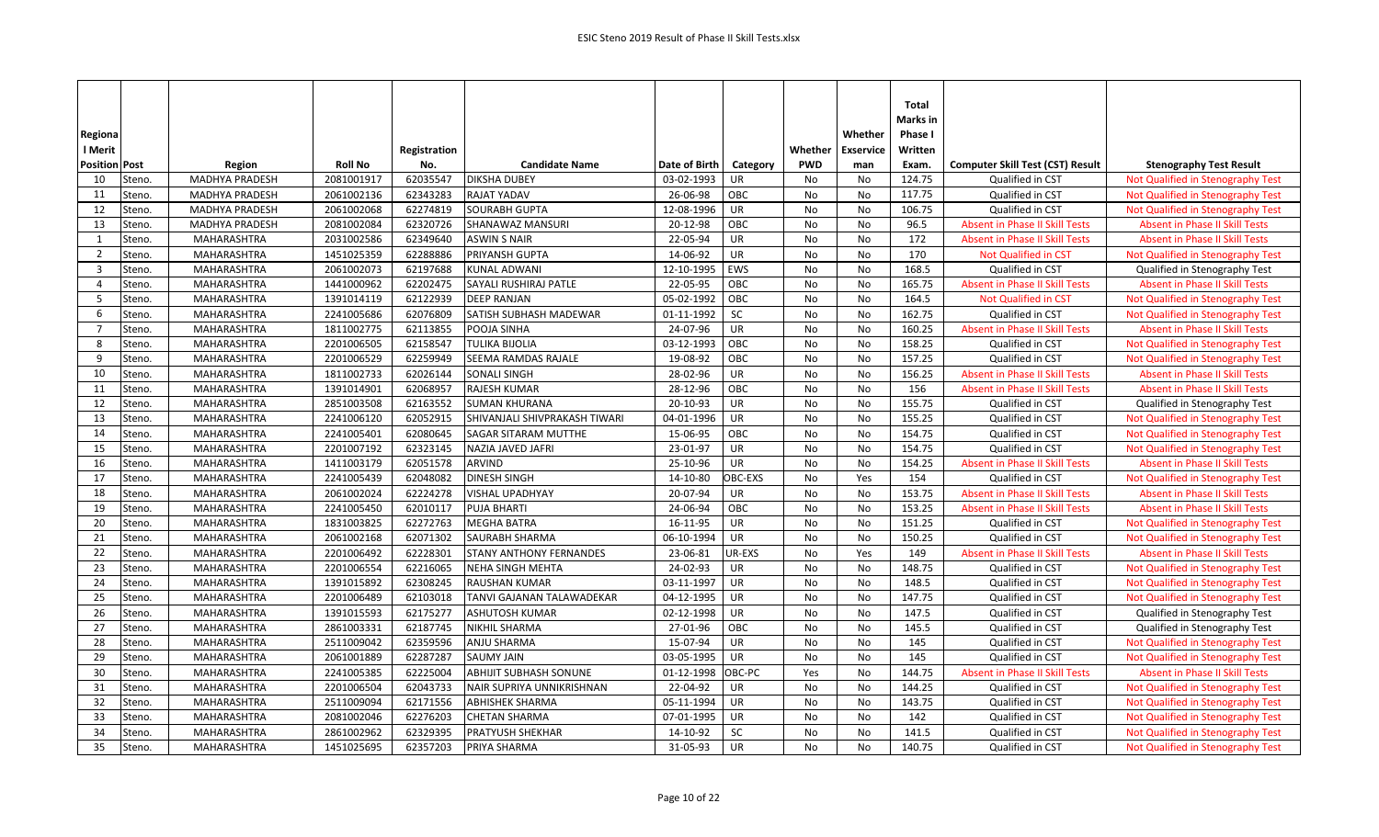|                                   |                       |                |              |                                |               |           |            |                  | Total<br>Marks in |                                         |                                       |
|-----------------------------------|-----------------------|----------------|--------------|--------------------------------|---------------|-----------|------------|------------------|-------------------|-----------------------------------------|---------------------------------------|
| Regiona                           |                       |                |              |                                |               |           |            | Whether          | Phase I           |                                         |                                       |
| l Merit                           |                       |                | Registration |                                |               |           | Whether    | <b>Exservice</b> | Written           |                                         |                                       |
| <b>Position Post</b>              | Region                | <b>Roll No</b> | No.          | <b>Candidate Name</b>          | Date of Birth | Category  | <b>PWD</b> | man              | Exam.             | <b>Computer Skill Test (CST) Result</b> | <b>Stenography Test Result</b>        |
| 10<br>Steno.                      | <b>MADHYA PRADESH</b> | 2081001917     | 62035547     | <b>DIKSHA DUBEY</b>            | 03-02-1993    | UR        | No         | No               | 124.75            | Qualified in CST                        | Not Qualified in Stenography Test     |
| 11<br>Steno.                      | <b>MADHYA PRADESH</b> | 2061002136     | 62343283     | <b>RAJAT YADAV</b>             | 26-06-98      | OBC       | No         | No               | 117.75            | Qualified in CST                        | Not Qualified in Stenography Test     |
| 12<br>Steno.                      | <b>MADHYA PRADESH</b> | 2061002068     | 62274819     | <b>SOURABH GUPTA</b>           | 12-08-1996    | UR        | No         | No               | 106.75            | Qualified in CST                        | Not Qualified in Stenography Test     |
| 13<br>Steno.                      | <b>MADHYA PRADESH</b> | 2081002084     | 62320726     | <b>SHANAWAZ MANSURI</b>        | 20-12-98      | OBC       | No         | No               | 96.5              | <b>Absent in Phase II Skill Tests</b>   | <b>Absent in Phase II Skill Tests</b> |
| Steno.<br>1                       | <b>MAHARASHTRA</b>    | 2031002586     | 62349640     | <b>ASWIN S NAIR</b>            | 22-05-94      | UR        | No         | No               | 172               | <b>Absent in Phase II Skill Tests</b>   | <b>Absent in Phase II Skill Tests</b> |
| $\overline{2}$<br>Steno.          | MAHARASHTRA           | 1451025359     | 62288886     | PRIYANSH GUPTA                 | 14-06-92      | UR        | No         | No               | 170               | Not Qualified in CST                    | Not Qualified in Stenography Test     |
| $\overline{\mathbf{3}}$<br>Steno. | MAHARASHTRA           | 2061002073     | 62197688     | KUNAL ADWANI                   | 12-10-1995    | EWS       | No         | No               | 168.5             | Qualified in CST                        | Qualified in Stenography Test         |
| $\overline{4}$<br>Steno.          | MAHARASHTRA           | 1441000962     | 62202475     | SAYALI RUSHIRAJ PATLE          | 22-05-95      | OBC       | No         | No               | 165.75            | <b>Absent in Phase II Skill Tests</b>   | <b>Absent in Phase II Skill Tests</b> |
| 5<br>Steno.                       | MAHARASHTRA           | 1391014119     | 62122939     | <b>DEEP RANJAN</b>             | 05-02-1992    | OBC       | No         | No               | 164.5             | <b>Not Qualified in CST</b>             | Not Qualified in Stenography Test     |
| 6<br>Steno.                       | MAHARASHTRA           | 2241005686     | 62076809     | SATISH SUBHASH MADEWAR         | 01-11-1992    | <b>SC</b> | No         | No               | 162.75            | Qualified in CST                        | Not Qualified in Stenography Test     |
| $\overline{7}$<br>Steno.          | MAHARASHTRA           | 1811002775     | 62113855     | POOJA SINHA                    | 24-07-96      | UR        | No         | No               | 160.25            | <b>Absent in Phase II Skill Tests</b>   | <b>Absent in Phase II Skill Tests</b> |
| 8<br>Steno.                       | MAHARASHTRA           | 2201006505     | 62158547     | <b>TULIKA BIJOLIA</b>          | 03-12-1993    | OBC       | No         | No               | 158.25            | Qualified in CST                        | Not Qualified in Stenography Test     |
| 9<br>Steno.                       | MAHARASHTRA           | 2201006529     | 62259949     | SEEMA RAMDAS RAJALE            | 19-08-92      | OBC       | No         | No               | 157.25            | Qualified in CST                        | Not Qualified in Stenography Test     |
| 10<br>Steno.                      | <b>MAHARASHTRA</b>    | 1811002733     | 62026144     | <b>SONALI SINGH</b>            | 28-02-96      | UR        | No         | No               | 156.25            | <b>Absent in Phase II Skill Tests</b>   | <b>Absent in Phase II Skill Tests</b> |
| 11<br>Steno.                      | MAHARASHTRA           | 1391014901     | 62068957     | <b>RAJESH KUMAR</b>            | 28-12-96      | OBC       | No         | No               | 156               | <b>Absent in Phase II Skill Tests</b>   | <b>Absent in Phase II Skill Tests</b> |
| 12<br>Steno.                      | MAHARASHTRA           | 2851003508     | 62163552     | <b>SUMAN KHURANA</b>           | 20-10-93      | UR        | No         | No               | 155.75            | Qualified in CST                        | Qualified in Stenography Test         |
| 13<br>Steno.                      | MAHARASHTRA           | 2241006120     | 62052915     | SHIVANJALI SHIVPRAKASH TIWARI  | 04-01-1996    | UR        | No         | No               | 155.25            | Qualified in CST                        | Not Qualified in Stenography Test     |
| 14<br>Steno.                      | MAHARASHTRA           | 2241005401     | 62080645     | SAGAR SITARAM MUTTHE           | 15-06-95      | OBC       | No         | No               | 154.75            | Qualified in CST                        | Not Qualified in Stenography Test     |
| 15<br>Steno.                      | MAHARASHTRA           | 2201007192     | 62323145     | NAZIA JAVED JAFRI              | 23-01-97      | UR        | No         | No               | 154.75            | Qualified in CST                        | Not Qualified in Stenography Test     |
| 16<br>Steno.                      | MAHARASHTRA           | 1411003179     | 62051578     | <b>ARVIND</b>                  | 25-10-96      | UR        | No         | No               | 154.25            | <b>Absent in Phase II Skill Tests</b>   | <b>Absent in Phase II Skill Tests</b> |
| 17<br>Steno.                      | MAHARASHTRA           | 2241005439     | 62048082     | <b>DINESH SINGH</b>            | 14-10-80      | OBC-EXS   | No         | Yes              | 154               | Qualified in CST                        | Not Qualified in Stenography Test     |
| 18<br>Steno.                      | MAHARASHTRA           | 2061002024     | 62224278     | VISHAL UPADHYAY                | 20-07-94      | UR        | No         | No               | 153.75            | <b>Absent in Phase II Skill Tests</b>   | <b>Absent in Phase II Skill Tests</b> |
| 19<br>Steno.                      | MAHARASHTRA           | 2241005450     | 62010117     | <b>PUJA BHARTI</b>             | 24-06-94      | OBC       | No         | No               | 153.25            | <b>Absent in Phase II Skill Tests</b>   | <b>Absent in Phase II Skill Tests</b> |
| 20<br>Steno.                      | MAHARASHTRA           | 1831003825     | 62272763     | <b>MEGHA BATRA</b>             | 16-11-95      | UR        | No         | No               | 151.25            | Qualified in CST                        | Not Qualified in Stenography Test     |
| 21<br>Steno.                      | <b>MAHARASHTRA</b>    | 2061002168     | 62071302     | <b>SAURABH SHARMA</b>          | 06-10-1994    | UR        | No         | <b>No</b>        | 150.25            | Qualified in CST                        | Not Qualified in Stenography Test     |
| 22<br>Steno.                      | MAHARASHTRA           | 2201006492     | 62228301     | <b>STANY ANTHONY FERNANDES</b> | 23-06-81      | UR-EXS    | No         | Yes              | 149               | <b>Absent in Phase II Skill Tests</b>   | Absent in Phase II Skill Tests        |
| 23<br>Steno.                      | MAHARASHTRA           | 2201006554     | 62216065     | <b>NEHA SINGH MEHTA</b>        | 24-02-93      | UR        | No         | No               | 148.75            | Qualified in CST                        | Not Qualified in Stenography Test     |
| 24<br>Steno.                      | <b>MAHARASHTRA</b>    | 1391015892     | 62308245     | <b>RAUSHAN KUMAR</b>           | 03-11-1997    | <b>UR</b> | No         | No               | 148.5             | Qualified in CST                        | Not Qualified in Stenography Test     |
| 25<br>Steno.                      | MAHARASHTRA           | 2201006489     | 62103018     | TANVI GAJANAN TALAWADEKAR      | 04-12-1995    | UR        | No         | No               | 147.75            | Qualified in CST                        | Not Qualified in Stenography Test     |
| 26<br>Steno.                      | MAHARASHTRA           | 1391015593     | 62175277     | <b>ASHUTOSH KUMAR</b>          | 02-12-1998    | <b>UR</b> | No         | No               | 147.5             | Qualified in CST                        | Qualified in Stenography Test         |
| 27<br>Steno.                      | MAHARASHTRA           | 2861003331     | 62187745     | NIKHIL SHARMA                  | 27-01-96      | OBC       | No         | No               | 145.5             | Qualified in CST                        | Qualified in Stenography Test         |
| 28<br>Steno.                      | MAHARASHTRA           | 2511009042     | 62359596     | ANJU SHARMA                    | 15-07-94      | UR        | No         | No               | 145               | Qualified in CST                        | Not Qualified in Stenography Test     |
| 29<br>Steno.                      | MAHARASHTRA           | 2061001889     | 62287287     | <b>SAUMY JAIN</b>              | 03-05-1995    | <b>UR</b> | No         | No               | 145               | Qualified in CST                        | Not Qualified in Stenography Test     |
| 30<br>Steno.                      | MAHARASHTRA           | 2241005385     | 62225004     | <b>ABHIJIT SUBHASH SONUNE</b>  | 01-12-1998    | OBC-PC    | Yes        | No               | 144.75            | <b>Absent in Phase II Skill Tests</b>   | <b>Absent in Phase II Skill Tests</b> |
| 31<br>Steno.                      | <b>MAHARASHTRA</b>    | 2201006504     | 62043733     | NAIR SUPRIYA UNNIKRISHNAN      | 22-04-92      | UR        | <b>No</b>  | <b>No</b>        | 144.25            | Qualified in CST                        | Not Qualified in Stenography Test     |
| 32<br>Steno.                      | MAHARASHTRA           | 2511009094     | 62171556     | ABHISHEK SHARMA                | 05-11-1994    | UR        | No         | No               | 143.75            | Qualified in CST                        | Not Qualified in Stenography Test     |
| 33<br>Steno.                      | MAHARASHTRA           | 2081002046     | 62276203     | CHETAN SHARMA                  | 07-01-1995    | UR        | No         | No               | 142               | Qualified in CST                        | Not Qualified in Stenography Test     |
| 34<br>Steno.                      | <b>MAHARASHTRA</b>    | 2861002962     | 62329395     | PRATYUSH SHEKHAR               | 14-10-92      | SC        | <b>No</b>  | No               | 141.5             | Qualified in CST                        | Not Qualified in Stenography Test     |
| 35<br>Steno.                      | MAHARASHTRA           | 1451025695     | 62357203     | PRIYA SHARMA                   | 31-05-93      | UR        | No         | No               | 140.75            | Qualified in CST                        | Not Qualified in Stenography Test     |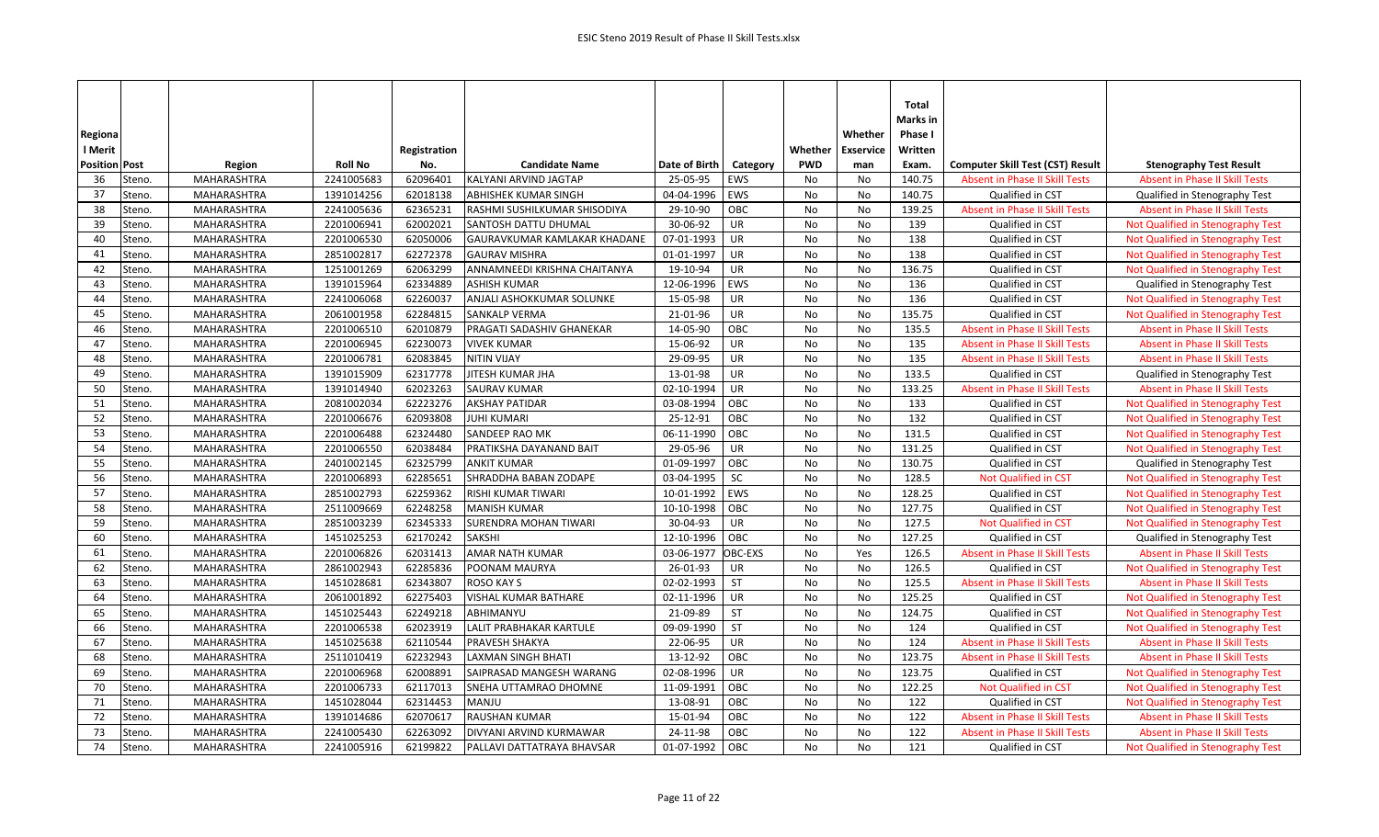|                      |                    |                |              |                              |               |            |            |                  | Total<br>Marks in |                                         |                                       |
|----------------------|--------------------|----------------|--------------|------------------------------|---------------|------------|------------|------------------|-------------------|-----------------------------------------|---------------------------------------|
| Regiona              |                    |                |              |                              |               |            |            | Whether          | Phase I           |                                         |                                       |
| I Merit              |                    |                | Registration |                              |               |            | Whether    | <b>Exservice</b> | Written           |                                         |                                       |
| <b>Position Post</b> | Region             | <b>Roll No</b> | No.          | <b>Candidate Name</b>        | Date of Birth | Category   | <b>PWD</b> | man              | Exam.             | <b>Computer Skill Test (CST) Result</b> | <b>Stenography Test Result</b>        |
| 36<br>Steno.         | MAHARASHTRA        | 2241005683     | 62096401     | KALYANI ARVIND JAGTAP        | 25-05-95      | EWS        | No         | No               | 140.75            | <b>Absent in Phase II Skill Tests</b>   | <b>Absent in Phase II Skill Tests</b> |
| 37<br>Steno.         | <b>MAHARASHTRA</b> | 1391014256     | 62018138     | <b>ABHISHEK KUMAR SINGH</b>  | 04-04-1996    | EWS        | No         | No               | 140.75            | Qualified in CST                        | Qualified in Stenography Test         |
| 38<br>Steno.         | MAHARASHTRA        | 2241005636     | 62365231     | RASHMI SUSHILKUMAR SHISODIYA | 29-10-90      | OBC        | No         | No               | 139.25            | Absent in Phase II Skill Tests          | Absent in Phase II Skill Tests        |
| 39<br>Steno.         | MAHARASHTRA        | 2201006941     | 62002021     | SANTOSH DATTU DHUMAL         | 30-06-92      | <b>UR</b>  | No         | No               | 139               | Qualified in CST                        | Not Qualified in Stenography Test     |
| 40<br>Steno.         | <b>MAHARASHTRA</b> | 2201006530     | 62050006     | GAURAVKUMAR KAMLAKAR KHADANE | 07-01-1993    | <b>UR</b>  | No         | <b>No</b>        | 138               | Qualified in CST                        | Not Qualified in Stenography Test     |
| 41<br>Steno.         | MAHARASHTRA        | 2851002817     | 62272378     | <b>GAURAV MISHRA</b>         | 01-01-1997    | UR         | No         | No               | 138               | Qualified in CST                        | Not Qualified in Stenography Test     |
| 42<br>Steno.         | MAHARASHTRA        | 1251001269     | 62063299     | ANNAMNEEDI KRISHNA CHAITANYA | 19-10-94      | UR         | No         | No               | 136.75            | Qualified in CST                        | Not Qualified in Stenography Test     |
| 43<br>Steno.         | <b>MAHARASHTRA</b> | 1391015964     | 62334889     | <b>ASHISH KUMAR</b>          | 12-06-1996    | <b>EWS</b> | No         | No               | 136               | Qualified in CST                        | Qualified in Stenography Test         |
| 44<br>Steno.         | MAHARASHTRA        | 2241006068     | 62260037     | ANJALI ASHOKKUMAR SOLUNKE    | 15-05-98      | UR         | No         | No               | 136               | Qualified in CST                        | Not Qualified in Stenography Test     |
| 45<br>Steno.         | MAHARASHTRA        | 2061001958     | 62284815     | SANKALP VERMA                | 21-01-96      | UR         | No         | No               | 135.75            | Qualified in CST                        | Not Qualified in Stenography Test     |
| 46<br>Steno.         | MAHARASHTRA        | 2201006510     | 62010879     | PRAGATI SADASHIV GHANEKAR    | 14-05-90      | OBC        | No         | No               | 135.5             | Absent in Phase II Skill Tests          | Absent in Phase II Skill Tests        |
| 47<br>Steno.         | MAHARASHTRA        | 2201006945     | 62230073     | <b>VIVEK KUMAR</b>           | 15-06-92      | <b>UR</b>  | No         | No               | 135               | Absent in Phase II Skill Tests          | <b>Absent in Phase II Skill Tests</b> |
| 48<br>Steno.         | MAHARASHTRA        | 2201006781     | 62083845     | <b>NITIN VIJAY</b>           | 29-09-95      | UR         | No         | No               | 135               | Absent in Phase II Skill Tests          | <b>Absent in Phase II Skill Tests</b> |
| 49<br>Steno.         | MAHARASHTRA        | 1391015909     | 62317778     | JITESH KUMAR JHA             | 13-01-98      | UR         | No         | No               | 133.5             | Qualified in CST                        | Qualified in Stenography Test         |
| 50<br>Steno.         | MAHARASHTRA        | 1391014940     | 62023263     | <b>SAURAV KUMAR</b>          | 02-10-1994    | UR         | No         | No               | 133.25            | Absent in Phase II Skill Tests          | <b>Absent in Phase II Skill Tests</b> |
| 51<br>Steno.         | <b>MAHARASHTRA</b> | 2081002034     | 62223276     | <b>AKSHAY PATIDAR</b>        | 03-08-1994    | OBC        | No         | No               | 133               | Qualified in CST                        | Not Qualified in Stenography Test     |
| 52<br>Steno.         | <b>MAHARASHTRA</b> | 2201006676     | 62093808     | JUHI KUMARI                  | 25-12-91      | OBC        | No         | No               | 132               | Qualified in CST                        | Not Qualified in Stenography Test     |
| 53<br>Steno.         | <b>MAHARASHTRA</b> | 2201006488     | 62324480     | SANDEEP RAO MK               | 06-11-1990    | OBC        | No         | No               | 131.5             | Qualified in CST                        | Not Qualified in Stenography Test     |
| 54<br>Steno.         | MAHARASHTRA        | 2201006550     | 62038484     | PRATIKSHA DAYANAND BAIT      | 29-05-96      | UR         | No         | No               | 131.25            | Qualified in CST                        | Not Qualified in Stenography Test     |
| 55<br>Steno.         | <b>MAHARASHTRA</b> | 2401002145     | 62325799     | <b>ANKIT KUMAR</b>           | 01-09-1997    | OBC        | No         | No               | 130.75            | Qualified in CST                        | Qualified in Stenography Test         |
| 56<br>Steno.         | MAHARASHTRA        | 2201006893     | 62285651     | SHRADDHA BABAN ZODAPE        | 03-04-1995    | SC         | No         | No               | 128.5             | <b>Not Qualified in CST</b>             | Not Qualified in Stenography Test     |
| 57<br>Steno.         | <b>MAHARASHTRA</b> | 2851002793     | 62259362     | RISHI KUMAR TIWARI           | 10-01-1992    | EWS        | No         | No               | 128.25            | Qualified in CST                        | Not Qualified in Stenography Test     |
| 58<br>Steno.         | MAHARASHTRA        | 2511009669     | 62248258     | <b>MANISH KUMAR</b>          | 10-10-1998    | OBC        | No         | No               | 127.75            | Qualified in CST                        | Not Qualified in Stenography Test     |
| 59<br>Steno.         | MAHARASHTRA        | 2851003239     | 62345333     | <b>SURENDRA MOHAN TIWARI</b> | 30-04-93      | <b>UR</b>  | No         | No               | 127.5             | <b>Not Qualified in CST</b>             | Not Qualified in Stenography Test     |
| 60<br>Steno.         | MAHARASHTRA        | 1451025253     | 62170242     | <b>SAKSHI</b>                | 12-10-1996    | OBC        | No         | No               | 127.25            | Qualified in CST                        | Qualified in Stenography Test         |
| 61<br>Steno.         | MAHARASHTRA        | 2201006826     | 62031413     | AMAR NATH KUMAR              | 03-06-1977    | OBC-EXS    | No         | Yes              | 126.5             | <b>Absent in Phase II Skill Tests</b>   | <b>Absent in Phase II Skill Tests</b> |
| 62<br>Steno.         | MAHARASHTRA        | 2861002943     | 62285836     | POONAM MAURYA                | 26-01-93      | UR         | No         | No               | 126.5             | Qualified in CST                        | Not Qualified in Stenography Test     |
| 63<br>Steno.         | <b>MAHARASHTRA</b> | 1451028681     | 62343807     | <b>ROSO KAY S</b>            | 02-02-1993    | <b>ST</b>  | No         | No               | 125.5             | <b>Absent in Phase II Skill Tests</b>   | <b>Absent in Phase II Skill Tests</b> |
| 64<br>Steno.         | MAHARASHTRA        | 2061001892     | 62275403     | VISHAL KUMAR BATHARE         | 02-11-1996    | UR         | No         | <b>No</b>        | 125.25            | Qualified in CST                        | Not Qualified in Stenography Test     |
| 65<br>Steno.         | MAHARASHTRA        | 1451025443     | 62249218     | ABHIMANYU                    | 21-09-89      | <b>ST</b>  | No         | No               | 124.75            | Qualified in CST                        | Not Qualified in Stenography Test     |
| 66<br>Steno.         | MAHARASHTRA        | 2201006538     | 62023919     | LALIT PRABHAKAR KARTULE      | 09-09-1990    | <b>ST</b>  | No         | No               | 124               | Qualified in CST                        | Not Qualified in Stenography Test     |
| 67<br>Steno.         | <b>MAHARASHTRA</b> | 1451025638     | 62110544     | PRAVESH SHAKYA               | 22-06-95      | <b>UR</b>  | No         | No               | 124               | <b>Absent in Phase II Skill Tests</b>   | <b>Absent in Phase II Skill Tests</b> |
| 68<br>Steno.         | MAHARASHTRA        | 2511010419     | 62232943     | <b>LAXMAN SINGH BHATI</b>    | 13-12-92      | OBC        | No         | No               | 123.75            | Absent in Phase II Skill Tests          | <b>Absent in Phase II Skill Tests</b> |
| 69<br>Steno.         | MAHARASHTRA        | 2201006968     | 62008891     | SAIPRASAD MANGESH WARANG     | 02-08-1996    | UR         | No         | No               | 123.75            | Qualified in CST                        | Not Qualified in Stenography Test     |
| 70<br>Steno.         | MAHARASHTRA        | 2201006733     | 62117013     | SNEHA UTTAMRAO DHOMNE        | 11-09-1991    | OBC        | No         | No               | 122.25            | Not Qualified in CST                    | Not Qualified in Stenography Test     |
| 71<br>Steno.         | MAHARASHTRA        | 1451028044     | 62314453     | MANJU                        | 13-08-91      | OBC        | No         | No               | 122               | Qualified in CST                        | Not Qualified in Stenography Test     |
| 72<br>Steno.         | MAHARASHTRA        | 1391014686     | 62070617     | <b>RAUSHAN KUMAR</b>         | 15-01-94      | OBC        | No         | No               | 122               | <b>Absent in Phase II Skill Tests</b>   | <b>Absent in Phase II Skill Tests</b> |
| 73<br>Steno.         | <b>MAHARASHTRA</b> | 2241005430     | 62263092     | DIVYANI ARVIND KURMAWAR      | 24-11-98      | OBC        | No         | No               | 122               | Absent in Phase II Skill Tests          | <b>Absent in Phase II Skill Tests</b> |
| 74<br>Steno.         | <b>MAHARASHTRA</b> | 2241005916     | 62199822     | PALLAVI DATTATRAYA BHAVSAR   | 01-07-1992    | OBC        | No         | <b>No</b>        | 121               | Qualified in CST                        | Not Qualified in Stenography Test     |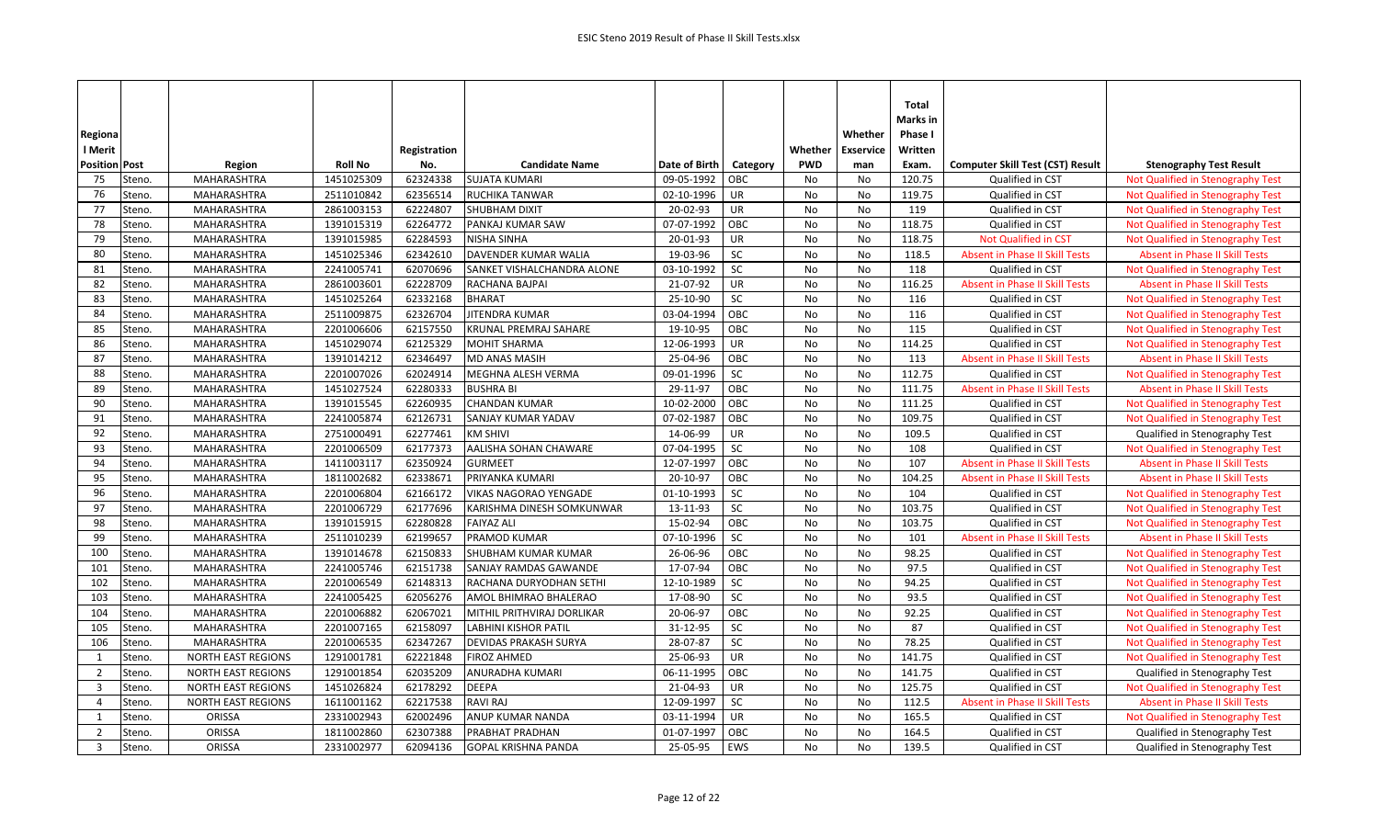| Regiona              |        |                           |                |              |                              |               |           |            | Whether          | <b>Total</b><br>Marks in<br>Phase I |                                         |                                       |
|----------------------|--------|---------------------------|----------------|--------------|------------------------------|---------------|-----------|------------|------------------|-------------------------------------|-----------------------------------------|---------------------------------------|
| l Merit              |        |                           |                | Registration |                              |               |           | Whether    | <b>Exservice</b> | Written                             |                                         |                                       |
| <b>Position Post</b> |        | Region                    | <b>Roll No</b> | No.          | <b>Candidate Name</b>        | Date of Birth | Category  | <b>PWD</b> | man              | Exam.                               | <b>Computer Skill Test (CST) Result</b> | <b>Stenography Test Result</b>        |
| 75                   | Steno. | MAHARASHTRA               | 1451025309     | 62324338     | <b>SUJATA KUMARI</b>         | 09-05-1992    | OBC       | No         | No               | 120.75                              | Qualified in CST                        | Not Qualified in Stenography Test     |
| 76                   | Steno. | MAHARASHTRA               | 2511010842     | 62356514     | <b>RUCHIKA TANWAR</b>        | 02-10-1996    | <b>UR</b> | No         | <b>No</b>        | 119.75                              | Qualified in CST                        | Not Qualified in Stenography Test     |
| 77                   | Steno. | MAHARASHTRA               | 2861003153     | 62224807     | SHUBHAM DIXIT                | 20-02-93      | UR        | No         | No               | 119                                 | Qualified in CST                        | Not Qualified in Stenography Test     |
| 78                   | Steno. | MAHARASHTRA               | 1391015319     | 62264772     | PANKAJ KUMAR SAW             | 07-07-1992    | OBC       | No         | No               | 118.75                              | Qualified in CST                        | Not Qualified in Stenography Test     |
| 79                   | Steno. | <b>MAHARASHTRA</b>        | 1391015985     | 62284593     | <b>NISHA SINHA</b>           | 20-01-93      | <b>UR</b> | <b>No</b>  | No               | 118.75                              | <b>Not Qualified in CST</b>             | Not Qualified in Stenography Test     |
| 80                   | Steno. | MAHARASHTRA               | 1451025346     | 62342610     | DAVENDER KUMAR WALIA         | 19-03-96      | SC        | <b>No</b>  | No               | 118.5                               | <b>Absent in Phase II Skill Tests</b>   | <b>Absent in Phase II Skill Tests</b> |
| 81                   | Steno. | <b>MAHARASHTRA</b>        | 2241005741     | 62070696     | SANKET VISHALCHANDRA ALONE   | 03-10-1992    | SC        | No         | No               | 118                                 | Qualified in CST                        | Not Qualified in Stenography Test     |
| 82                   | Steno. | MAHARASHTRA               | 2861003601     | 62228709     | RACHANA BAJPAI               | 21-07-92      | UR        | No         | No               | 116.25                              | <b>Absent in Phase II Skill Tests</b>   | <b>Absent in Phase II Skill Tests</b> |
| 83                   | Steno. | MAHARASHTRA               | 1451025264     | 62332168     | <b>BHARAT</b>                | 25-10-90      | SC        | <b>No</b>  | No               | 116                                 | Qualified in CST                        | Not Qualified in Stenography Test     |
| 84                   | Steno. | MAHARASHTRA               | 2511009875     | 62326704     | JITENDRA KUMAR               | 03-04-1994    | OBC       | No         | No               | 116                                 | Qualified in CST                        | Not Qualified in Stenography Test     |
| 85                   | Steno. | MAHARASHTRA               | 2201006606     | 62157550     | <b>KRUNAL PREMRAJ SAHARE</b> | 19-10-95      | OBC       | No         | <b>No</b>        | 115                                 | Qualified in CST                        | Not Qualified in Stenography Test     |
| 86                   | Steno. | <b>MAHARASHTRA</b>        | 1451029074     | 62125329     | <b>MOHIT SHARMA</b>          | 12-06-1993    | <b>UR</b> | <b>No</b>  | No               | 114.25                              | Qualified in CST                        | Not Qualified in Stenography Test     |
| 87                   | Steno. | MAHARASHTRA               | 1391014212     | 62346497     | MD ANAS MASIH                | 25-04-96      | OBC       | No         | No               | 113                                 | Absent in Phase II Skill Tests          | <b>Absent in Phase II Skill Tests</b> |
| 88                   | Steno. | MAHARASHTRA               | 2201007026     | 62024914     | <b>MEGHNA ALESH VERMA</b>    | 09-01-1996    | SC        | No         | No               | 112.75                              | Qualified in CST                        | Not Qualified in Stenography Test     |
| 89                   | Steno. | MAHARASHTRA               | 1451027524     | 62280333     | <b>BUSHRA BI</b>             | 29-11-97      | OBC       | No         | No               | 111.75                              | Absent in Phase II Skill Tests          | <b>Absent in Phase II Skill Tests</b> |
| 90                   | Steno. | MAHARASHTRA               | 1391015545     | 62260935     | <b>CHANDAN KUMAR</b>         | 10-02-2000    | OBC       | No         | No               | 111.25                              | Qualified in CST                        | Not Qualified in Stenography Test     |
| 91                   | Steno. | MAHARASHTRA               | 2241005874     | 62126731     | SANJAY KUMAR YADAV           | 07-02-1987    | OBC       | No         | No               | 109.75                              | Qualified in CST                        | Not Qualified in Stenography Test     |
| 92                   | Steno. | MAHARASHTRA               | 2751000491     | 62277461     | <b>KM SHIVI</b>              | 14-06-99      | <b>UR</b> | No         | No               | 109.5                               | Qualified in CST                        | Qualified in Stenography Test         |
| 93                   | Steno. | MAHARASHTRA               | 2201006509     | 62177373     | AALISHA SOHAN CHAWARE        | 07-04-1995    | SC        | <b>No</b>  | No               | 108                                 | Qualified in CST                        | Not Qualified in Stenography Test     |
| 94                   | Steno. | MAHARASHTRA               | 1411003117     | 62350924     | <b>GURMEET</b>               | 12-07-1997    | OBC       | No         | No               | 107                                 | <b>Absent in Phase II Skill Tests</b>   | <b>Absent in Phase II Skill Tests</b> |
| 95                   | Steno. | MAHARASHTRA               | 1811002682     | 62338671     | PRIYANKA KUMARI              | 20-10-97      | OBC       | No         | No               | 104.25                              | Absent in Phase II Skill Tests          | <b>Absent in Phase II Skill Tests</b> |
| 96                   | Steno. | MAHARASHTRA               | 2201006804     | 62166172     | <b>VIKAS NAGORAO YENGADE</b> | 01-10-1993    | <b>SC</b> | <b>No</b>  | No               | 104                                 | Qualified in CST                        | Not Qualified in Stenography Test     |
| 97                   | Steno. | MAHARASHTRA               | 2201006729     | 62177696     | KARISHMA DINESH SOMKUNWAR    | 13-11-93      | SC        | No         | No               | 103.75                              | Qualified in CST                        | Not Qualified in Stenography Test     |
| 98                   | Steno. | MAHARASHTRA               | 1391015915     | 62280828     | <b>FAIYAZ ALI</b>            | 15-02-94      | OBC       | No         | No               | 103.75                              | Qualified in CST                        | Not Qualified in Stenography Test     |
| 99                   | Steno. | MAHARASHTRA               | 2511010239     | 62199657     | PRAMOD KUMAR                 | 07-10-1996    | SC        | No         | No               | 101                                 | Absent in Phase II Skill Tests          | Absent in Phase II Skill Tests        |
| 100                  | Steno. | MAHARASHTRA               | 1391014678     | 62150833     | <b>SHUBHAM KUMAR KUMAR</b>   | 26-06-96      | OBC       | <b>No</b>  | No               | 98.25                               | Qualified in CST                        | Not Qualified in Stenography Test     |
| 101                  | Steno. | MAHARASHTRA               | 2241005746     | 62151738     | SANJAY RAMDAS GAWANDE        | 17-07-94      | OBC       | No         | No               | 97.5                                | Qualified in CST                        | Not Qualified in Stenography Test     |
| 102                  | Steno. | MAHARASHTRA               | 2201006549     | 62148313     | RACHANA DURYODHAN SETHI      | 12-10-1989    | SC        | No         | No               | 94.25                               | Qualified in CST                        | Not Qualified in Stenography Test     |
| 103                  | Steno. | <b>MAHARASHTRA</b>        | 2241005425     | 62056276     | AMOL BHIMRAO BHALERAO        | 17-08-90      | SC        | <b>No</b>  | <b>No</b>        | 93.5                                | Qualified in CST                        | Not Qualified in Stenography Test     |
| 104                  | Steno. | MAHARASHTRA               | 2201006882     | 62067021     | MITHIL PRITHVIRAJ DORLIKAR   | 20-06-97      | OBC       | No         | No               | 92.25                               | Qualified in CST                        | Not Qualified in Stenography Test     |
| 105                  | Steno. | MAHARASHTRA               | 2201007165     | 62158097     | <b>LABHINI KISHOR PATIL</b>  | 31-12-95      | SC        | No         | No               | 87                                  | Qualified in CST                        | Not Qualified in Stenography Test     |
| 106                  | Steno. | <b>MAHARASHTRA</b>        | 2201006535     | 62347267     | DEVIDAS PRAKASH SURYA        | 28-07-87      | SC        | No         | No               | 78.25                               | Qualified in CST                        | Not Qualified in Stenography Test     |
| $\mathbf{1}$         | Steno. | <b>NORTH EAST REGIONS</b> | 1291001781     | 62221848     | <b>FIROZ AHMED</b>           | 25-06-93      | UR        | No         | No               | 141.75                              | Qualified in CST                        | Not Qualified in Stenography Test     |
| $\overline{2}$       | Steno. | <b>NORTH EAST REGIONS</b> | 1291001854     | 62035209     | ANURADHA KUMARI              | 06-11-1995    | OBC       | No         | No               | 141.75                              | Qualified in CST                        | Qualified in Stenography Test         |
| $\overline{3}$       | Steno. | <b>NORTH EAST REGIONS</b> | 1451026824     | 62178292     | <b>DEEPA</b>                 | 21-04-93      | <b>UR</b> | No         | No               | 125.75                              | Qualified in CST                        | Not Qualified in Stenography Test     |
| $\overline{4}$       | Steno. | <b>NORTH EAST REGIONS</b> | 1611001162     | 62217538     | <b>RAVI RAJ</b>              | 12-09-1997    | SC        | No         | No               | 112.5                               | Absent in Phase II Skill Tests          | <b>Absent in Phase II Skill Tests</b> |
| 1                    | Steno. | ORISSA                    | 2331002943     | 62002496     | ANUP KUMAR NANDA             | 03-11-1994    | UR        | No         | No               | 165.5                               | Qualified in CST                        | Not Qualified in Stenography Test     |
| $\overline{2}$       | Steno. | ORISSA                    | 1811002860     | 62307388     | PRABHAT PRADHAN              | 01-07-1997    | OBC       | No         | No               | 164.5                               | Qualified in CST                        | Qualified in Stenography Test         |
| $\overline{3}$       | Steno. | <b>ORISSA</b>             | 2331002977     | 62094136     | <b>GOPAL KRISHNA PANDA</b>   | 25-05-95      | EWS       | <b>No</b>  | <b>No</b>        | 139.5                               | Qualified in CST                        | Qualified in Stenography Test         |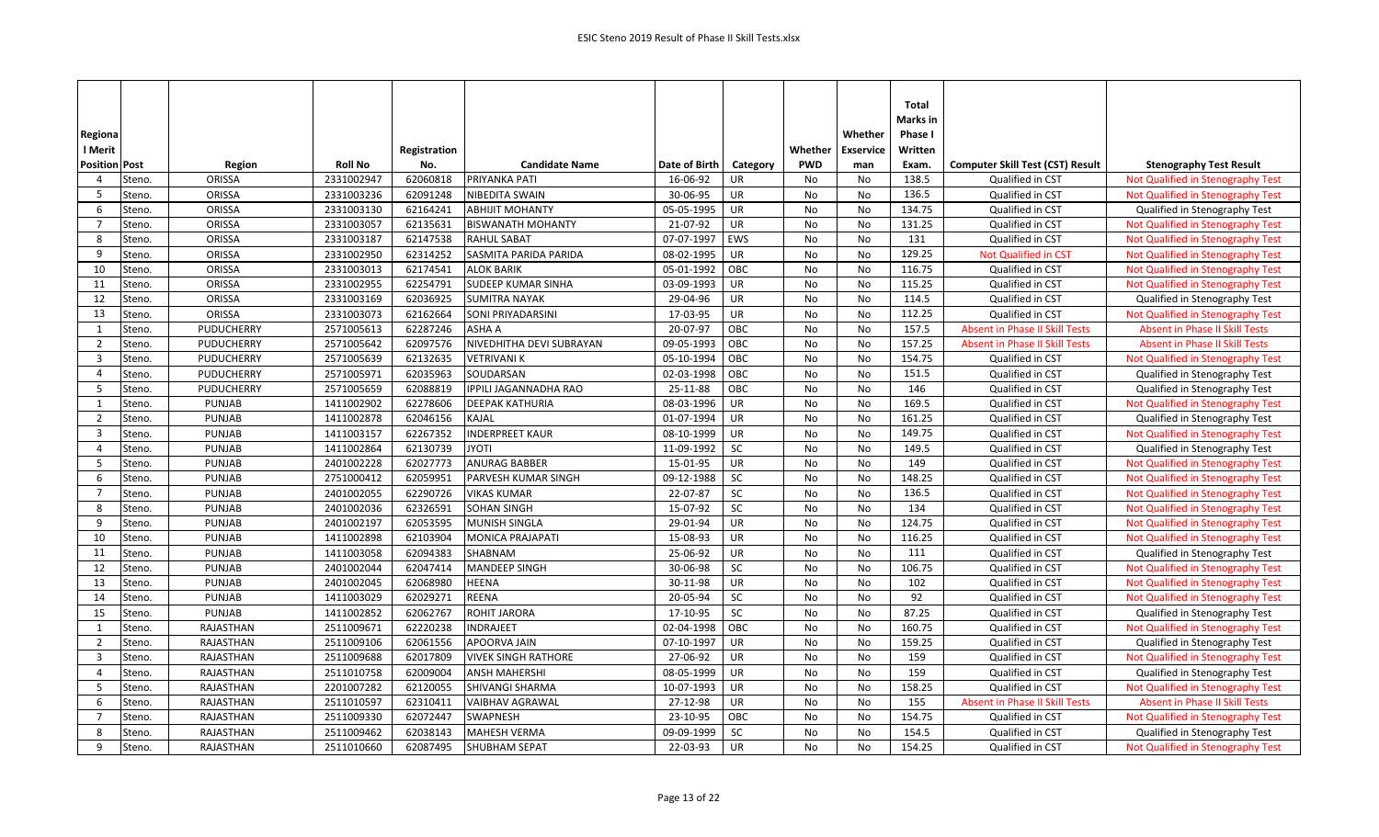| Regiona<br>l Merit   |        |                   |                | Registration |                            |               |                   | Whether    | Whether<br><b>Exservice</b> | <b>Total</b><br>Marks in<br>Phase I<br>Written |                                         |                                       |
|----------------------|--------|-------------------|----------------|--------------|----------------------------|---------------|-------------------|------------|-----------------------------|------------------------------------------------|-----------------------------------------|---------------------------------------|
| <b>Position Post</b> |        | Region            | <b>Roll No</b> | No.          | <b>Candidate Name</b>      | Date of Birth | Category          | <b>PWD</b> | man                         | Exam.                                          | <b>Computer Skill Test (CST) Result</b> | <b>Stenography Test Result</b>        |
| $\overline{4}$       | Steno. | ORISSA            | 2331002947     | 62060818     | PRIYANKA PATI              | 16-06-92      | <b>UR</b>         | No         | No                          | 138.5                                          | Qualified in CST                        | Not Qualified in Stenography Test     |
| 5                    | Steno. | ORISSA            | 2331003236     | 62091248     | <b>NIBEDITA SWAIN</b>      | 30-06-95      | UR                | No         | No                          | 136.5                                          | Qualified in CST                        | Not Qualified in Stenography Test     |
| 6                    | Steno. | ORISSA            | 2331003130     | 62164241     | <b>ABHIJIT MOHANTY</b>     | 05-05-1995    | <b>UR</b>         | No         | No                          | 134.75                                         | Qualified in CST                        | Qualified in Stenography Test         |
| $\overline{7}$       | Steno. | ORISSA            | 2331003057     | 62135631     | <b>BISWANATH MOHANTY</b>   | 21-07-92      | UR                | No         | No                          | 131.25                                         | Qualified in CST                        | Not Qualified in Stenography Test     |
| 8                    | Steno. | ORISSA            | 2331003187     | 62147538     | <b>RAHUL SABAT</b>         | 07-07-1997    | EWS               | <b>No</b>  | <b>No</b>                   | 131                                            | Qualified in CST                        | Not Qualified in Stenography Test     |
| 9                    | Steno. | ORISSA            | 2331002950     | 62314252     | SASMITA PARIDA PARIDA      | 08-02-1995    | <b>UR</b>         | No         | No                          | 129.25                                         | Not Qualified in CST                    | Not Qualified in Stenography Test     |
| 10                   | Steno. | ORISSA            | 2331003013     | 62174541     | <b>ALOK BARIK</b>          | 05-01-1992    | OBC               | No         | No                          | 116.75                                         | Qualified in CST                        | Not Qualified in Stenography Test     |
| 11                   | Steno. | ORISSA            | 2331002955     | 62254791     | <b>SUDEEP KUMAR SINHA</b>  | 03-09-1993    | <b>UR</b>         | No         | No                          | 115.25                                         | Qualified in CST                        | Not Qualified in Stenography Test     |
| 12                   | Steno. | ORISSA            | 2331003169     | 62036925     | <b>SUMITRA NAYAK</b>       | 29-04-96      | UR                | <b>No</b>  | No                          | 114.5                                          | Qualified in CST                        | Qualified in Stenography Test         |
| 13                   | Steno. | ORISSA            | 2331003073     | 62162664     | SONI PRIYADARSINI          | 17-03-95      | <b>UR</b>         | No         | No                          | 112.25                                         | Qualified in CST                        | Not Qualified in Stenography Test     |
| 1                    | Steno. | PUDUCHERRY        | 2571005613     | 62287246     | <b>ASHA A</b>              | 20-07-97      | OBC               | No         | No                          | 157.5                                          | <b>Absent in Phase II Skill Tests</b>   | <b>Absent in Phase II Skill Tests</b> |
| $\overline{2}$       | Steno. | <b>PUDUCHERRY</b> | 2571005642     | 62097576     | NIVEDHITHA DEVI SUBRAYAN   | 09-05-1993    | OBC               | <b>No</b>  | <b>No</b>                   | 157.25                                         | <b>Absent in Phase II Skill Tests</b>   | <b>Absent in Phase II Skill Tests</b> |
| 3                    | Steno. | PUDUCHERRY        | 2571005639     | 62132635     | <b>VETRIVANI K</b>         | 05-10-1994    | OBC               | No         | No                          | 154.75                                         | Qualified in CST                        | Not Qualified in Stenography Test     |
| $\overline{4}$       | Steno. | PUDUCHERRY        | 2571005971     | 62035963     | SOUDARSAN                  | 02-03-1998    | OBC               | No         | No                          | 151.5                                          | Qualified in CST                        | Qualified in Stenography Test         |
| 5                    | Steno. | PUDUCHERRY        | 2571005659     | 62088819     | IPPILI JAGANNADHA RAO      | 25-11-88      | OBC               | No         | No                          | 146                                            | Qualified in CST                        | Qualified in Stenography Test         |
| 1                    | Steno. | <b>PUNJAB</b>     | 1411002902     | 62278606     | DEEPAK KATHURIA            | 08-03-1996    | $\overline{\cup}$ | No         | No                          | 169.5                                          | Qualified in CST                        | Not Qualified in Stenography Test     |
| $\overline{2}$       | Steno. | <b>PUNJAB</b>     | 1411002878     | 62046156     | <b>KAJAL</b>               | 01-07-1994    | <b>UR</b>         | <b>No</b>  | No                          | 161.25                                         | Qualified in CST                        | Qualified in Stenography Test         |
| 3                    | Steno. | <b>PUNJAB</b>     | 1411003157     | 62267352     | <b>INDERPREET KAUR</b>     | 08-10-1999    | <b>UR</b>         | No         | No                          | 149.75                                         | Qualified in CST                        | Not Qualified in Stenography Test     |
| $\Delta$             | Steno. | <b>PUNJAB</b>     | 1411002864     | 62130739     | <b>JYOTI</b>               | 11-09-1992    | SC                | No         | No                          | 149.5                                          | Qualified in CST                        | Qualified in Stenography Test         |
| -5                   | Steno. | <b>PUNJAB</b>     | 2401002228     | 62027773     | <b>ANURAG BABBER</b>       | 15-01-95      | UR                | No         | No                          | 149                                            | Qualified in CST                        | Not Qualified in Stenography Test     |
| 6                    | Steno. | <b>PUNJAB</b>     | 2751000412     | 62059951     | PARVESH KUMAR SINGH        | 09-12-1988    | SC                | No         | No                          | 148.25                                         | Qualified in CST                        | Not Qualified in Stenography Test     |
| -7                   | Steno. | <b>PUNJAB</b>     | 2401002055     | 62290726     | <b>VIKAS KUMAR</b>         | 22-07-87      | SC                | <b>No</b>  | <b>No</b>                   | 136.5                                          | Qualified in CST                        | Not Qualified in Stenography Test     |
| 8                    | Steno. | <b>PUNJAB</b>     | 2401002036     | 62326591     | <b>SOHAN SINGH</b>         | 15-07-92      | SC                | No         | No                          | 134                                            | Qualified in CST                        | Not Qualified in Stenography Test     |
| 9                    | Steno. | PUNJAB            | 2401002197     | 62053595     | <b>MUNISH SINGLA</b>       | 29-01-94      | <b>UR</b>         | No         | No                          | 124.75                                         | Qualified in CST                        | Not Qualified in Stenography Test     |
| 10                   | Steno. | <b>PUNJAB</b>     | 1411002898     | 62103904     | <b>MONICA PRAJAPATI</b>    | 15-08-93      | UR                | No         | No                          | 116.25                                         | Qualified in CST                        | Not Qualified in Stenography Test     |
| 11                   | Steno. | <b>PUNJAB</b>     | 1411003058     | 62094383     | SHABNAM                    | 25-06-92      | UR                | No         | No                          | 111                                            | Qualified in CST                        | Qualified in Stenography Test         |
| 12                   | Steno. | <b>PUNJAB</b>     | 2401002044     | 62047414     | MANDEEP SINGH              | 30-06-98      | SC                | No         | No                          | 106.75                                         | Qualified in CST                        | Not Qualified in Stenography Test     |
| 13                   | Steno. | <b>PUNJAB</b>     | 2401002045     | 62068980     | <b>HEENA</b>               | 30-11-98      | UR                | No         | No                          | 102                                            | Qualified in CST                        | Not Qualified in Stenography Test     |
| 14                   | Steno. | <b>PUNJAB</b>     | 1411003029     | 62029271     | REENA                      | 20-05-94      | SC                | <b>No</b>  | No                          | 92                                             | Qualified in CST                        | Not Qualified in Stenography Test     |
| 15                   | Steno. | PUNJAB            | 1411002852     | 62062767     | ROHIT JARORA               | 17-10-95      | SC                | No         | No                          | 87.25                                          | Qualified in CST                        | Qualified in Stenography Test         |
| 1                    | Steno. | RAJASTHAN         | 2511009671     | 62220238     | <b>INDRAJEET</b>           | 02-04-1998    | OBC               | No         | No                          | 160.75                                         | Qualified in CST                        | Not Qualified in Stenography Test     |
| $\overline{2}$       | Steno. | RAJASTHAN         | 2511009106     | 62061556     | APOORVA JAIN               | 07-10-1997    | <b>UR</b>         | No         | <b>No</b>                   | 159.25                                         | Qualified in CST                        | Qualified in Stenography Test         |
| 3                    | Steno. | RAJASTHAN         | 2511009688     | 62017809     | <b>VIVEK SINGH RATHORE</b> | 27-06-92      | UR                | No         | No                          | 159                                            | Qualified in CST                        | Not Qualified in Stenography Test     |
| $\overline{4}$       | Steno. | RAJASTHAN         | 2511010758     | 62009004     | <b>ANSH MAHERSHI</b>       | 08-05-1999    | <b>UR</b>         | No         | No                          | 159                                            | Qualified in CST                        | Qualified in Stenography Test         |
| 5                    | Steno. | RAJASTHAN         | 2201007282     | 62120055     | SHIVANGI SHARMA            | 10-07-1993    | <b>UR</b>         | No         | No                          | 158.25                                         | Qualified in CST                        | Not Qualified in Stenography Test     |
| 6                    | Steno. | RAJASTHAN         | 2511010597     | 62310411     | <b>VAIBHAV AGRAWAL</b>     | 27-12-98      | UR                | No         | No                          | 155                                            | <b>Absent in Phase II Skill Tests</b>   | <b>Absent in Phase II Skill Tests</b> |
| $\overline{7}$       | Steno. | RAJASTHAN         | 2511009330     | 62072447     | SWAPNESH                   | 23-10-95      | OBC               | No         | No                          | 154.75                                         | Qualified in CST                        | Not Qualified in Stenography Test     |
| 8                    | Steno. | RAJASTHAN         | 2511009462     | 62038143     | <b>MAHESH VERMA</b>        | 09-09-1999    | SC                | <b>No</b>  | No                          | 154.5                                          | Qualified in CST                        | Qualified in Stenography Test         |
| 9                    | Steno. | RAJASTHAN         | 2511010660     | 62087495     | <b>SHUBHAM SEPAT</b>       | 22-03-93      | <b>UR</b>         | <b>No</b>  | No                          | 154.25                                         | Qualified in CST                        | Not Qualified in Stenography Test     |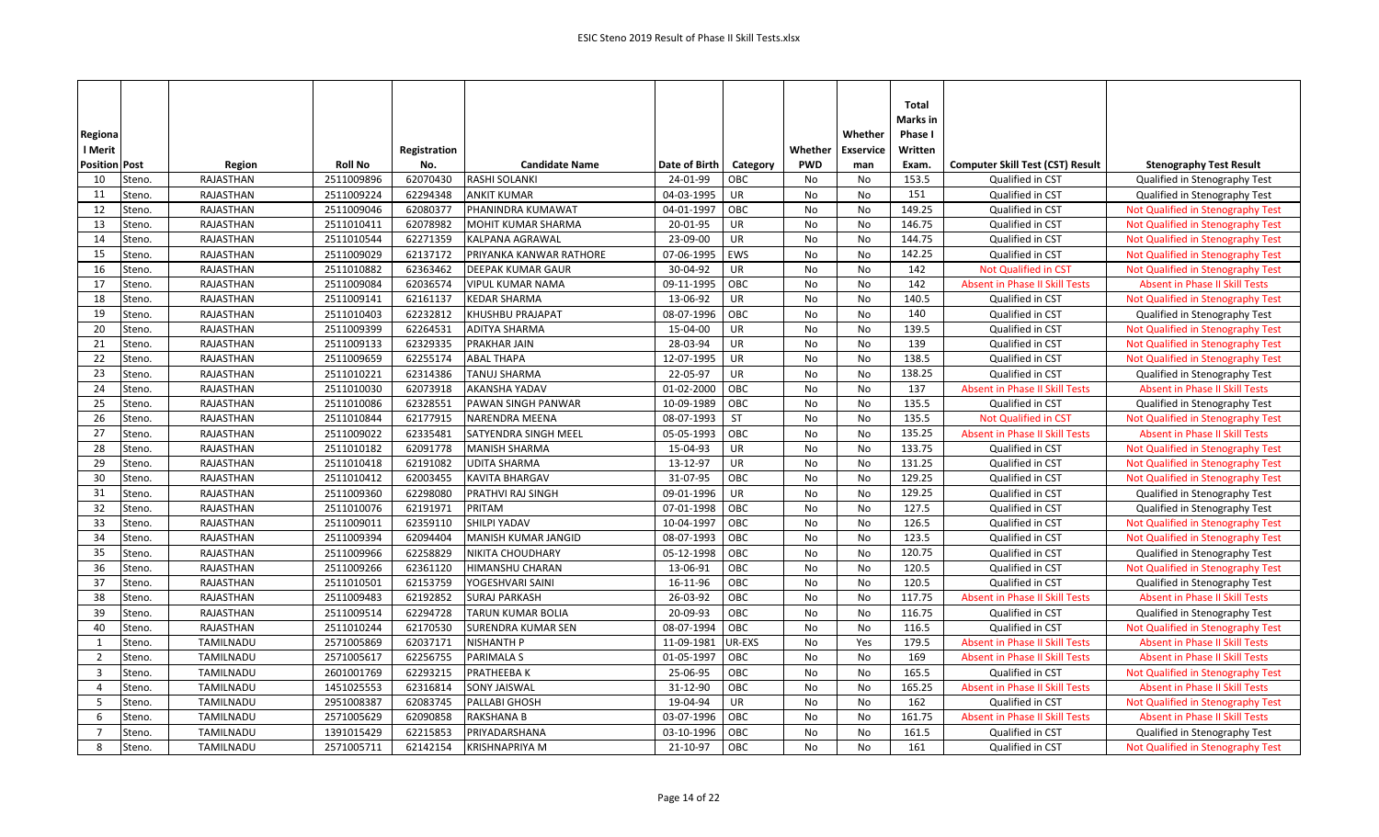| Regiona<br>l Merit   |        |                  |                | Registration |                           |               |           | Whether    | Whether<br><b>Exservice</b> | Total<br>Marks in<br>Phase I<br>Written |                                         |                                       |
|----------------------|--------|------------------|----------------|--------------|---------------------------|---------------|-----------|------------|-----------------------------|-----------------------------------------|-----------------------------------------|---------------------------------------|
| <b>Position Post</b> |        | Region           | <b>Roll No</b> | No.          | <b>Candidate Name</b>     | Date of Birth | Category  | <b>PWD</b> | man                         | Exam.                                   | <b>Computer Skill Test (CST) Result</b> | <b>Stenography Test Result</b>        |
| 10                   | Steno. | RAJASTHAN        | 2511009896     | 62070430     | <b>RASHI SOLANKI</b>      | 24-01-99      | OBC       | <b>No</b>  | No                          | 153.5                                   | Qualified in CST                        | Qualified in Stenography Test         |
| 11                   | Steno. | <b>RAJASTHAN</b> | 2511009224     | 62294348     | <b>ANKIT KUMAR</b>        | 04-03-1995    | <b>UR</b> | No         | No                          | 151                                     | Qualified in CST                        | Qualified in Stenography Test         |
| 12                   | Steno. | RAJASTHAN        | 2511009046     | 62080377     | PHANINDRA KUMAWAT         | 04-01-1997    | OBC       | No         | No                          | 149.25                                  | Qualified in CST                        | Not Qualified in Stenography Test     |
| 13                   | Steno. | RAJASTHAN        | 2511010411     | 62078982     | MOHIT KUMAR SHARMA        | 20-01-95      | UR        | No         | No                          | 146.75                                  | Qualified in CST                        | Not Qualified in Stenography Test     |
| 14                   | Steno. | <b>RAJASTHAN</b> | 2511010544     | 62271359     | <b>KALPANA AGRAWAL</b>    | 23-09-00      | UR        | <b>No</b>  | <b>No</b>                   | 144.75                                  | Qualified in CST                        | Not Qualified in Stenography Test     |
| 15                   | Steno. | RAJASTHAN        | 2511009029     | 62137172     | PRIYANKA KANWAR RATHORE   | 07-06-1995    | EWS       | No         | No                          | 142.25                                  | Qualified in CST                        | Not Qualified in Stenography Test     |
| 16                   | Steno. | RAJASTHAN        | 2511010882     | 62363462     | <b>DEEPAK KUMAR GAUR</b>  | 30-04-92      | <b>UR</b> | <b>No</b>  | <b>No</b>                   | 142                                     | Not Qualified in CST                    | Not Qualified in Stenography Test     |
| 17                   | Steno. | RAJASTHAN        | 2511009084     | 62036574     | <b>VIPUL KUMAR NAMA</b>   | 09-11-1995    | OBC       | No         | No                          | 142                                     | <b>Absent in Phase II Skill Tests</b>   | <b>Absent in Phase II Skill Tests</b> |
| 18                   | Steno. | RAJASTHAN        | 2511009141     | 62161137     | <b>KEDAR SHARMA</b>       | 13-06-92      | UR        | No         | No                          | 140.5                                   | Qualified in CST                        | Not Qualified in Stenography Test     |
| 19                   | Steno. | RAJASTHAN        | 2511010403     | 62232812     | KHUSHBU PRAJAPAT          | 08-07-1996    | OBC       | No         | No                          | 140                                     | Qualified in CST                        | Qualified in Stenography Test         |
| 20                   | Steno. | RAJASTHAN        | 2511009399     | 62264531     | <b>ADITYA SHARMA</b>      | 15-04-00      | UR        | <b>No</b>  | No                          | 139.5                                   | Qualified in CST                        | Not Qualified in Stenography Test     |
| 21                   | Steno. | <b>RAJASTHAN</b> | 2511009133     | 62329335     | <b>PRAKHAR JAIN</b>       | 28-03-94      | UR        | <b>No</b>  | No                          | 139                                     | Qualified in CST                        | Not Qualified in Stenography Test     |
| 22                   | Steno. | RAJASTHAN        | 2511009659     | 62255174     | <b>ABAL THAPA</b>         | 12-07-1995    | <b>UR</b> | No         | No                          | 138.5                                   | Qualified in CST                        | Not Qualified in Stenography Test     |
| 23                   | Steno. | RAJASTHAN        | 2511010221     | 62314386     | <b>TANUJ SHARMA</b>       | 22-05-97      | UR        | <b>No</b>  | <b>No</b>                   | 138.25                                  | Qualified in CST                        | Qualified in Stenography Test         |
| 24                   | Steno. | RAJASTHAN        | 2511010030     | 62073918     | <b>AKANSHA YADAV</b>      | 01-02-2000    | OBC       | <b>No</b>  | No                          | 137                                     | <b>Absent in Phase II Skill Tests</b>   | <b>Absent in Phase II Skill Tests</b> |
| 25                   | Steno. | RAJASTHAN        | 2511010086     | 62328551     | PAWAN SINGH PANWAR        | 10-09-1989    | OBC       | No         | No                          | 135.5                                   | Qualified in CST                        | Qualified in Stenography Test         |
| 26                   | Steno. | RAJASTHAN        | 2511010844     | 62177915     | NARENDRA MEENA            | 08-07-1993    | <b>ST</b> | No         | No                          | 135.5                                   | Not Qualified in CST                    | Not Qualified in Stenography Test     |
| 27                   | Steno. | RAJASTHAN        | 2511009022     | 62335481     | SATYENDRA SINGH MEEL      | 05-05-1993    | OBC       | No         | No                          | 135.25                                  | <b>Absent in Phase II Skill Tests</b>   | <b>Absent in Phase II Skill Tests</b> |
| 28                   | Steno. | <b>RAJASTHAN</b> | 2511010182     | 62091778     | <b>MANISH SHARMA</b>      | 15-04-93      | UR        | No         | No                          | 133.75                                  | Qualified in CST                        | Not Qualified in Stenography Test     |
| 29                   | Steno. | RAJASTHAN        | 2511010418     | 62191082     | <b>UDITA SHARMA</b>       | 13-12-97      | UR        | No         | No                          | 131.25                                  | Qualified in CST                        | Not Qualified in Stenography Test     |
| 30                   | Steno. | RAJASTHAN        | 2511010412     | 62003455     | <b>KAVITA BHARGAV</b>     | 31-07-95      | OBC       | No         | No                          | 129.25                                  | Qualified in CST                        | Not Qualified in Stenography Test     |
| 31                   | Steno. | RAJASTHAN        | 2511009360     | 62298080     | PRATHVI RAJ SINGH         | 09-01-1996    | <b>UR</b> | <b>No</b>  | <b>No</b>                   | 129.25                                  | Qualified in CST                        | Qualified in Stenography Test         |
| 32                   | Steno. | RAJASTHAN        | 2511010076     | 62191971     | PRITAM                    | 07-01-1998    | OBC       | No         | No                          | 127.5                                   | Qualified in CST                        | Qualified in Stenography Test         |
| 33                   | Steno. | RAJASTHAN        | 2511009011     | 62359110     | SHILPI YADAV              | 10-04-1997    | OBC       | No         | No                          | 126.5                                   | Qualified in CST                        | Not Qualified in Stenography Test     |
| 34                   | Steno. | <b>RAJASTHAN</b> | 2511009394     | 62094404     | MANISH KUMAR JANGID       | 08-07-1993    | OBC       | <b>No</b>  | <b>No</b>                   | 123.5                                   | Qualified in CST                        | Not Qualified in Stenography Test     |
| 35                   | Steno. | RAJASTHAN        | 2511009966     | 62258829     | <b>NIKITA CHOUDHARY</b>   | 05-12-1998    | OBC       | <b>No</b>  | No                          | 120.75                                  | Qualified in CST                        | Qualified in Stenography Test         |
| 36                   | Steno. | RAJASTHAN        | 2511009266     | 62361120     | HIMANSHU CHARAN           | 13-06-91      | OBC       | No         | No                          | 120.5                                   | Qualified in CST                        | Not Qualified in Stenography Test     |
| 37                   | Steno. | RAJASTHAN        | 2511010501     | 62153759     | YOGESHVARI SAINI          | 16-11-96      | OBC       | No         | No                          | 120.5                                   | Qualified in CST                        | Qualified in Stenography Test         |
| 38                   | Steno. | RAJASTHAN        | 2511009483     | 62192852     | <b>SURAJ PARKASH</b>      | 26-03-92      | OBC       | <b>No</b>  | No                          | 117.75                                  | <b>Absent in Phase II Skill Tests</b>   | <b>Absent in Phase II Skill Tests</b> |
| 39                   | Steno. | RAJASTHAN        | 2511009514     | 62294728     | <b>TARUN KUMAR BOLIA</b>  | 20-09-93      | OBC       | No         | No                          | 116.75                                  | Qualified in CST                        | Qualified in Stenography Test         |
| 40                   | Steno. | RAJASTHAN        | 2511010244     | 62170530     | <b>SURENDRA KUMAR SEN</b> | 08-07-1994    | OBC       | No         | No                          | 116.5                                   | Qualified in CST                        | Not Qualified in Stenography Test     |
| $\mathbf{1}$         | Steno. | TAMILNADU        | 2571005869     | 62037171     | <b>NISHANTH P</b>         | 11-09-1981    | UR-EXS    | No         | Yes                         | 179.5                                   | <b>Absent in Phase II Skill Tests</b>   | <b>Absent in Phase II Skill Tests</b> |
| 2                    | Steno. | TAMILNADU        | 2571005617     | 62256755     | <b>PARIMALA S</b>         | 01-05-1997    | OBC       | No         | No                          | 169                                     | Absent in Phase II Skill Tests          | <b>Absent in Phase II Skill Tests</b> |
| $\overline{3}$       | Steno. | TAMILNADU        | 2601001769     | 62293215     | PRATHEEBA K               | 25-06-95      | OBC       | <b>No</b>  | No                          | 165.5                                   | Qualified in CST                        | Not Qualified in Stenography Test     |
| $\Delta$             | Steno. | TAMILNADU        | 1451025553     | 62316814     | <b>SONY JAISWAL</b>       | 31-12-90      | OBC       | No         | No                          | 165.25                                  | Absent in Phase II Skill Tests          | <b>Absent in Phase II Skill Tests</b> |
| 5                    | Steno. | TAMILNADU        | 2951008387     | 62083745     | PALLABI GHOSH             | 19-04-94      | UR        | No         | No                          | 162                                     | Qualified in CST                        | Not Qualified in Stenography Test     |
| 6                    | Steno. | TAMILNADU        | 2571005629     | 62090858     | <b>RAKSHANA B</b>         | 03-07-1996    | OBC       | No         | No                          | 161.75                                  | <b>Absent in Phase II Skill Tests</b>   | <b>Absent in Phase II Skill Tests</b> |
| $\overline{7}$       | Steno. | TAMILNADU        | 1391015429     | 62215853     | PRIYADARSHANA             | 03-10-1996    | OBC       | No         | No                          | 161.5                                   | Qualified in CST                        | Qualified in Stenography Test         |
| 8                    | Steno. | TAMILNADU        | 2571005711     | 62142154     | <b>KRISHNAPRIYA M</b>     | 21-10-97      | OBC       | No         | No                          | 161                                     | Qualified in CST                        | Not Qualified in Stenography Test     |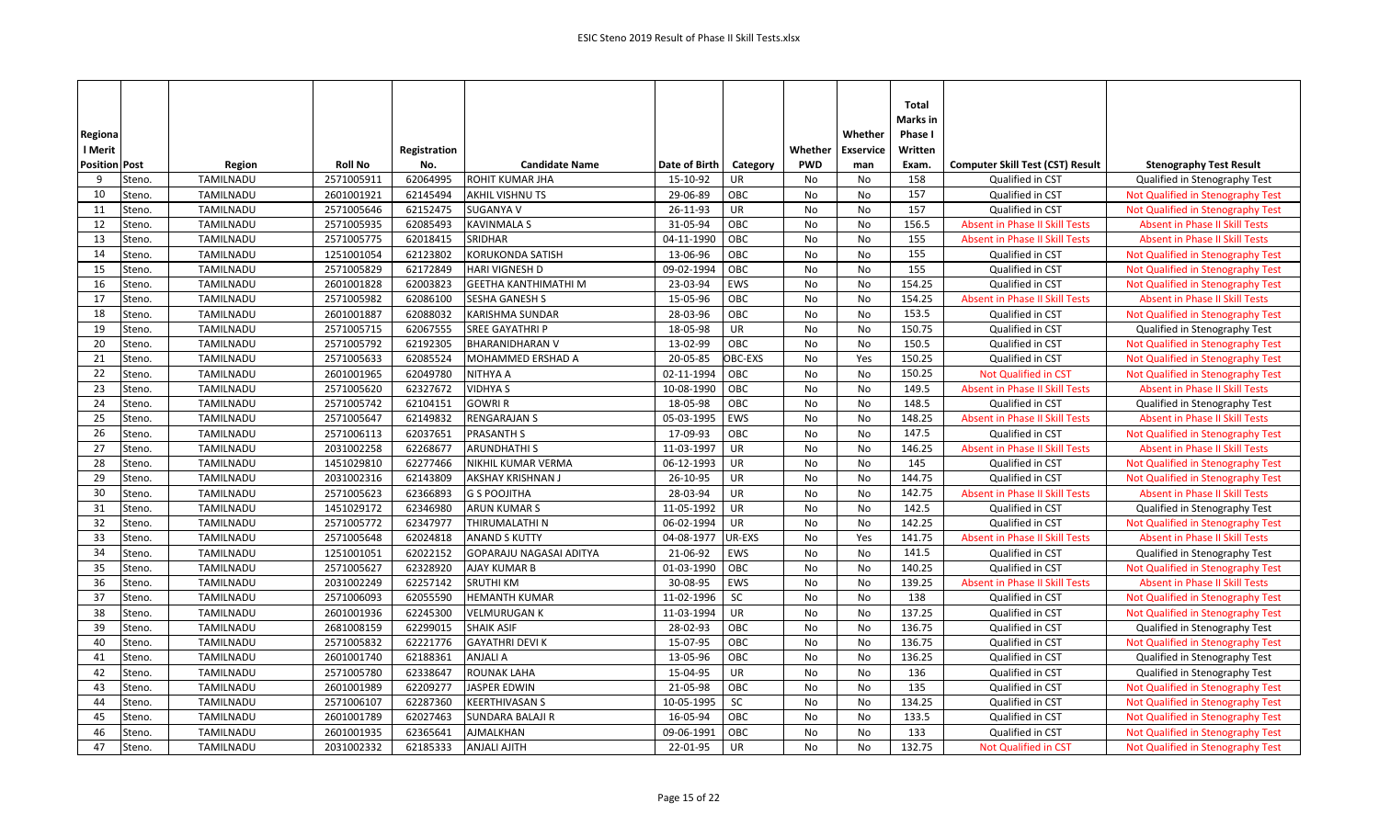|                      |                  |                |              |                             |               |            |            |                  | Total<br>Marks in |                                         |                                       |
|----------------------|------------------|----------------|--------------|-----------------------------|---------------|------------|------------|------------------|-------------------|-----------------------------------------|---------------------------------------|
| Regiona              |                  |                |              |                             |               |            |            | Whether          | Phase I           |                                         |                                       |
| l Merit              |                  |                | Registration |                             |               |            | Whether    | <b>Exservice</b> | Written           |                                         |                                       |
| <b>Position Post</b> | Region           | <b>Roll No</b> | No.          | <b>Candidate Name</b>       | Date of Birth | Category   | <b>PWD</b> | man              | Exam.             | <b>Computer Skill Test (CST) Result</b> | <b>Stenography Test Result</b>        |
| 9<br>Steno.          | TAMILNADU        | 2571005911     | 62064995     | ROHIT KUMAR JHA             | 15-10-92      | UR         | No         | No               | 158               | Qualified in CST                        | Qualified in Stenography Test         |
| Steno.<br>10         | TAMILNADU        | 2601001921     | 62145494     | <b>AKHIL VISHNU TS</b>      | 29-06-89      | OBC        | No         | No               | 157               | Qualified in CST                        | Not Qualified in Stenography Test     |
| 11<br>Steno.         | TAMILNADU        | 2571005646     | 62152475     | <b>SUGANYA V</b>            | 26-11-93      | UR         | No         | No               | 157               | Qualified in CST                        | Not Qualified in Stenography Test     |
| 12<br>Steno.         | TAMILNADU        | 2571005935     | 62085493     | <b>KAVINMALA S</b>          | 31-05-94      | OBC        | No         | No               | 156.5             | <b>Absent in Phase II Skill Tests</b>   | <b>Absent in Phase II Skill Tests</b> |
| 13<br>Steno.         | <b>TAMILNADU</b> | 2571005775     | 62018415     | SRIDHAR                     | 04-11-1990    | OBC        | No         | No               | 155               | <b>Absent in Phase II Skill Tests</b>   | <b>Absent in Phase II Skill Tests</b> |
| 14<br>Steno.         | TAMILNADU        | 1251001054     | 62123802     | <b>KORUKONDA SATISH</b>     | 13-06-96      | OBC        | No         | No               | 155               | Qualified in CST                        | Not Qualified in Stenography Test     |
| 15<br>Steno.         | TAMILNADU        | 2571005829     | 62172849     | HARI VIGNESH D              | 09-02-1994    | OBC        | No         | No               | 155               | Qualified in CST                        | Not Qualified in Stenography Test     |
| 16<br>Steno.         | TAMILNADU        | 2601001828     | 62003823     | <b>GEETHA KANTHIMATHI M</b> | 23-03-94      | <b>EWS</b> | No         | No               | 154.25            | Qualified in CST                        | Not Qualified in Stenography Test     |
| 17<br>Steno.         | TAMILNADU        | 2571005982     | 62086100     | SESHA GANESH S              | 15-05-96      | OBC        | No         | No               | 154.25            | Absent in Phase II Skill Tests          | <b>Absent in Phase II Skill Tests</b> |
| 18<br>Steno.         | TAMILNADU        | 2601001887     | 62088032     | KARISHMA SUNDAR             | 28-03-96      | OBC        | No         | No               | 153.5             | Qualified in CST                        | Not Qualified in Stenography Test     |
| 19<br>Steno.         | TAMILNADU        | 2571005715     | 62067555     | <b>SREE GAYATHRI P</b>      | 18-05-98      | UR         | No         | No               | 150.75            | Qualified in CST                        | Qualified in Stenography Test         |
| 20<br>Steno.         | TAMILNADU        | 2571005792     | 62192305     | <b>BHARANIDHARAN V</b>      | 13-02-99      | OBC        | No         | No               | 150.5             | Qualified in CST                        | Not Qualified in Stenography Test     |
| 21<br>Steno.         | TAMILNADU        | 2571005633     | 62085524     | MOHAMMED ERSHAD A           | 20-05-85      | OBC-EXS    | No         | Yes              | 150.25            | Qualified in CST                        | Not Qualified in Stenography Test     |
| 22<br>Steno.         | TAMILNADU        | 2601001965     | 62049780     | NITHYA A                    | 02-11-1994    | OBC        | No         | No               | 150.25            | <b>Not Qualified in CST</b>             | Not Qualified in Stenography Test     |
| 23<br>Steno.         | TAMILNADU        | 2571005620     | 62327672     | <b>VIDHYA S</b>             | 10-08-1990    | OBC        | <b>No</b>  | No               | 149.5             | <b>Absent in Phase II Skill Tests</b>   | <b>Absent in Phase II Skill Tests</b> |
| 24<br>Steno.         | TAMILNADU        | 2571005742     | 62104151     | <b>GOWRIR</b>               | 18-05-98      | OBC        | No         | No               | 148.5             | Qualified in CST                        | Qualified in Stenography Test         |
| 25<br>Steno.         | TAMILNADU        | 2571005647     | 62149832     | <b>RENGARAJAN S</b>         | 05-03-1995    | EWS        | No         | No               | 148.25            | <b>Absent in Phase II Skill Tests</b>   | <b>Absent in Phase II Skill Tests</b> |
| 26<br>Steno.         | TAMILNADU        | 2571006113     | 62037651     | <b>PRASANTH S</b>           | 17-09-93      | OBC        | No         | No               | 147.5             | Qualified in CST                        | Not Qualified in Stenography Test     |
| 27<br>Steno.         | TAMILNADU        | 2031002258     | 62268677     | <b>ARUNDHATHI S</b>         | 11-03-1997    | UR         | No         | No               | 146.25            | <b>Absent in Phase II Skill Tests</b>   | <b>Absent in Phase II Skill Tests</b> |
| 28<br>Steno.         | TAMILNADU        | 1451029810     | 62277466     | NIKHIL KUMAR VERMA          | 06-12-1993    | <b>UR</b>  | No         | No               | 145               | Qualified in CST                        | Not Qualified in Stenography Test     |
| 29<br>Steno.         | TAMILNADU        | 2031002316     | 62143809     | AKSHAY KRISHNAN J           | 26-10-95      | UR         | No         | No               | 144.75            | Qualified in CST                        | Not Qualified in Stenography Test     |
| 30<br>Steno.         | TAMILNADU        | 2571005623     | 62366893     | <b>G S POOJITHA</b>         | 28-03-94      | UR         | No         | No               | 142.75            | Absent in Phase II Skill Tests          | <b>Absent in Phase II Skill Tests</b> |
| 31<br>Steno.         | TAMILNADU        | 1451029172     | 62346980     | ARUN KUMAR S                | 11-05-1992    | UR         | No         | No               | 142.5             | Qualified in CST                        | Qualified in Stenography Test         |
| 32<br>Steno.         | TAMILNADU        | 2571005772     | 62347977     | THIRUMALATHI N              | 06-02-1994    | UR         | No         | No               | 142.25            | Qualified in CST                        | Not Qualified in Stenography Test     |
| 33<br>Steno.         | TAMILNADU        | 2571005648     | 62024818     | <b>ANAND S KUTTY</b>        | 04-08-1977    | UR-EXS     | No         | Yes              | 141.75            | <b>Absent in Phase II Skill Tests</b>   | <b>Absent in Phase II Skill Tests</b> |
| 34<br>Steno.         | TAMILNADU        | 1251001051     | 62022152     | GOPARAJU NAGASAI ADITYA     | 21-06-92      | EWS        | No         | No               | 141.5             | Qualified in CST                        | Qualified in Stenography Test         |
| 35<br>Steno.         | TAMILNADU        | 2571005627     | 62328920     | AJAY KUMAR B                | 01-03-1990    | OBC        | No         | No               | 140.25            | Qualified in CST                        | Not Qualified in Stenography Test     |
| 36<br>Steno.         | TAMILNADU        | 2031002249     | 62257142     | <b>SRUTHI KM</b>            | 30-08-95      | EWS        | No         | No               | 139.25            | <b>Absent in Phase II Skill Tests</b>   | <b>Absent in Phase II Skill Tests</b> |
| 37<br>Steno.         | TAMILNADU        | 2571006093     | 62055590     | <b>HEMANTH KUMAR</b>        | 11-02-1996    | SC         | No         | No               | 138               | Qualified in CST                        | Not Qualified in Stenography Test     |
| 38<br>Steno.         | TAMILNADU        | 2601001936     | 62245300     | <b>VELMURUGAN K</b>         | 11-03-1994    | <b>UR</b>  | No         | No               | 137.25            | Qualified in CST                        | Not Qualified in Stenography Test     |
| 39<br>Steno.         | TAMILNADU        | 2681008159     | 62299015     | <b>SHAIK ASIF</b>           | 28-02-93      | OBC        | No         | No               | 136.75            | Qualified in CST                        | Qualified in Stenography Test         |
| 40<br>Steno.         | TAMILNADU        | 2571005832     | 62221776     | <b>GAYATHRI DEVI K</b>      | 15-07-95      | OBC        | No         | No               | 136.75            | Qualified in CST                        | Not Qualified in Stenography Test     |
| 41<br>Steno.         | TAMILNADU        | 2601001740     | 62188361     | <b>ANJALI A</b>             | 13-05-96      | OBC        | No         | No               | 136.25            | Qualified in CST                        | Qualified in Stenography Test         |
| 42<br>Steno.         | TAMILNADU        | 2571005780     | 62338647     | <b>ROUNAK LAHA</b>          | 15-04-95      | UR         | No         | No               | 136               | Qualified in CST                        | Qualified in Stenography Test         |
| 43<br>Steno.         | TAMILNADU        | 2601001989     | 62209277     | <b>JASPER EDWIN</b>         | 21-05-98      | OBC        | <b>No</b>  | No               | 135               | Qualified in CST                        | Not Qualified in Stenography Test     |
| 44<br>Steno.         | TAMILNADU        | 2571006107     | 62287360     | <b>KEERTHIVASAN S</b>       | 10-05-1995    | SC         | No         | No               | 134.25            | Qualified in CST                        | Not Qualified in Stenography Test     |
| 45<br>Steno.         | TAMILNADU        | 2601001789     | 62027463     | <b>SUNDARA BALAJI R</b>     | 16-05-94      | OBC        | No         | No               | 133.5             | Qualified in CST                        | Not Qualified in Stenography Test     |
| 46<br>Steno.         | <b>TAMILNADU</b> | 2601001935     | 62365641     | <b>AJMALKHAN</b>            | 09-06-1991    | OBC        | <b>No</b>  | No               | 133               | Qualified in CST                        | Not Qualified in Stenography Test     |
| 47<br>Steno.         | TAMILNADU        | 2031002332     | 62185333     | <b>ANJALI AJITH</b>         | 22-01-95      | UR         | No         | No               | 132.75            | <b>Not Qualified in CST</b>             | Not Qualified in Stenography Test     |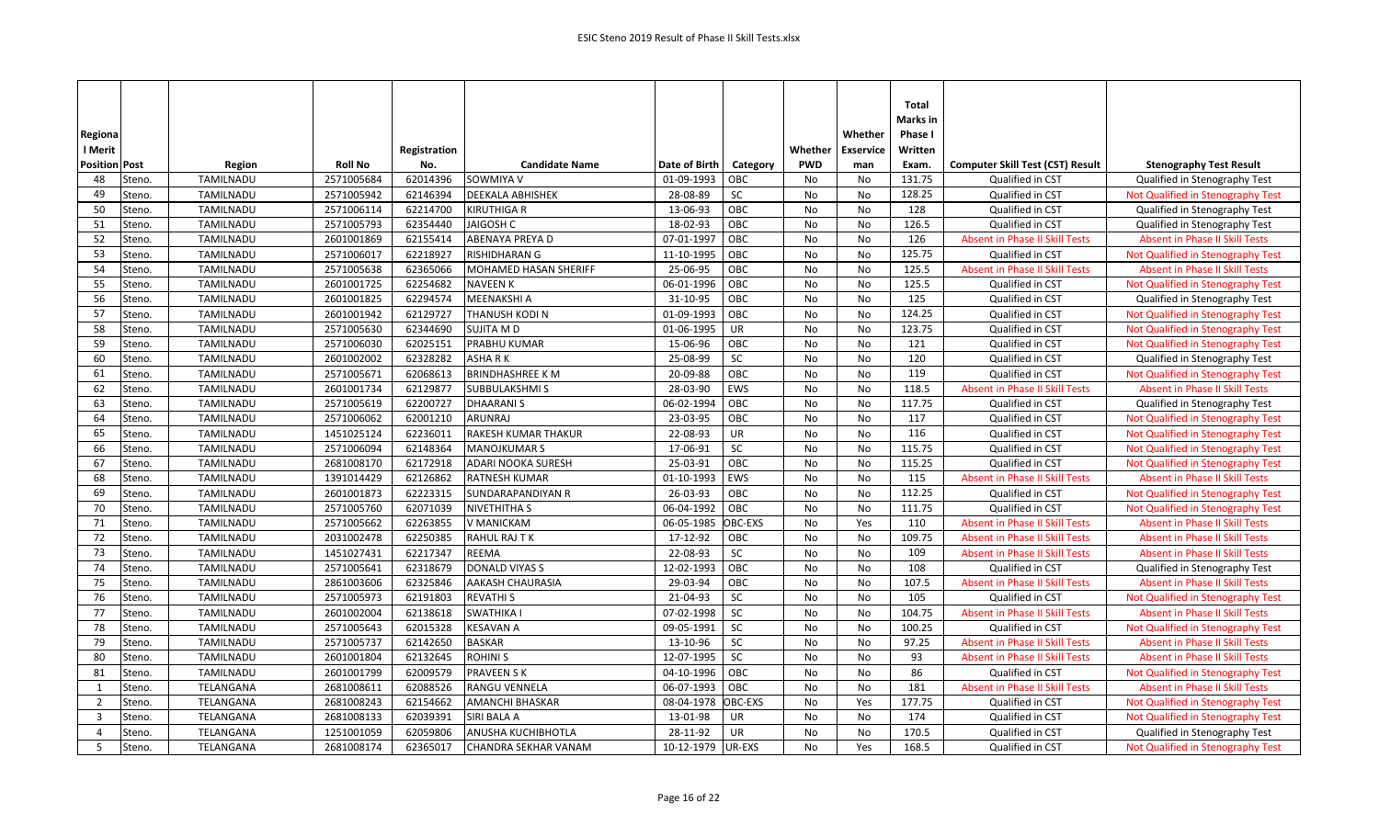|                                   |           |                |              |                         |                   |           |            |                  | Total<br>Marks in |                                         |                                       |
|-----------------------------------|-----------|----------------|--------------|-------------------------|-------------------|-----------|------------|------------------|-------------------|-----------------------------------------|---------------------------------------|
| Regiona                           |           |                |              |                         |                   |           |            | Whether          | Phase I           |                                         |                                       |
| l Merit                           |           |                | Registration |                         |                   |           | Whether    | <b>Exservice</b> | Written           |                                         |                                       |
| <b>Position Post</b>              | Region    | <b>Roll No</b> | No.          | <b>Candidate Name</b>   | Date of Birth     | Category  | <b>PWD</b> | man              | Exam.             | <b>Computer Skill Test (CST) Result</b> | <b>Stenography Test Result</b>        |
| 48<br>Steno.                      | TAMILNADU | 2571005684     | 62014396     | SOWMIYA V               | 01-09-1993        | OBC       | No         | No               | 131.75            | Qualified in CST                        | Qualified in Stenography Test         |
| 49<br>Steno.                      | TAMILNADU | 2571005942     | 62146394     | DEEKALA ABHISHEK        | 28-08-89          | SC        | No         | No               | 128.25            | Qualified in CST                        | Not Qualified in Stenography Test     |
| 50<br>Steno.                      | TAMILNADU | 2571006114     | 62214700     | KIRUTHIGA R             | 13-06-93          | OBC       | No         | No               | 128               | Qualified in CST                        | Qualified in Stenography Test         |
| 51<br>Steno.                      | TAMILNADU | 2571005793     | 62354440     | JAIGOSH C               | 18-02-93          | OBC       | No         | No               | 126.5             | Qualified in CST                        | Qualified in Stenography Test         |
| 52<br>Steno.                      | TAMILNADU | 2601001869     | 62155414     | ABENAYA PREYA D         | 07-01-1997        | OBC       | No         | No               | 126               | <b>Absent in Phase II Skill Tests</b>   | <b>Absent in Phase II Skill Tests</b> |
| 53<br>Steno.                      | TAMILNADU | 2571006017     | 62218927     | RISHIDHARAN G           | 11-10-1995        | OBC       | No         | No               | 125.75            | Qualified in CST                        | Not Qualified in Stenography Test     |
| 54<br>Steno.                      | TAMILNADU | 2571005638     | 62365066     | MOHAMED HASAN SHERIFF   | 25-06-95          | OBC       | No         | No               | 125.5             | <b>Absent in Phase II Skill Tests</b>   | <b>Absent in Phase II Skill Tests</b> |
| 55<br>Steno.                      | TAMILNADU | 2601001725     | 62254682     | <b>NAVEEN K</b>         | 06-01-1996        | OBC       | No         | No               | 125.5             | Qualified in CST                        | Not Qualified in Stenography Test     |
| 56<br>Steno.                      | TAMILNADU | 2601001825     | 62294574     | MEENAKSHI A             | 31-10-95          | OBC       | No         | No               | 125               | Qualified in CST                        | Qualified in Stenography Test         |
| 57<br>Steno.                      | TAMILNADU | 2601001942     | 62129727     | THANUSH KODI N          | 01-09-1993        | OBC       | No         | No               | 124.25            | Qualified in CST                        | Not Qualified in Stenography Test     |
| 58<br>Steno.                      | TAMILNADU | 2571005630     | 62344690     | SUJITA M D              | 01-06-1995        | <b>UR</b> | No         | No               | 123.75            | Qualified in CST                        | Not Qualified in Stenography Test     |
| 59<br>Steno.                      | TAMILNADU | 2571006030     | 62025151     | PRABHU KUMAR            | 15-06-96          | OBC       | No         | No               | 121               | Qualified in CST                        | Not Qualified in Stenography Test     |
| 60<br>Steno.                      | TAMILNADU | 2601002002     | 62328282     | <b>ASHARK</b>           | 25-08-99          | <b>SC</b> | No         | No               | 120               | Qualified in CST                        | Qualified in Stenography Test         |
| 61<br>Steno.                      | TAMILNADU | 2571005671     | 62068613     | <b>BRINDHASHREE K M</b> | 20-09-88          | OBC       | No         | No               | 119               | Qualified in CST                        | Not Qualified in Stenography Test     |
| 62<br>Steno.                      | TAMILNADU | 2601001734     | 62129877     | <b>SUBBULAKSHMIS</b>    | 28-03-90          | EWS       | <b>No</b>  | No               | 118.5             | <b>Absent in Phase II Skill Tests</b>   | <b>Absent in Phase II Skill Tests</b> |
| 63<br>Steno.                      | TAMILNADU | 2571005619     | 62200727     | <b>DHAARANIS</b>        | 06-02-1994        | OBC       | No         | No               | 117.75            | Qualified in CST                        | Qualified in Stenography Test         |
| 64<br>Steno.                      | TAMILNADU | 2571006062     | 62001210     | <b>ARUNRAJ</b>          | 23-03-95          | OBC       | No         | No               | 117               | Qualified in CST                        | Not Qualified in Stenography Test     |
| 65<br>Steno.                      | TAMILNADU | 1451025124     | 62236011     | RAKESH KUMAR THAKUR     | 22-08-93          | UR        | No         | No               | 116               | Qualified in CST                        | Not Qualified in Stenography Test     |
| Steno.<br>66                      | TAMILNADU | 2571006094     | 62148364     | <b>MANOJKUMAR S</b>     | 17-06-91          | SC        | No         | No               | 115.75            | Qualified in CST                        | Not Qualified in Stenography Test     |
| 67<br>Steno.                      | TAMILNADU | 2681008170     | 62172918     | ADARI NOOKA SURESH      | 25-03-91          | OBC       | No         | No               | 115.25            | Qualified in CST                        | Not Qualified in Stenography Test     |
| 68<br>Steno.                      | TAMILNADU | 1391014429     | 62126862     | RATNESH KUMAR           | 01-10-1993        | EWS       | No         | No               | 115               | <b>Absent in Phase II Skill Tests</b>   | <b>Absent in Phase II Skill Tests</b> |
| 69<br>Steno.                      | TAMILNADU | 2601001873     | 62223315     | SUNDARAPANDIYAN R       | 26-03-93          | OBC       | No         | No               | 112.25            | Qualified in CST                        | Not Qualified in Stenography Test     |
| 70<br>Steno.                      | TAMILNADU | 2571005760     | 62071039     | NIVETHITHA S            | 06-04-1992        | OBC       | No         | No               | 111.75            | Qualified in CST                        | Not Qualified in Stenography Test     |
| 71<br>Steno.                      | TAMILNADU | 2571005662     | 62263855     | V MANICKAM              | 06-05-1985        | OBC-EXS   | No         | Yes              | 110               | Absent in Phase II Skill Tests          | <b>Absent in Phase II Skill Tests</b> |
| 72<br>Steno.                      | TAMILNADU | 2031002478     | 62250385     | <b>RAHUL RAJ T K</b>    | 17-12-92          | OBC       | No         | No               | 109.75            | <b>Absent in Phase II Skill Tests</b>   | <b>Absent in Phase II Skill Tests</b> |
| 73<br>Steno.                      | TAMILNADU | 1451027431     | 62217347     | <b>REEMA</b>            | 22-08-93          | SC        | No         | No               | 109               | <b>Absent in Phase II Skill Tests</b>   | Absent in Phase II Skill Tests        |
| 74<br>Steno.                      | TAMILNADU | 2571005641     | 62318679     | DONALD VIYAS S          | 12-02-1993        | OBC       | No         | No               | 108               | Qualified in CST                        | Qualified in Stenography Test         |
| 75<br>Steno.                      | TAMILNADU | 2861003606     | 62325846     | <b>AAKASH CHAURASIA</b> | 29-03-94          | OBC       | No         | No               | 107.5             | <b>Absent in Phase II Skill Tests</b>   | <b>Absent in Phase II Skill Tests</b> |
| 76<br>Steno.                      | TAMILNADU | 2571005973     | 62191803     | <b>REVATHIS</b>         | 21-04-93          | SC        | No         | No               | 105               | Qualified in CST                        | Not Qualified in Stenography Test     |
| 77<br>Steno.                      | TAMILNADU | 2601002004     | 62138618     | <b>SWATHIKA I</b>       | 07-02-1998        | <b>SC</b> | No         | No               | 104.75            | <b>Absent in Phase II Skill Tests</b>   | <b>Absent in Phase II Skill Tests</b> |
| 78<br>Steno.                      | TAMILNADU | 2571005643     | 62015328     | <b>KESAVAN A</b>        | 09-05-1991        | SC        | No         | No               | 100.25            | Qualified in CST                        | Not Qualified in Stenography Test     |
| 79<br>Steno.                      | TAMILNADU | 2571005737     | 62142650     | <b>BASKAR</b>           | 13-10-96          | SC        | No         | No               | 97.25             | <b>Absent in Phase II Skill Tests</b>   | <b>Absent in Phase II Skill Tests</b> |
| 80<br>Steno.                      | TAMILNADU | 2601001804     | 62132645     | <b>ROHINIS</b>          | 12-07-1995        | <b>SC</b> | No         | No               | 93                | <b>Absent in Phase II Skill Tests</b>   | <b>Absent in Phase II Skill Tests</b> |
| 81<br>Steno.                      | TAMILNADU | 2601001799     | 62009579     | <b>PRAVEEN SK</b>       | 04-10-1996        | OBC       | No         | No               | 86                | Qualified in CST                        | Not Qualified in Stenography Test     |
| 1<br>Steno.                       | TELANGANA | 2681008611     | 62088526     | RANGU VENNELA           | 06-07-1993        | OBC       | No         | No               | 181               | <b>Absent in Phase II Skill Tests</b>   | <b>Absent in Phase II Skill Tests</b> |
| $\overline{2}$<br>Steno.          | TELANGANA | 2681008243     | 62154662     | AMANCHI BHASKAR         | 08-04-1978        | OBC-EXS   | No         | Yes              | 177.75            | Qualified in CST                        | Not Qualified in Stenography Test     |
| $\overline{\mathbf{3}}$<br>Steno. | TELANGANA | 2681008133     | 62039391     | SIRI BALA A             | 13-01-98          | UR        | No         | No               | 174               | Qualified in CST                        | Not Qualified in Stenography Test     |
| Steno.<br>$\overline{4}$          | TELANGANA | 1251001059     | 62059806     | ANUSHA KUCHIBHOTLA      | 28-11-92          | <b>UR</b> | <b>No</b>  | No               | 170.5             | Qualified in CST                        | Qualified in Stenography Test         |
| 5<br>Steno.                       | TELANGANA | 2681008174     | 62365017     | CHANDRA SEKHAR VANAM    | 10-12-1979 UR-EXS |           | No         | Yes              | 168.5             | Qualified in CST                        | Not Qualified in Stenography Test     |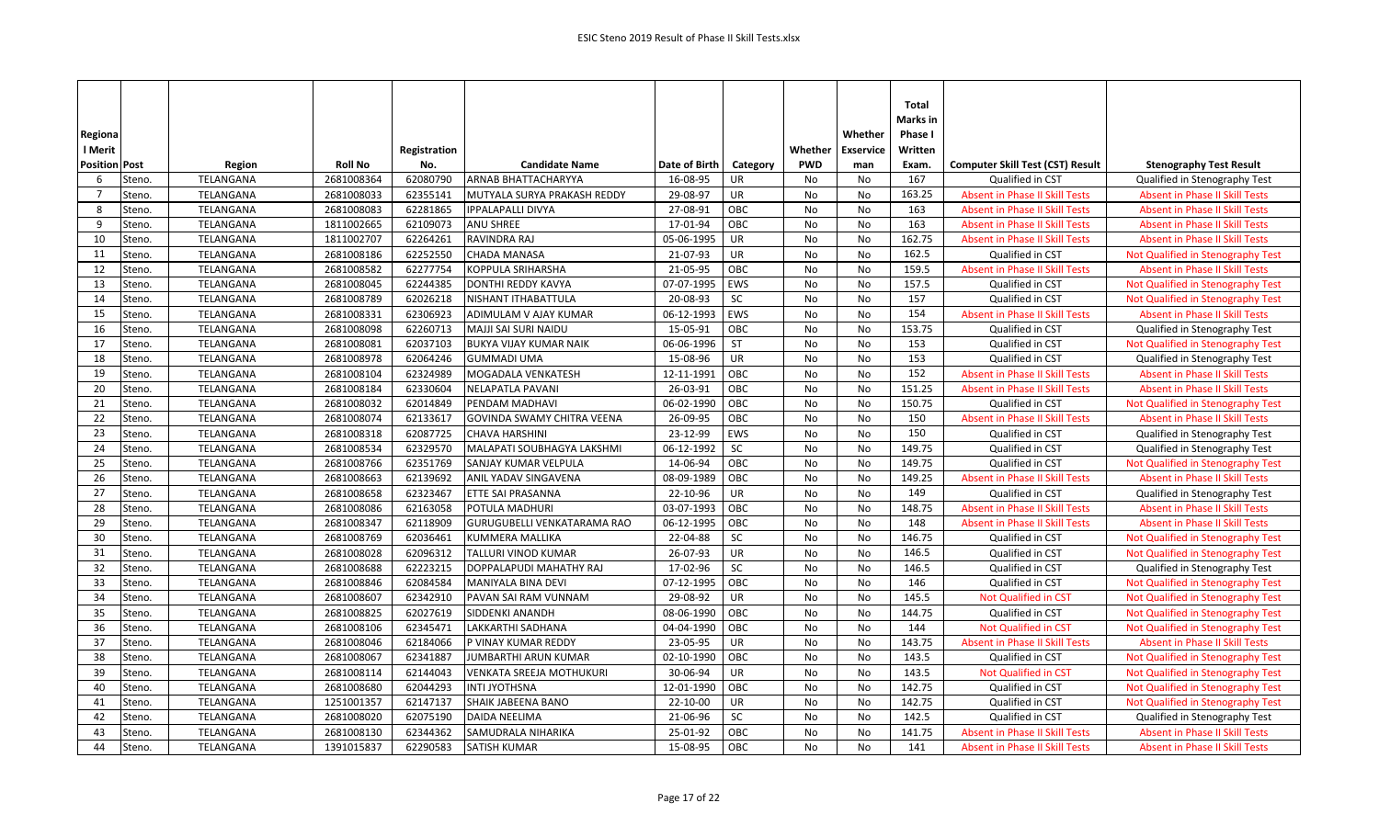|                          |                  |                |              |                                 |               |          |            |                  | Total    |                                         |                                       |
|--------------------------|------------------|----------------|--------------|---------------------------------|---------------|----------|------------|------------------|----------|-----------------------------------------|---------------------------------------|
|                          |                  |                |              |                                 |               |          |            |                  | Marks in |                                         |                                       |
| Regiona                  |                  |                |              |                                 |               |          |            | Whether          | Phase I  |                                         |                                       |
| l Merit                  |                  |                | Registration |                                 |               |          | Whether    | <b>Exservice</b> | Written  |                                         |                                       |
| <b>Position Post</b>     | Region           | <b>Roll No</b> | No.          | <b>Candidate Name</b>           | Date of Birth | Category | <b>PWD</b> | man              | Exam.    | <b>Computer Skill Test (CST) Result</b> | <b>Stenography Test Result</b>        |
| 6<br>Steno.              | TELANGANA        | 2681008364     | 62080790     | ARNAB BHATTACHARYYA             | 16-08-95      | UR       | No         | No               | 167      | Qualified in CST                        | Qualified in Stenography Test         |
| $\overline{7}$<br>Steno. | TELANGANA        | 2681008033     | 62355141     | MUTYALA SURYA PRAKASH REDDY     | 29-08-97      | UR       | No         | No               | 163.25   | <b>Absent in Phase II Skill Tests</b>   | <b>Absent in Phase II Skill Tests</b> |
| 8<br>Steno.              | TELANGANA        | 2681008083     | 62281865     | <b>IPPALAPALLI DIVYA</b>        | 27-08-91      | OBC      | No         | No               | 163      | Absent in Phase II Skill Tests          | <b>Absent in Phase II Skill Tests</b> |
| 9<br>Steno.              | TELANGANA        | 1811002665     | 62109073     | ANU SHREE                       | 17-01-94      | OBC      | No         | No               | 163      | <b>Absent in Phase II Skill Tests</b>   | <b>Absent in Phase II Skill Tests</b> |
| 10<br>Steno.             | TELANGANA        | 1811002707     | 62264261     | RAVINDRA RAJ                    | 05-06-1995    | UR       | No         | No               | 162.75   | <b>Absent in Phase II Skill Tests</b>   | <b>Absent in Phase II Skill Tests</b> |
| 11<br>Steno.             | TELANGANA        | 2681008186     | 62252550     | CHADA MANASA                    | 21-07-93      | UR       | No         | No               | 162.5    | Qualified in CST                        | Not Qualified in Stenography Test     |
| 12<br>Steno.             | TELANGANA        | 2681008582     | 62277754     | KOPPULA SRIHARSHA               | 21-05-95      | OBC      | No         | No               | 159.5    | <b>Absent in Phase II Skill Tests</b>   | <b>Absent in Phase II Skill Tests</b> |
| 13<br>Steno.             | TELANGANA        | 2681008045     | 62244385     | DONTHI REDDY KAVYA              | 07-07-1995    | EWS      | No         | No               | 157.5    | Qualified in CST                        | Not Qualified in Stenography Test     |
| 14<br>Steno.             | TELANGANA        | 2681008789     | 62026218     | NISHANT ITHABATTULA             | 20-08-93      | SC       | No         | No               | 157      | Qualified in CST                        | Not Qualified in Stenography Test     |
| 15<br>Steno.             | TELANGANA        | 2681008331     | 62306923     | ADIMULAM V AJAY KUMAR           | 06-12-1993    | EWS      | No         | No               | 154      | <b>Absent in Phase II Skill Tests</b>   | <b>Absent in Phase II Skill Tests</b> |
| 16<br>Steno.             | TELANGANA        | 2681008098     | 62260713     | MAJJI SAI SURI NAIDU            | 15-05-91      | OBC      | No         | No               | 153.75   | Qualified in CST                        | Qualified in Stenography Test         |
| 17<br>Steno.             | TELANGANA        | 2681008081     | 62037103     | BUKYA VIJAY KUMAR NAIK          | 06-06-1996    | ST       | No         | No               | 153      | Qualified in CST                        | Not Qualified in Stenography Test     |
| 18<br>Steno.             | TELANGANA        | 2681008978     | 62064246     | <b>GUMMADI UMA</b>              | 15-08-96      | UR       | No         | No               | 153      | Qualified in CST                        | Qualified in Stenography Test         |
| 19<br>Steno.             | TELANGANA        | 2681008104     | 62324989     | MOGADALA VENKATESH              | 12-11-1991    | OBC      | No         | No               | 152      | <b>Absent in Phase II Skill Tests</b>   | <b>Absent in Phase II Skill Tests</b> |
| 20<br>Steno.             | TELANGANA        | 2681008184     | 62330604     | <b>NELAPATLA PAVANI</b>         | 26-03-91      | OBC      | No         | No               | 151.25   | <b>Absent in Phase II Skill Tests</b>   | <b>Absent in Phase II Skill Tests</b> |
| 21<br>Steno.             | TELANGANA        | 2681008032     | 62014849     | PENDAM MADHAVI                  | 06-02-1990    | OBC      | No         | No               | 150.75   | Qualified in CST                        | Not Qualified in Stenography Test     |
| 22<br>Steno.             | TELANGANA        | 2681008074     | 62133617     | GOVINDA SWAMY CHITRA VEENA      | 26-09-95      | OBC      | No         | No               | 150      | <b>Absent in Phase II Skill Tests</b>   | <b>Absent in Phase II Skill Tests</b> |
| 23<br>Steno.             | TELANGANA        | 2681008318     | 62087725     | <b>CHAVA HARSHINI</b>           | 23-12-99      | EWS      | No         | No               | 150      | Qualified in CST                        | Qualified in Stenography Test         |
| Steno.<br>24             | TELANGANA        | 2681008534     | 62329570     | MALAPATI SOUBHAGYA LAKSHMI      | 06-12-1992    | SC       | No         | No               | 149.75   | Qualified in CST                        | Qualified in Stenography Test         |
| 25<br>Steno.             | TELANGANA        | 2681008766     | 62351769     | SANJAY KUMAR VELPULA            | 14-06-94      | OBC      | No         | No               | 149.75   | Qualified in CST                        | Not Qualified in Stenography Test     |
| 26<br>Steno.             | TELANGANA        | 2681008663     | 62139692     | ANIL YADAV SINGAVENA            | 08-09-1989    | OBC      | No         | No.              | 149.25   | Absent in Phase II Skill Tests          | <b>Absent in Phase II Skill Tests</b> |
| 27<br>Steno.             | TELANGANA        | 2681008658     | 62323467     | ETTE SAI PRASANNA               | 22-10-96      | UR       | No         | No               | 149      | Qualified in CST                        | Qualified in Stenography Test         |
| 28<br>Steno.             | TELANGANA        | 2681008086     | 62163058     | POTULA MADHURI                  | 03-07-1993    | OBC      | No         | No               | 148.75   | <b>Absent in Phase II Skill Tests</b>   | Absent in Phase II Skill Tests        |
| 29<br>Steno.             | TELANGANA        | 2681008347     | 62118909     | GURUGUBELLI VENKATARAMA RAO     | 06-12-1995    | OBC      | No         | No               | 148      | <b>Absent in Phase II Skill Tests</b>   | <b>Absent in Phase II Skill Tests</b> |
| 30<br>Steno.             | TELANGANA        | 2681008769     | 62036461     | <b>KUMMERA MALLIKA</b>          | 22-04-88      | SC       | No         | <b>No</b>        | 146.75   | Qualified in CST                        | Not Qualified in Stenography Test     |
| 31<br>Steno.             | TELANGANA        | 2681008028     | 62096312     | TALLURI VINOD KUMAR             | 26-07-93      | UR       | No         | No               | 146.5    | Qualified in CST                        | Not Qualified in Stenography Test     |
| 32<br>Steno.             | TELANGANA        | 2681008688     | 62223215     | DOPPALAPUDI MAHATHY RAJ         | 17-02-96      | SC       | No         | No               | 146.5    | Qualified in CST                        | Qualified in Stenography Test         |
| 33<br>Steno.             | TELANGANA        | 2681008846     | 62084584     | MANIYALA BINA DEVI              | 07-12-1995    | OBC      | No         | No               | 146      | Qualified in CST                        | Not Qualified in Stenography Test     |
| 34<br>Steno.             | TELANGANA        | 2681008607     | 62342910     | PAVAN SAI RAM VUNNAM            | 29-08-92      | UR       | No         | No               | 145.5    | Not Qualified in CST                    | Not Qualified in Stenography Test     |
| 35<br>Steno.             | TELANGANA        | 2681008825     | 62027619     | SIDDENKI ANANDH                 | 08-06-1990    | OBC      | No         | No               | 144.75   | Qualified in CST                        | Not Qualified in Stenography Test     |
| 36<br>Steno.             | TELANGANA        | 2681008106     | 62345471     | LAKKARTHI SADHANA               | 04-04-1990    | OBC      | No         | No               | 144      | Not Qualified in CST                    | Not Qualified in Stenography Test     |
| 37<br>Steno.             | TELANGANA        | 2681008046     | 62184066     | P VINAY KUMAR REDDY             | 23-05-95      | UR       | No         | No               | 143.75   | <b>Absent in Phase II Skill Tests</b>   | <b>Absent in Phase II Skill Tests</b> |
| 38<br>Steno.             | TELANGANA        | 2681008067     | 62341887     | JUMBARTHI ARUN KUMAR            | 02-10-1990    | OBC      | No         | No               | 143.5    | Qualified in CST                        | Not Qualified in Stenography Test     |
| 39<br>Steno.             | TELANGANA        | 2681008114     | 62144043     | <b>VENKATA SREEJA MOTHUKURI</b> | 30-06-94      | UR       | No         | No               | 143.5    | <b>Not Qualified in CST</b>             | Not Qualified in Stenography Test     |
| 40<br>Steno.             | TELANGANA        | 2681008680     | 62044293     | <b>INTI JYOTHSNA</b>            | 12-01-1990    | OBC      | <b>No</b>  | No               | 142.75   | Qualified in CST                        | Not Qualified in Stenography Test     |
| 41<br>Steno.             | TELANGANA        | 1251001357     | 62147137     | SHAIK JABEENA BANO              | 22-10-00      | UR       | No         | No               | 142.75   | Qualified in CST                        | Not Qualified in Stenography Test     |
| 42<br>Steno.             | TELANGANA        | 2681008020     | 62075190     | <b>DAIDA NEELIMA</b>            | 21-06-96      | SC       | No         | No               | 142.5    | Qualified in CST                        | Qualified in Stenography Test         |
| 43<br>Steno.             | <b>TELANGANA</b> | 2681008130     | 62344362     | SAMUDRALA NIHARIKA              | 25-01-92      | OBC      | <b>No</b>  | No               | 141.75   | <b>Absent in Phase II Skill Tests</b>   | <b>Absent in Phase II Skill Tests</b> |
| 44<br>Steno.             | TELANGANA        | 1391015837     | 62290583     | SATISH KUMAR                    | 15-08-95      | OBC      | No         | No               | 141      | <b>Absent in Phase II Skill Tests</b>   | <b>Absent in Phase II Skill Tests</b> |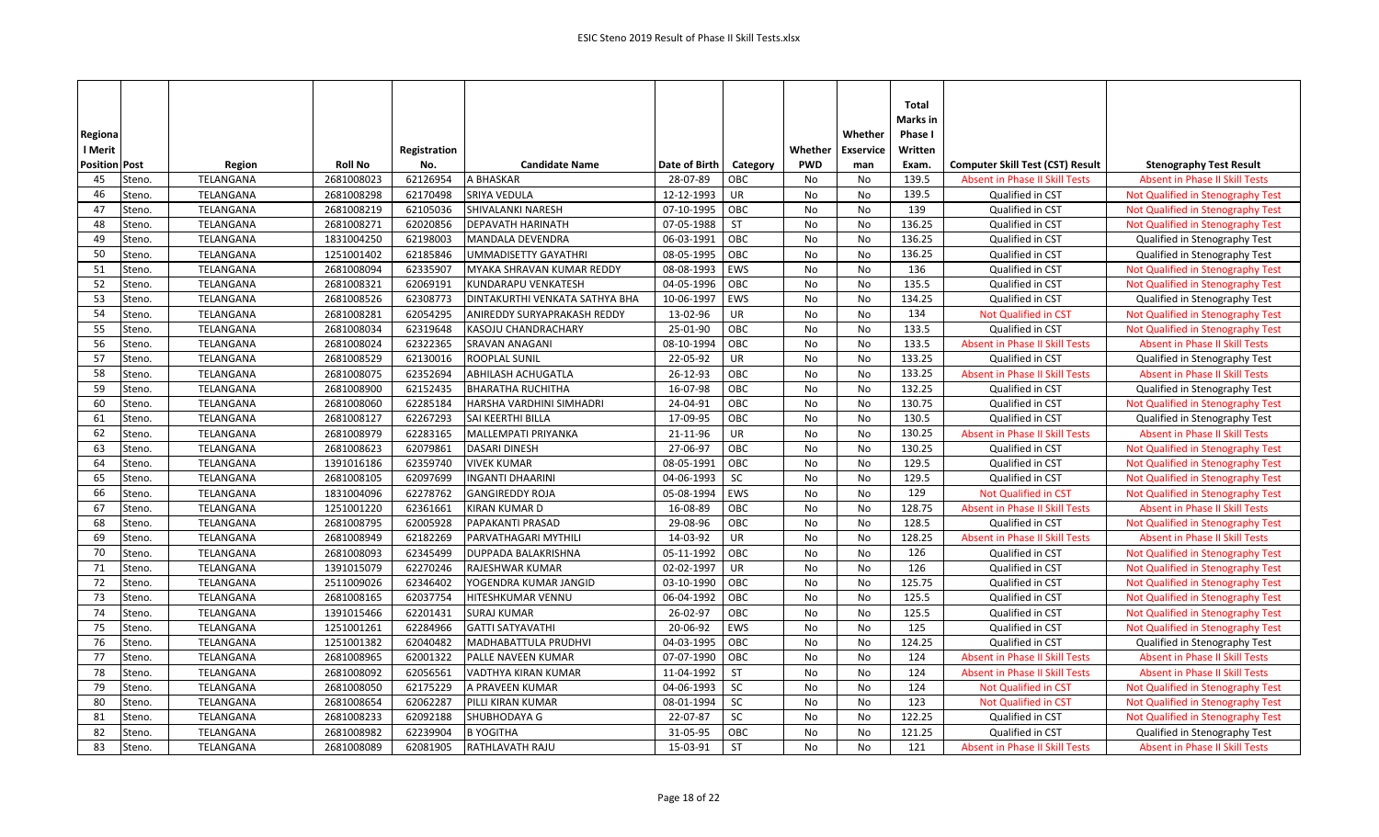|                      |           |                |              |                                |               |           |            |                  | Total    |                                         |                                       |
|----------------------|-----------|----------------|--------------|--------------------------------|---------------|-----------|------------|------------------|----------|-----------------------------------------|---------------------------------------|
|                      |           |                |              |                                |               |           |            |                  | Marks in |                                         |                                       |
| Regiona              |           |                |              |                                |               |           |            | Whether          | Phase I  |                                         |                                       |
| l Merit              |           |                | Registration |                                |               |           | Whether    | <b>Exservice</b> | Written  |                                         |                                       |
| <b>Position Post</b> | Region    | <b>Roll No</b> | No.          | <b>Candidate Name</b>          | Date of Birth | Category  | <b>PWD</b> | man              | Exam.    | <b>Computer Skill Test (CST) Result</b> | <b>Stenography Test Result</b>        |
| 45<br>Steno.         | TELANGANA | 2681008023     | 62126954     | A BHASKAR                      | 28-07-89      | OBC       | No         | No               | 139.5    | Absent in Phase II Skill Tests          | <b>Absent in Phase II Skill Tests</b> |
| Steno.<br>46         | TELANGANA | 2681008298     | 62170498     | SRIYA VEDULA                   | 12-12-1993    | UR        | No         | No               | 139.5    | Qualified in CST                        | Not Qualified in Stenography Test     |
| 47<br>Steno.         | TELANGANA | 2681008219     | 62105036     | SHIVALANKI NARESH              | 07-10-1995    | OBC       | No         | No               | 139      | Qualified in CST                        | Not Qualified in Stenography Test     |
| 48<br>Steno.         | TELANGANA | 2681008271     | 62020856     | <b>DEPAVATH HARINATH</b>       | 07-05-1988    | <b>ST</b> | No         | No               | 136.25   | Qualified in CST                        | Not Qualified in Stenography Test     |
| 49<br>Steno.         | TELANGANA | 1831004250     | 62198003     | MANDALA DEVENDRA               | 06-03-1991    | OBC       | No         | <b>No</b>        | 136.25   | Qualified in CST                        | Qualified in Stenography Test         |
| 50<br>Steno.         | TELANGANA | 1251001402     | 62185846     | UMMADISETTY GAYATHRI           | 08-05-1995    | OBC       | No         | No               | 136.25   | Qualified in CST                        | Qualified in Stenography Test         |
| 51<br>Steno.         | TELANGANA | 2681008094     | 62335907     | MYAKA SHRAVAN KUMAR REDDY      | 08-08-1993    | EWS       | No         | No               | 136      | Qualified in CST                        | Not Qualified in Stenography Test     |
| 52<br>Steno.         | TELANGANA | 2681008321     | 62069191     | KUNDARAPU VENKATESH            | 04-05-1996    | OBC       | No         | No               | 135.5    | Qualified in CST                        | Not Qualified in Stenography Test     |
| 53<br>Steno.         | TELANGANA | 2681008526     | 62308773     | DINTAKURTHI VENKATA SATHYA BHA | 10-06-1997    | EWS       | No         | No               | 134.25   | Qualified in CST                        | Qualified in Stenography Test         |
| 54<br>Steno.         | TELANGANA | 2681008281     | 62054295     | ANIREDDY SURYAPRAKASH REDDY    | 13-02-96      | UR        | No         | No               | 134      | Not Qualified in CST                    | Not Qualified in Stenography Test     |
| 55<br>Steno.         | TELANGANA | 2681008034     | 62319648     | KASOJU CHANDRACHARY            | 25-01-90      | OBC       | No         | No               | 133.5    | Qualified in CST                        | Not Qualified in Stenography Test     |
| 56<br>Steno.         | TELANGANA | 2681008024     | 62322365     | <b>SRAVAN ANAGANI</b>          | 08-10-1994    | OBC       | No         | No               | 133.5    | <b>Absent in Phase II Skill Tests</b>   | <b>Absent in Phase II Skill Tests</b> |
| 57<br>Steno.         | TELANGANA | 2681008529     | 62130016     | <b>ROOPLAL SUNIL</b>           | 22-05-92      | UR        | No         | No               | 133.25   | Qualified in CST                        | Qualified in Stenography Test         |
| 58<br>Steno.         | TELANGANA | 2681008075     | 62352694     | ABHILASH ACHUGATLA             | 26-12-93      | OBC       | No         | No               | 133.25   | <b>Absent in Phase II Skill Tests</b>   | <b>Absent in Phase II Skill Tests</b> |
| 59<br>Steno.         | TELANGANA | 2681008900     | 62152435     | <b>BHARATHA RUCHITHA</b>       | 16-07-98      | OBC       | No         | No               | 132.25   | Qualified in CST                        | Qualified in Stenography Test         |
| 60<br>Steno.         | TELANGANA | 2681008060     | 62285184     | HARSHA VARDHINI SIMHADRI       | 24-04-91      | OBC       | No         | No               | 130.75   | Qualified in CST                        | Not Qualified in Stenography Test     |
| 61<br>Steno.         | TELANGANA | 2681008127     | 62267293     | SAI KEERTHI BILLA              | 17-09-95      | OBC       | No         | No               | 130.5    | Qualified in CST                        | Qualified in Stenography Test         |
| 62<br>Steno.         | TELANGANA | 2681008979     | 62283165     | MALLEMPATI PRIYANKA            | 21-11-96      | <b>UR</b> | No         | <b>No</b>        | 130.25   | <b>Absent in Phase II Skill Tests</b>   | <b>Absent in Phase II Skill Tests</b> |
| 63<br>Steno.         | TELANGANA | 2681008623     | 62079861     | DASARI DINESH                  | 27-06-97      | OBC       | No         | No               | 130.25   | Qualified in CST                        | Not Qualified in Stenography Test     |
| 64<br>Steno.         | TELANGANA | 1391016186     | 62359740     | <b>VIVEK KUMAR</b>             | 08-05-1991    | OBC       | No         | No               | 129.5    | Qualified in CST                        | Not Qualified in Stenography Test     |
| 65<br>Steno.         | TELANGANA | 2681008105     | 62097699     | <b>INGANTI DHAARINI</b>        | 04-06-1993    | <b>SC</b> | No         | No               | 129.5    | Qualified in CST                        | Not Qualified in Stenography Test     |
| 66<br>Steno.         | TELANGANA | 1831004096     | 62278762     | <b>GANGIREDDY ROJA</b>         | 05-08-1994    | EWS       | No         | No               | 129      | <b>Not Qualified in CST</b>             | Not Qualified in Stenography Test     |
| 67<br>Steno.         | TELANGANA | 1251001220     | 62361661     | <b>KIRAN KUMAR D</b>           | 16-08-89      | OBC       | No         | No               | 128.75   | <b>Absent in Phase II Skill Tests</b>   | Absent in Phase II Skill Tests        |
| 68<br>Steno.         | TELANGANA | 2681008795     | 62005928     | PAPAKANTI PRASAD               | 29-08-96      | OBC       | No         | No               | 128.5    | Qualified in CST                        | Not Qualified in Stenography Test     |
| 69<br>Steno.         | TELANGANA | 2681008949     | 62182269     | PARVATHAGARI MYTHILI           | 14-03-92      | UR        | No         | No               | 128.25   | Absent in Phase II Skill Tests          | <b>Absent in Phase II Skill Tests</b> |
| 70<br>Steno.         | TELANGANA | 2681008093     | 62345499     | DUPPADA BALAKRISHNA            | 05-11-1992    | OBC       | No         | No               | 126      | Qualified in CST                        | Not Qualified in Stenography Test     |
| 71<br>Steno.         | TELANGANA | 1391015079     | 62270246     | RAJESHWAR KUMAR                | 02-02-1997    | <b>UR</b> | No         | No               | 126      | Qualified in CST                        | Not Qualified in Stenography Test     |
| 72<br>Steno.         | TELANGANA | 2511009026     | 62346402     | YOGENDRA KUMAR JANGID          | 03-10-1990    | OBC       | No         | No               | 125.75   | Qualified in CST                        | Not Qualified in Stenography Test     |
| 73<br>Steno.         | TELANGANA | 2681008165     | 62037754     | HITESHKUMAR VENNU              | 06-04-1992    | OBC       | No         | No               | 125.5    | Qualified in CST                        | Not Qualified in Stenography Test     |
| 74<br>Steno.         | TELANGANA | 1391015466     | 62201431     | <b>SURAJ KUMAR</b>             | 26-02-97      | OBC       | No         | No               | 125.5    | Qualified in CST                        | Not Qualified in Stenography Test     |
| 75<br>Steno.         | TELANGANA | 1251001261     | 62284966     | <b>GATTI SATYAVATHI</b>        | 20-06-92      | EWS       | No         | No               | 125      | Qualified in CST                        | Not Qualified in Stenography Test     |
| 76<br>Steno.         | TELANGANA | 1251001382     | 62040482     | MADHABATTULA PRUDHVI           | 04-03-1995    | OBC       | No         | No               | 124.25   | Qualified in CST                        | Qualified in Stenography Test         |
| 77<br>Steno.         | TELANGANA | 2681008965     | 62001322     | PALLE NAVEEN KUMAR             | 07-07-1990    | OBC       | No         | No               | 124      | <b>Absent in Phase II Skill Tests</b>   | <b>Absent in Phase II Skill Tests</b> |
| 78<br>Steno.         | TELANGANA | 2681008092     | 62056561     | VADTHYA KIRAN KUMAR            | 11-04-1992    | <b>ST</b> | No         | <b>No</b>        | 124      | <b>Absent in Phase II Skill Tests</b>   | <b>Absent in Phase II Skill Tests</b> |
| 79<br>Steno.         | TELANGANA | 2681008050     | 62175229     | A PRAVEEN KUMAR                | 04-06-1993    | SC        | No         | No               | 124      | <b>Not Qualified in CST</b>             | Not Qualified in Stenography Test     |
| 80<br>Steno.         | TELANGANA | 2681008654     | 62062287     | PILLI KIRAN KUMAR              | 08-01-1994    | <b>SC</b> | No         | No               | 123      | Not Qualified in CST                    | Not Qualified in Stenography Test     |
| 81<br>Steno.         | TELANGANA | 2681008233     | 62092188     | SHUBHODAYA G                   | 22-07-87      | SC        | No         | No               | 122.25   | Qualified in CST                        | Not Qualified in Stenography Test     |
| 82<br>Steno.         | TELANGANA | 2681008982     | 62239904     | <b>B YOGITHA</b>               | 31-05-95      | OBC       | <b>No</b>  | No               | 121.25   | Qualified in CST                        | Qualified in Stenography Test         |
| 83<br>Steno.         | TELANGANA | 2681008089     | 62081905     | <b>RATHLAVATH RAJU</b>         | 15-03-91      | <b>ST</b> | No         | No               | 121      | <b>Absent in Phase II Skill Tests</b>   | <b>Absent in Phase II Skill Tests</b> |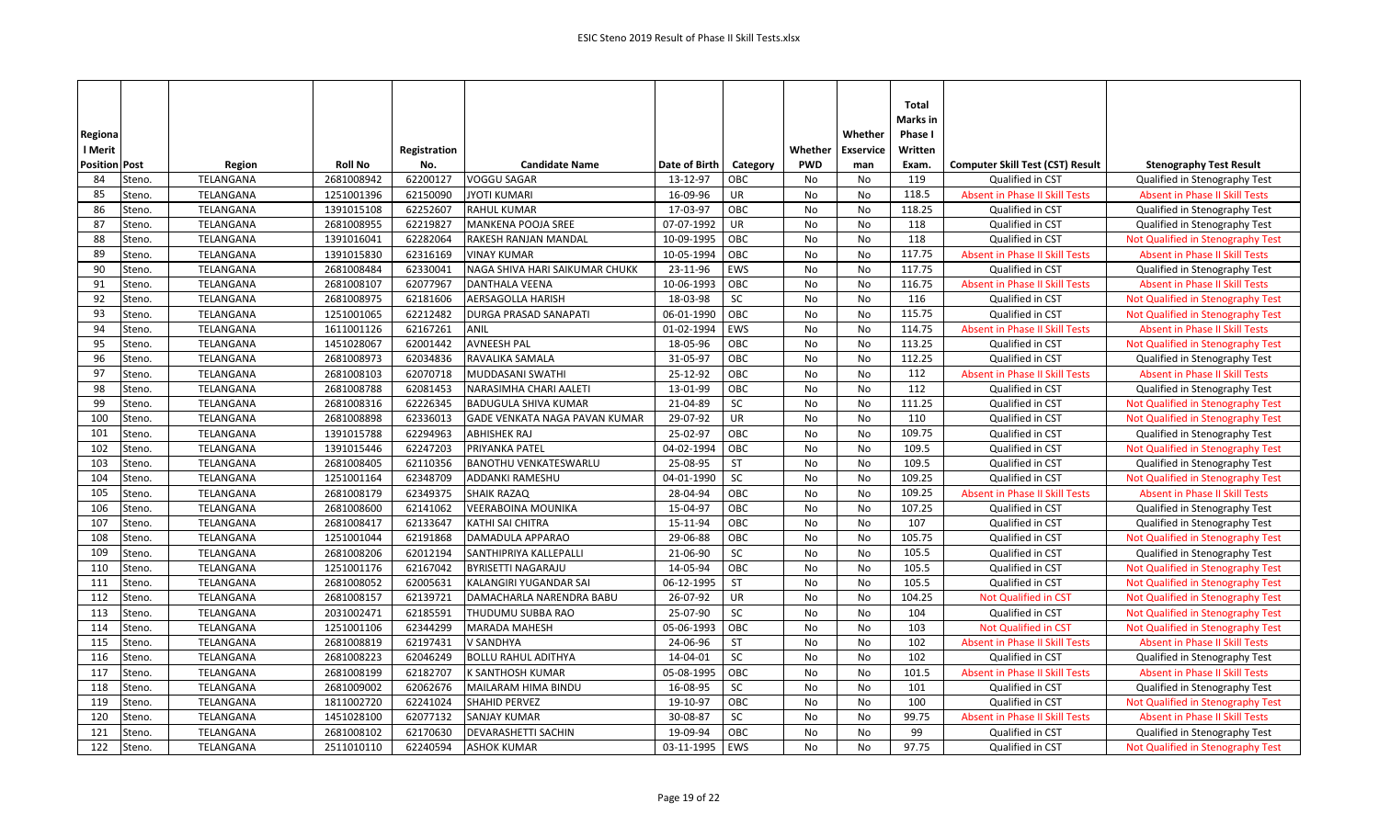| Regiona<br>l Merit   |        |           |                | Registration |                                |               |            | Whether    | Whether<br><b>Exservice</b> | Total<br>Marks in<br>Phase I<br>Written |                                         |                                       |
|----------------------|--------|-----------|----------------|--------------|--------------------------------|---------------|------------|------------|-----------------------------|-----------------------------------------|-----------------------------------------|---------------------------------------|
| <b>Position Post</b> |        | Region    | <b>Roll No</b> | No.          | <b>Candidate Name</b>          | Date of Birth | Category   | <b>PWD</b> | man                         | Exam.                                   | <b>Computer Skill Test (CST) Result</b> | <b>Stenography Test Result</b>        |
| 84                   | Steno. | TELANGANA | 2681008942     | 62200127     | <b>VOGGU SAGAR</b>             | 13-12-97      | OBC        | No         | No                          | 119                                     | Qualified in CST                        | Qualified in Stenography Test         |
| 85                   | Steno. | TELANGANA | 1251001396     | 62150090     | <b>JYOTI KUMARI</b>            | 16-09-96      | UR         | No         | No                          | 118.5                                   | <b>Absent in Phase II Skill Tests</b>   | <b>Absent in Phase II Skill Tests</b> |
| 86                   | Steno. | TELANGANA | 1391015108     | 62252607     | <b>RAHUL KUMAR</b>             | 17-03-97      | OBC        | No         | No                          | 118.25                                  | Qualified in CST                        | Qualified in Stenography Test         |
| 87                   | Steno. | TELANGANA | 2681008955     | 62219827     | <b>MANKENA POOJA SREE</b>      | 07-07-1992    | <b>UR</b>  | No         | No                          | 118                                     | Qualified in CST                        | Qualified in Stenography Test         |
| 88                   | Steno. | TELANGANA | 1391016041     | 62282064     | RAKESH RANJAN MANDAL           | 10-09-1995    | OBC        | No         | <b>No</b>                   | 118                                     | Qualified in CST                        | Not Qualified in Stenography Test     |
| 89                   | Steno. | TELANGANA | 1391015830     | 62316169     | <b>VINAY KUMAR</b>             | 10-05-1994    | OBC        | No         | No                          | 117.75                                  | Absent in Phase II Skill Tests          | <b>Absent in Phase II Skill Tests</b> |
| 90                   | Steno. | TELANGANA | 2681008484     | 62330041     | NAGA SHIVA HARI SAIKUMAR CHUKK | 23-11-96      | <b>EWS</b> | No         | No                          | 117.75                                  | Qualified in CST                        | Qualified in Stenography Test         |
| 91                   | Steno. | TELANGANA | 2681008107     | 62077967     | <b>DANTHALA VEENA</b>          | 10-06-1993    | OBC        | No         | <b>No</b>                   | 116.75                                  | <b>Absent in Phase II Skill Tests</b>   | <b>Absent in Phase II Skill Tests</b> |
| 92                   | Steno. | TELANGANA | 2681008975     | 62181606     | AERSAGOLLA HARISH              | 18-03-98      | SC         | No         | No                          | 116                                     | Qualified in CST                        | Not Qualified in Stenography Test     |
| 93                   | Steno. | TELANGANA | 1251001065     | 62212482     | <b>DURGA PRASAD SANAPATI</b>   | 06-01-1990    | OBC        | No         | No                          | 115.75                                  | Qualified in CST                        | Not Qualified in Stenography Test     |
| 94                   | Steno. | TELANGANA | 1611001126     | 62167261     | ANIL                           | 01-02-1994    | EWS        | No         | No                          | 114.75                                  | Absent in Phase II Skill Tests          | Absent in Phase II Skill Tests        |
| 95                   | Steno. | TELANGANA | 1451028067     | 62001442     | <b>AVNEESH PAL</b>             | 18-05-96      | OBC        | No         | <b>No</b>                   | 113.25                                  | Qualified in CST                        | Not Qualified in Stenography Test     |
| 96                   | Steno. | TELANGANA | 2681008973     | 62034836     | RAVALIKA SAMALA                | 31-05-97      | OBC        | No         | No                          | 112.25                                  | Qualified in CST                        | Qualified in Stenography Test         |
| 97                   | Steno. | TELANGANA | 2681008103     | 62070718     | MUDDASANI SWATHI               | 25-12-92      | OBC        | No         | No                          | 112                                     | Absent in Phase II Skill Tests          | Absent in Phase II Skill Tests        |
| 98                   | Steno. | TELANGANA | 2681008788     | 62081453     | NARASIMHA CHARI AALETI         | 13-01-99      | OBC        | No         | No                          | 112                                     | Qualified in CST                        | Qualified in Stenography Test         |
| 99                   | Steno. | TELANGANA | 2681008316     | 62226345     | <b>BADUGULA SHIVA KUMAR</b>    | 21-04-89      | SC         | No         | No                          | 111.25                                  | Qualified in CST                        | Not Qualified in Stenography Test     |
| 100                  | Steno. | TELANGANA | 2681008898     | 62336013     | GADE VENKATA NAGA PAVAN KUMAR  | 29-07-92      | UR         | No         | <b>No</b>                   | 110                                     | Qualified in CST                        | Not Qualified in Stenography Test     |
| 101                  | Steno. | TELANGANA | 1391015788     | 62294963     | <b>ABHISHEK RAJ</b>            | 25-02-97      | OBC        | No         | No                          | 109.75                                  | Qualified in CST                        | Qualified in Stenography Test         |
| 102                  | Steno. | TELANGANA | 1391015446     | 62247203     | PRIYANKA PATEL                 | 04-02-1994    | OBC        | No         | No                          | 109.5                                   | Qualified in CST                        | Not Qualified in Stenography Test     |
| 103                  | Steno. | TELANGANA | 2681008405     | 62110356     | <b>BANOTHU VENKATESWARLU</b>   | 25-08-95      | <b>ST</b>  | No         | <b>No</b>                   | 109.5                                   | Qualified in CST                        | Qualified in Stenography Test         |
| 104                  | Steno. | TELANGANA | 1251001164     | 62348709     | <b>ADDANKI RAMESHU</b>         | 04-01-1990    | SC         | No         | No                          | 109.25                                  | Qualified in CST                        | Not Qualified in Stenography Test     |
| 105                  | Steno. | TELANGANA | 2681008179     | 62349375     | <b>SHAIK RAZAQ</b>             | 28-04-94      | OBC        | No         | No                          | 109.25                                  | <b>Absent in Phase II Skill Tests</b>   | <b>Absent in Phase II Skill Tests</b> |
| 106                  | Steno. | TELANGANA | 2681008600     | 62141062     | <b>VEERABOINA MOUNIKA</b>      | 15-04-97      | OBC        | No         | No                          | 107.25                                  | Qualified in CST                        | Qualified in Stenography Test         |
| 107                  | Steno. | TELANGANA | 2681008417     | 62133647     | KATHI SAI CHITRA               | 15-11-94      | OBC        | No         | <b>No</b>                   | 107                                     | Qualified in CST                        | Qualified in Stenography Test         |
| 108                  | Steno. | TELANGANA | 1251001044     | 62191868     | DAMADULA APPARAO               | 29-06-88      | OBC        | No         | No                          | 105.75                                  | Qualified in CST                        | Not Qualified in Stenography Test     |
| 109                  | Steno. | TELANGANA | 2681008206     | 62012194     | SANTHIPRIYA KALLEPALLI         | 21-06-90      | SC         | No         | No                          | 105.5                                   | Qualified in CST                        | Qualified in Stenography Test         |
| 110                  | Steno. | TELANGANA | 1251001176     | 62167042     | <b>BYRISETTI NAGARAJU</b>      | 14-05-94      | OBC        | No         | No                          | 105.5                                   | Qualified in CST                        | Not Qualified in Stenography Test     |
| 111                  | Steno. | TELANGANA | 2681008052     | 62005631     | KALANGIRI YUGANDAR SAI         | 06-12-1995    | <b>ST</b>  | No         | <b>No</b>                   | 105.5                                   | Qualified in CST                        | Not Qualified in Stenography Test     |
| 112                  | Steno. | TELANGANA | 2681008157     | 62139721     | DAMACHARLA NARENDRA BABU       | 26-07-92      | UR         | No         | No                          | 104.25                                  | <b>Not Qualified in CST</b>             | Not Qualified in Stenography Test     |
| 113                  | Steno. | TELANGANA | 2031002471     | 62185591     | THUDUMU SUBBA RAO              | 25-07-90      | SC         | No         | No                          | 104                                     | Qualified in CST                        | Not Qualified in Stenography Test     |
| 114                  | Steno. | TELANGANA | 1251001106     | 62344299     | <b>MARADA MAHESH</b>           | 05-06-1993    | OBC        | No         | No                          | 103                                     | Not Qualified in CST                    | Not Qualified in Stenography Test     |
| 115                  | Steno. | TELANGANA | 2681008819     | 62197431     | <b>V SANDHYA</b>               | 24-06-96      | <b>ST</b>  | No         | <b>No</b>                   | 102                                     | <b>Absent in Phase II Skill Tests</b>   | <b>Absent in Phase II Skill Tests</b> |
| 116                  | Steno. | TELANGANA | 2681008223     | 62046249     | <b>BOLLU RAHUL ADITHYA</b>     | 14-04-01      | SC         | No         | No                          | 102                                     | Qualified in CST                        | Qualified in Stenography Test         |
| 117                  | Steno. | TELANGANA | 2681008199     | 62182707     | K SANTHOSH KUMAR               | 05-08-1995    | OBC        | No         | No                          | 101.5                                   | Absent in Phase II Skill Tests          | <b>Absent in Phase II Skill Tests</b> |
| 118                  | Steno. | TELANGANA | 2681009002     | 62062676     | MAILARAM HIMA BINDU            | 16-08-95      | SC         | No         | No                          | 101                                     | Qualified in CST                        | Qualified in Stenography Test         |
| 119                  | Steno. | TELANGANA | 1811002720     | 62241024     | <b>SHAHID PERVEZ</b>           | 19-10-97      | OBC        | No         | No                          | 100                                     | Qualified in CST                        | Not Qualified in Stenography Test     |
| 120                  | Steno. | TELANGANA | 1451028100     | 62077132     | <b>SANJAY KUMAR</b>            | 30-08-87      | SC         | No         | No                          | 99.75                                   | <b>Absent in Phase II Skill Tests</b>   | <b>Absent in Phase II Skill Tests</b> |
| 121                  | Steno. | TELANGANA | 2681008102     | 62170630     | <b>DEVARASHETTI SACHIN</b>     | 19-09-94      | OBC        | No         | No                          | 99                                      | Qualified in CST                        | Qualified in Stenography Test         |
| 122                  | Steno. | TELANGANA | 2511010110     | 62240594     | <b>ASHOK KUMAR</b>             | 03-11-1995    | EWS        | <b>No</b>  | No                          | 97.75                                   | Qualified in CST                        | Not Qualified in Stenography Test     |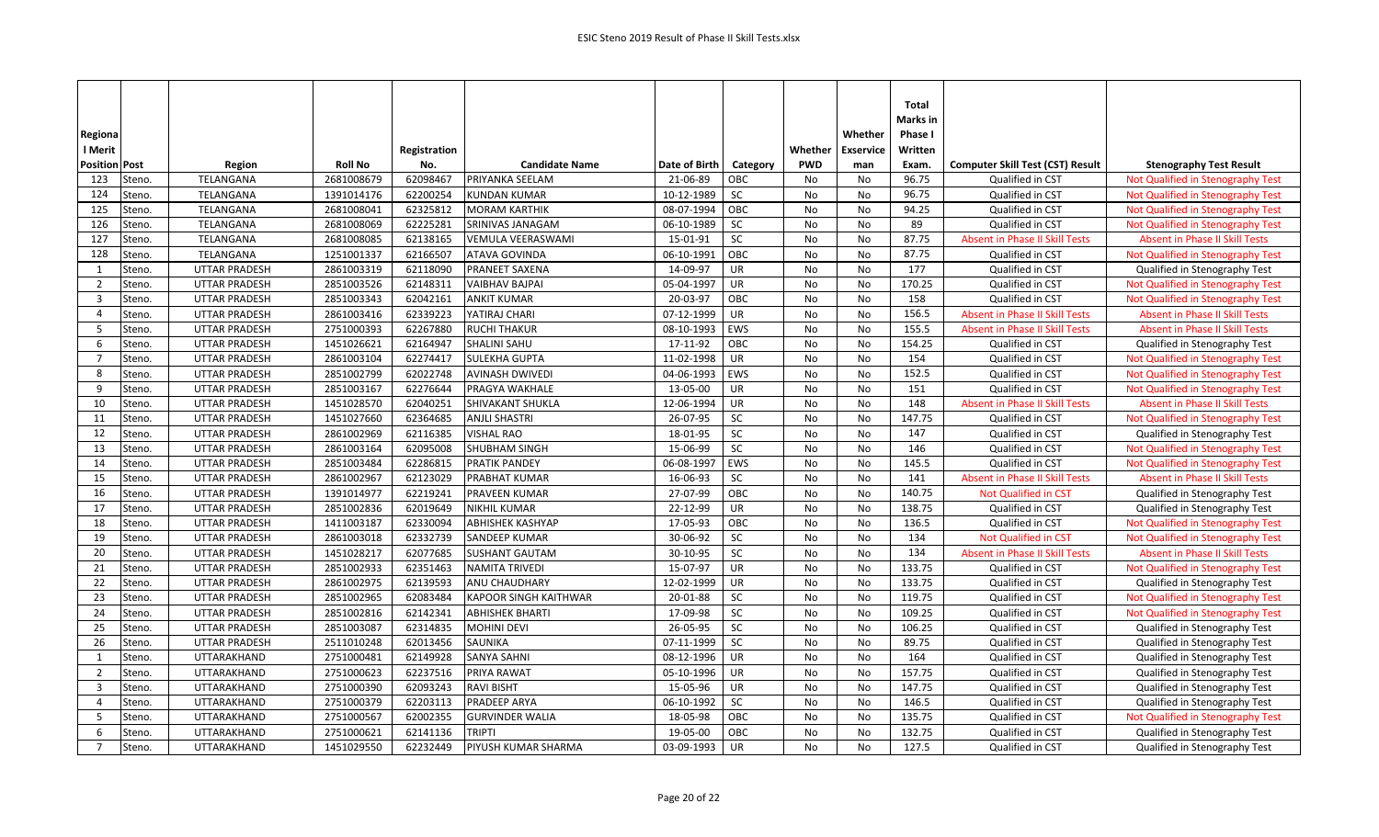| Regiona                          |                  |                                   |                          |                      |                                          |                          |           |            | Whether          | Total<br>Marks in<br>Phase I |                                         |                                                                        |
|----------------------------------|------------------|-----------------------------------|--------------------------|----------------------|------------------------------------------|--------------------------|-----------|------------|------------------|------------------------------|-----------------------------------------|------------------------------------------------------------------------|
| l Merit                          |                  |                                   |                          | Registration         |                                          |                          |           | Whether    | <b>Exservice</b> | Written                      |                                         |                                                                        |
| <b>Position Post</b>             |                  | Region                            | <b>Roll No</b>           | No.                  | <b>Candidate Name</b>                    | Date of Birth            | Category  | <b>PWD</b> | man              | Exam.                        | <b>Computer Skill Test (CST) Result</b> | <b>Stenography Test Result</b>                                         |
| 123                              | Steno.           | TELANGANA                         | 2681008679               | 62098467             | PRIYANKA SEELAM                          | 21-06-89                 | OBC       | No         | No               | 96.75                        | Qualified in CST                        | Not Qualified in Stenography Test                                      |
| 124                              | Steno.           | TELANGANA                         | 1391014176               | 62200254             | <b>KUNDAN KUMAR</b>                      | 10-12-1989               | SC        | No         | No               | 96.75                        | Qualified in CST                        | Not Qualified in Stenography Test                                      |
| 125<br>126                       | Steno.           | TELANGANA<br>TELANGANA            | 2681008041<br>2681008069 | 62325812<br>62225281 | <b>MORAM KARTHIK</b><br>SRINIVAS JANAGAM | 08-07-1994<br>06-10-1989 | OBC<br>SC | No<br>No   | No<br>No         | 94.25<br>89                  | Qualified in CST<br>Qualified in CST    | Not Qualified in Stenography Test                                      |
| 127                              | Steno.           | TELANGANA                         |                          | 62138165             |                                          | 15-01-91                 | SC        | No         |                  | 87.75                        | <b>Absent in Phase II Skill Tests</b>   | Not Qualified in Stenography Test                                      |
| 128                              | Steno.           |                                   | 2681008085               |                      | VEMULA VEERASWAMI                        |                          | OBC       |            | No               | 87.75                        |                                         | Absent in Phase II Skill Tests                                         |
| 1                                | Steno.<br>Steno. | TELANGANA<br><b>UTTAR PRADESH</b> | 1251001337<br>2861003319 | 62166507<br>62118090 | ATAVA GOVINDA<br>PRANEET SAXENA          | 06-10-1991<br>14-09-97   | <b>UR</b> | No<br>No   | No<br>No         | 177                          | Qualified in CST<br>Qualified in CST    | Not Qualified in Stenography Test                                      |
|                                  | Steno.           | <b>UTTAR PRADESH</b>              | 2851003526               | 62148311             | <b>VAIBHAV BAJPAI</b>                    | 05-04-1997               | <b>UR</b> | No         | No               | 170.25                       | Qualified in CST                        | Qualified in Stenography Test                                          |
| $\overline{2}$<br>$\overline{3}$ | Steno.           | <b>UTTAR PRADESH</b>              | 2851003343               | 62042161             | <b>ANKIT KUMAR</b>                       | 20-03-97                 | OBC       | No         | No               | 158                          | Qualified in CST                        | Not Qualified in Stenography Test<br>Not Qualified in Stenography Test |
| $\overline{4}$                   | Steno.           | <b>UTTAR PRADESH</b>              | 2861003416               | 62339223             | YATIRAJ CHARI                            | 07-12-1999               | UR        | No         | No               | 156.5                        | <b>Absent in Phase II Skill Tests</b>   | <b>Absent in Phase II Skill Tests</b>                                  |
| 5                                | Steno.           | <b>UTTAR PRADESH</b>              | 2751000393               | 62267880             | <b>RUCHI THAKUR</b>                      | 08-10-1993               | EWS       | No         | No               | 155.5                        | <b>Absent in Phase II Skill Tests</b>   | <b>Absent in Phase II Skill Tests</b>                                  |
| 6                                | Steno.           | <b>UTTAR PRADESH</b>              | 1451026621               | 62164947             | <b>SHALINI SAHU</b>                      | 17-11-92                 | OBC       | No         | No               | 154.25                       | Qualified in CST                        | Qualified in Stenography Test                                          |
| 7                                | Steno.           | <b>UTTAR PRADESH</b>              | 2861003104               | 62274417             | <b>SULEKHA GUPTA</b>                     | 11-02-1998               | <b>UR</b> | No         | No               | 154                          | Qualified in CST                        | Not Qualified in Stenography Test                                      |
| 8                                | Steno.           | <b>UTTAR PRADESH</b>              | 2851002799               | 62022748             | <b>AVINASH DWIVEDI</b>                   | 04-06-1993               | EWS       | No         | No               | 152.5                        | Qualified in CST                        | Not Qualified in Stenography Test                                      |
| 9                                | Steno.           | <b>UTTAR PRADESH</b>              | 2851003167               | 62276644             | <b>PRAGYA WAKHALE</b>                    | 13-05-00                 | UR        | No         | No               | 151                          | Qualified in CST                        | Not Qualified in Stenography Test                                      |
| 10                               | Steno.           | <b>UTTAR PRADESH</b>              | 1451028570               | 62040251             | SHIVAKANT SHUKLA                         | 12-06-1994               | UR        | No         | No               | 148                          | Absent in Phase II Skill Tests          | <b>Absent in Phase II Skill Tests</b>                                  |
| 11                               | Steno.           | <b>UTTAR PRADESH</b>              | 1451027660               | 62364685             | <b>ANJLI SHASTRI</b>                     | 26-07-95                 | SC        | No         | <b>No</b>        | 147.75                       | Qualified in CST                        | Not Qualified in Stenography Test                                      |
| 12                               | Steno.           | <b>UTTAR PRADESH</b>              | 2861002969               | 62116385             | <b>VISHAL RAO</b>                        | 18-01-95                 | SC        | No         | No               | 147                          | Qualified in CST                        | Qualified in Stenography Test                                          |
| 13                               | Steno.           | <b>UTTAR PRADESH</b>              | 2861003164               | 62095008             | SHUBHAM SINGH                            | 15-06-99                 | SC        | No         | No               | 146                          | Qualified in CST                        | Not Qualified in Stenography Test                                      |
| 14                               | Steno.           | <b>UTTAR PRADESH</b>              | 2851003484               | 62286815             | <b>PRATIK PANDEY</b>                     | 06-08-1997               | EWS       | No         | No               | 145.5                        | Qualified in CST                        | Not Qualified in Stenography Test                                      |
| 15                               | Steno.           | UTTAR PRADESH                     | 2861002967               | 62123029             | PRABHAT KUMAR                            | 16-06-93                 | SC        | No         | No               | 141                          | <b>Absent in Phase II Skill Tests</b>   | Absent in Phase II Skill Tests                                         |
| 16                               | Steno.           | <b>UTTAR PRADESH</b>              | 1391014977               | 62219241             | PRAVEEN KUMAR                            | 27-07-99                 | OBC       | No         | No               | 140.75                       | Not Qualified in CST                    | Qualified in Stenography Test                                          |
| 17                               | Steno.           | <b>UTTAR PRADESH</b>              | 2851002836               | 62019649             | <b>NIKHIL KUMAR</b>                      | 22-12-99                 | UR        | No         | <b>No</b>        | 138.75                       | Qualified in CST                        | Qualified in Stenography Test                                          |
| 18                               | Steno.           | <b>UTTAR PRADESH</b>              | 1411003187               | 62330094             | <b>ABHISHEK KASHYAP</b>                  | 17-05-93                 | OBC       | No         | No               | 136.5                        | Qualified in CST                        | Not Qualified in Stenography Test                                      |
| 19                               | Steno.           | <b>UTTAR PRADESH</b>              | 2861003018               | 62332739             | <b>SANDEEP KUMAR</b>                     | 30-06-92                 | SC        | No         | No               | 134                          | Not Qualified in CST                    | Not Qualified in Stenography Test                                      |
| 20                               | Steno.           | <b>UTTAR PRADESH</b>              | 1451028217               | 62077685             | <b>SUSHANT GAUTAM</b>                    | 30-10-95                 | SC        | No         | No               | 134                          | <b>Absent in Phase II Skill Tests</b>   | <b>Absent in Phase II Skill Tests</b>                                  |
| 21                               | Steno.           | <b>UTTAR PRADESH</b>              | 2851002933               | 62351463             | <b>NAMITA TRIVEDI</b>                    | 15-07-97                 | UR        | No         | No               | 133.75                       | Qualified in CST                        | Not Qualified in Stenography Test                                      |
| 22                               | Steno.           | <b>UTTAR PRADESH</b>              | 2861002975               | 62139593             | <b>ANU CHAUDHARY</b>                     | 12-02-1999               | UR        | <b>No</b>  | <b>No</b>        | 133.75                       | Qualified in CST                        | Qualified in Stenography Test                                          |
| 23                               | Steno.           | <b>UTTAR PRADESH</b>              | 2851002965               | 62083484             | <b>KAPOOR SINGH KAITHWAR</b>             | 20-01-88                 | SC        | No         | No               | 119.75                       | Qualified in CST                        | Not Qualified in Stenography Test                                      |
| 24                               | Steno.           | <b>UTTAR PRADESH</b>              | 2851002816               | 62142341             | <b>ABHISHEK BHARTI</b>                   | 17-09-98                 | SC        | No         | No               | 109.25                       | Qualified in CST                        | Not Qualified in Stenography Test                                      |
| 25                               | Steno.           | <b>UTTAR PRADESH</b>              | 2851003087               | 62314835             | <b>MOHINI DEVI</b>                       | 26-05-95                 | SC        | No         | No               | 106.25                       | Qualified in CST                        | Qualified in Stenography Test                                          |
| 26                               | Steno.           | <b>UTTAR PRADESH</b>              | 2511010248               | 62013456             | <b>SAUNIKA</b>                           | 07-11-1999               | SC        | No         | No               | 89.75                        | Qualified in CST                        | Qualified in Stenography Test                                          |
| 1                                | Steno.           | UTTARAKHAND                       | 2751000481               | 62149928             | <b>SANYA SAHNI</b>                       | 08-12-1996               | <b>UR</b> | No         | No               | 164                          | Qualified in CST                        | Qualified in Stenography Test                                          |
| 2                                | Steno.           | UTTARAKHAND                       | 2751000623               | 62237516             | PRIYA RAWAT                              | 05-10-1996               | <b>UR</b> | No         | No               | 157.75                       | Qualified in CST                        | Qualified in Stenography Test                                          |
| $\overline{3}$                   | Steno.           | UTTARAKHAND                       | 2751000390               | 62093243             | <b>RAVI BISHT</b>                        | 15-05-96                 | UR        | <b>No</b>  | No               | 147.75                       | Qualified in CST                        | Qualified in Stenography Test                                          |
| 4                                | Steno.           | UTTARAKHAND                       | 2751000379               | 62203113             | PRADEEP ARYA                             | 06-10-1992               | SC        | No         | No               | 146.5                        | Qualified in CST                        | Qualified in Stenography Test                                          |
| -5                               | Steno.           | UTTARAKHAND                       | 2751000567               | 62002355             | <b>GURVINDER WALIA</b>                   | 18-05-98                 | OBC       | No         | <b>No</b>        | 135.75                       | Qualified in CST                        | Not Qualified in Stenography Test                                      |
| 6                                | Steno.           | UTTARAKHAND                       | 2751000621               | 62141136             | <b>TRIPTI</b>                            | 19-05-00                 | OBC       | <b>No</b>  | N <sub>o</sub>   | 132.75                       | Qualified in CST                        | Qualified in Stenography Test                                          |
| $\overline{7}$                   | Steno.           | UTTARAKHAND                       | 1451029550               | 62232449             | PIYUSH KUMAR SHARMA                      | 03-09-1993               | <b>UR</b> | No         | No               | 127.5                        | Qualified in CST                        | Qualified in Stenography Test                                          |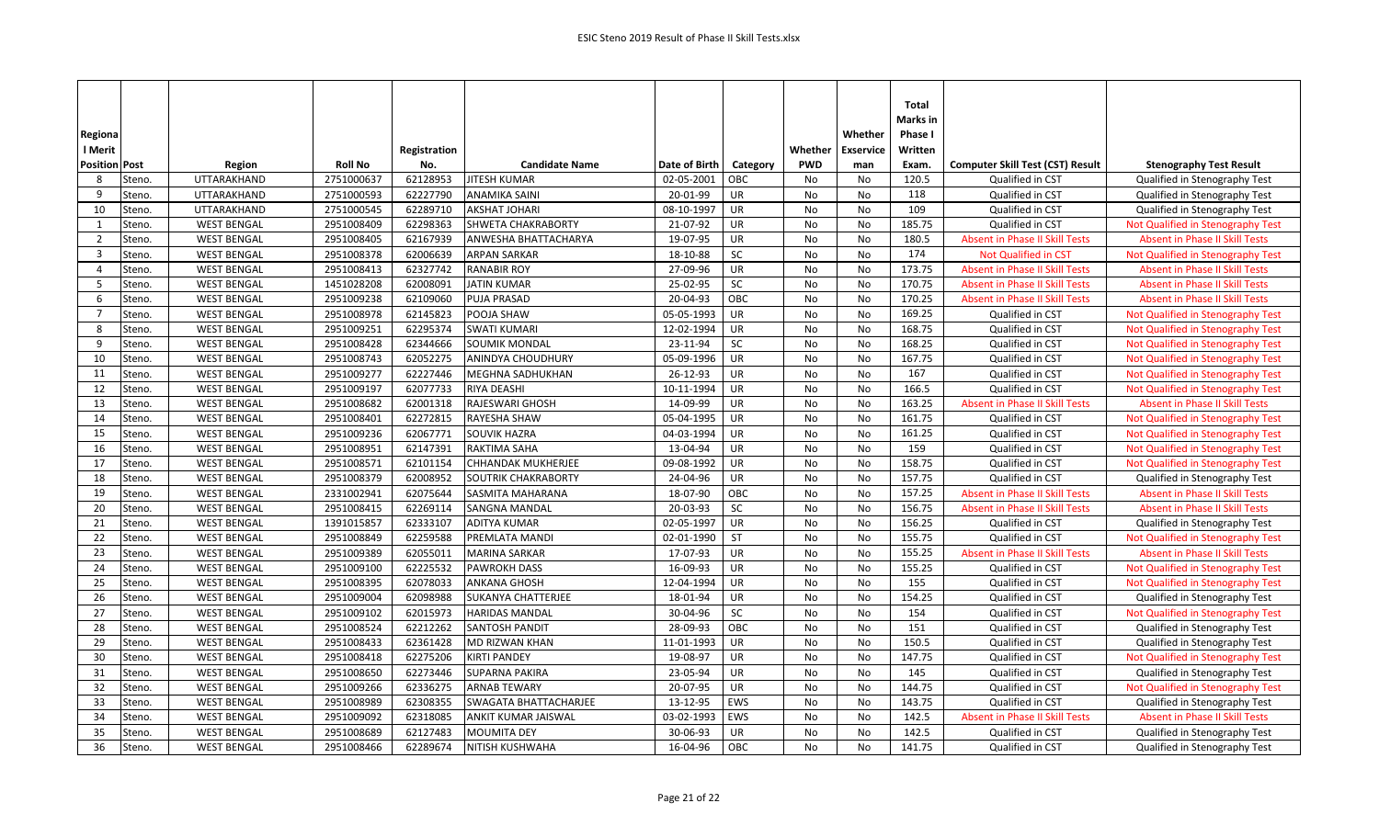| Regiona<br>l Merit   |        |                    |                | Registration |                           |               |           | Whether    | Whether<br><b>Exservice</b> | <b>Total</b><br>Marks in<br>Phase I<br>Written |                                         |                                       |
|----------------------|--------|--------------------|----------------|--------------|---------------------------|---------------|-----------|------------|-----------------------------|------------------------------------------------|-----------------------------------------|---------------------------------------|
| <b>Position Post</b> |        | Region             | <b>Roll No</b> | No.          | <b>Candidate Name</b>     | Date of Birth | Category  | <b>PWD</b> | man                         | Exam.                                          | <b>Computer Skill Test (CST) Result</b> | <b>Stenography Test Result</b>        |
| 8                    | Steno. | UTTARAKHAND        | 2751000637     | 62128953     | <b>JITESH KUMAR</b>       | 02-05-2001    | OBC       | No         | No                          | 120.5                                          | Qualified in CST                        | Qualified in Stenography Test         |
| 9                    | Steno. | UTTARAKHAND        | 2751000593     | 62227790     | <b>ANAMIKA SAINI</b>      | 20-01-99      | UR        | No         | No                          | 118                                            | Qualified in CST                        | Qualified in Stenography Test         |
| 10                   | Steno. | UTTARAKHAND        | 2751000545     | 62289710     | <b>AKSHAT JOHARI</b>      | 08-10-1997    | <b>UR</b> | No         | No                          | 109                                            | Qualified in CST                        | Qualified in Stenography Test         |
| 1                    | Steno. | <b>WEST BENGAL</b> | 2951008409     | 62298363     | SHWETA CHAKRABORTY        | 21-07-92      | UR        | No         | No                          | 185.75                                         | Qualified in CST                        | Not Qualified in Stenography Test     |
| $\overline{2}$       | Steno. | <b>WEST BENGAL</b> | 2951008405     | 62167939     | ANWESHA BHATTACHARYA      | 19-07-95      | UR        | <b>No</b>  | <b>No</b>                   | 180.5                                          | <b>Absent in Phase II Skill Tests</b>   | <b>Absent in Phase II Skill Tests</b> |
| $\overline{3}$       | Steno. | <b>WEST BENGAL</b> | 2951008378     | 62006639     | <b>ARPAN SARKAR</b>       | 18-10-88      | SC        | No         | No                          | 174                                            | Not Qualified in CST                    | Not Qualified in Stenography Test     |
| $\overline{4}$       | Steno. | <b>WEST BENGAL</b> | 2951008413     | 62327742     | <b>RANABIR ROY</b>        | 27-09-96      | UR        | No         | No                          | 173.75                                         | <b>Absent in Phase II Skill Tests</b>   | <b>Absent in Phase II Skill Tests</b> |
| -5                   | Steno. | <b>WEST BENGAL</b> | 1451028208     | 62008091     | <b>JATIN KUMAR</b>        | 25-02-95      | SC        | No         | No                          | 170.75                                         | <b>Absent in Phase II Skill Tests</b>   | <b>Absent in Phase II Skill Tests</b> |
| 6                    | Steno. | <b>WEST BENGAL</b> | 2951009238     | 62109060     | <b>PUJA PRASAD</b>        | 20-04-93      | OBC       | <b>No</b>  | No                          | 170.25                                         | <b>Absent in Phase II Skill Tests</b>   | <b>Absent in Phase II Skill Tests</b> |
| $\overline{7}$       | Steno. | <b>WEST BENGAL</b> | 2951008978     | 62145823     | POOJA SHAW                | 05-05-1993    | <b>UR</b> | No         | No                          | 169.25                                         | Qualified in CST                        | Not Qualified in Stenography Test     |
| 8                    | Steno. | <b>WEST BENGAL</b> | 2951009251     | 62295374     | <b>SWATI KUMARI</b>       | 12-02-1994    | UR        | No         | No                          | 168.75                                         | Qualified in CST                        | Not Qualified in Stenography Test     |
| 9                    | Steno. | <b>WEST BENGAL</b> | 2951008428     | 62344666     | <b>SOUMIK MONDAL</b>      | 23-11-94      | SC        | <b>No</b>  | <b>No</b>                   | 168.25                                         | Qualified in CST                        | Not Qualified in Stenography Test     |
| 10                   | Steno. | <b>WEST BENGAL</b> | 2951008743     | 62052275     | ANINDYA CHOUDHURY         | 05-09-1996    | <b>UR</b> | No         | No                          | 167.75                                         | Qualified in CST                        | Not Qualified in Stenography Test     |
| 11                   | Steno. | <b>WEST BENGAL</b> | 2951009277     | 62227446     | <b>MEGHNA SADHUKHAN</b>   | 26-12-93      | <b>UR</b> | No         | No                          | 167                                            | Qualified in CST                        | Not Qualified in Stenography Test     |
| 12                   | Steno. | <b>WEST BENGAL</b> | 2951009197     | 62077733     | <b>RIYA DEASHI</b>        | 10-11-1994    | <b>UR</b> | No         | No                          | 166.5                                          | Qualified in CST                        | Not Qualified in Stenography Test     |
| 13                   | Steno. | <b>WEST BENGAL</b> | 2951008682     | 62001318     | RAJESWARI GHOSH           | 14-09-99      | <b>UR</b> | No         | No                          | 163.25                                         | <b>Absent in Phase II Skill Tests</b>   | <b>Absent in Phase II Skill Tests</b> |
| 14                   | Steno. | <b>WEST BENGAL</b> | 2951008401     | 62272815     | <b>RAYESHA SHAW</b>       | 05-04-1995    | <b>UR</b> | <b>No</b>  | <b>No</b>                   | 161.75                                         | Qualified in CST                        | Not Qualified in Stenography Test     |
| 15                   | Steno. | <b>WEST BENGAL</b> | 2951009236     | 62067771     | <b>SOUVIK HAZRA</b>       | 04-03-1994    | <b>UR</b> | No         | No                          | 161.25                                         | Qualified in CST                        | Not Qualified in Stenography Test     |
| 16                   | Steno. | <b>WEST BENGAL</b> | 2951008951     | 62147391     | <b>RAKTIMA SAHA</b>       | 13-04-94      | UR        | No         | No                          | 159                                            | Qualified in CST                        | Not Qualified in Stenography Test     |
| 17                   | Steno. | <b>WEST BENGAL</b> | 2951008571     | 62101154     | <b>CHHANDAK MUKHERJEE</b> | 09-08-1992    | UR        | No         | No                          | 158.75                                         | Qualified in CST                        | Not Qualified in Stenography Test     |
| 18                   | Steno. | <b>WEST BENGAL</b> | 2951008379     | 62008952     | SOUTRIK CHAKRABORTY       | 24-04-96      | <b>UR</b> | No         | No                          | 157.75                                         | Qualified in CST                        | Qualified in Stenography Test         |
| 19                   | Steno. | <b>WEST BENGAL</b> | 2331002941     | 62075644     | <b>SASMITA MAHARANA</b>   | 18-07-90      | OBC       | <b>No</b>  | <b>No</b>                   | 157.25                                         | <b>Absent in Phase II Skill Tests</b>   | <b>Absent in Phase II Skill Tests</b> |
| 20                   | Steno. | <b>WEST BENGAL</b> | 2951008415     | 62269114     | <b>SANGNA MANDAL</b>      | 20-03-93      | SC        | No         | No                          | 156.75                                         | <b>Absent in Phase II Skill Tests</b>   | <b>Absent in Phase II Skill Tests</b> |
| 21                   | Steno. | <b>WEST BENGAL</b> | 1391015857     | 62333107     | <b>ADITYA KUMAR</b>       | 02-05-1997    | <b>UR</b> | No         | No                          | 156.25                                         | Qualified in CST                        | Qualified in Stenography Test         |
| 22                   | Steno. | <b>WEST BENGAL</b> | 2951008849     | 62259588     | PREMLATA MANDI            | 02-01-1990    | ST        | No         | No                          | 155.75                                         | Qualified in CST                        | Not Qualified in Stenography Test     |
| 23                   | Steno. | <b>WEST BENGAL</b> | 2951009389     | 62055011     | <b>MARINA SARKAR</b>      | 17-07-93      | UR        | No         | No                          | 155.25                                         | <b>Absent in Phase II Skill Tests</b>   | <b>Absent in Phase II Skill Tests</b> |
| 24                   | Steno. | <b>WEST BENGAL</b> | 2951009100     | 62225532     | <b>PAWROKH DASS</b>       | 16-09-93      | UR        | No         | No                          | 155.25                                         | Qualified in CST                        | Not Qualified in Stenography Test     |
| 25                   | Steno. | <b>WEST BENGAL</b> | 2951008395     | 62078033     | <b>ANKANA GHOSH</b>       | 12-04-1994    | <b>UR</b> | No         | No                          | 155                                            | Qualified in CST                        | Not Qualified in Stenography Test     |
| 26                   | Steno. | <b>WEST BENGAL</b> | 2951009004     | 62098988     | SUKANYA CHATTERJEE        | 18-01-94      | UR        | <b>No</b>  | No                          | 154.25                                         | Qualified in CST                        | Qualified in Stenography Test         |
| 27                   | Steno. | <b>WEST BENGAL</b> | 2951009102     | 62015973     | <b>HARIDAS MANDAL</b>     | 30-04-96      | SC        | No         | No                          | 154                                            | Qualified in CST                        | Not Qualified in Stenography Test     |
| 28                   | Steno. | <b>WEST BENGAL</b> | 2951008524     | 62212262     | <b>SANTOSH PANDIT</b>     | 28-09-93      | OBC       | No         | No                          | 151                                            | Qualified in CST                        | Qualified in Stenography Test         |
| 29                   | Steno. | <b>WEST BENGAL</b> | 2951008433     | 62361428     | MD RIZWAN KHAN            | 11-01-1993    | <b>UR</b> | No         | <b>No</b>                   | 150.5                                          | Qualified in CST                        | Qualified in Stenography Test         |
| 30                   | Steno. | <b>WEST BENGAL</b> | 2951008418     | 62275206     | <b>KIRTI PANDEY</b>       | 19-08-97      | UR        | No         | No                          | 147.75                                         | Qualified in CST                        | Not Qualified in Stenography Test     |
| 31                   | Steno. | <b>WEST BENGAL</b> | 2951008650     | 62273446     | <b>SUPARNA PAKIRA</b>     | 23-05-94      | <b>UR</b> | No         | No                          | 145                                            | Qualified in CST                        | Qualified in Stenography Test         |
| 32                   | Steno. | <b>WEST BENGAL</b> | 2951009266     | 62336275     | <b>ARNAB TEWARY</b>       | 20-07-95      | <b>UR</b> | No         | No                          | 144.75                                         | Qualified in CST                        | Not Qualified in Stenography Test     |
| 33                   | Steno. | <b>WEST BENGAL</b> | 2951008989     | 62308355     | SWAGATA BHATTACHARJEE     | 13-12-95      | EWS       | No         | No                          | 143.75                                         | Qualified in CST                        | Qualified in Stenography Test         |
| 34                   | Steno. | <b>WEST BENGAL</b> | 2951009092     | 62318085     | ANKIT KUMAR JAISWAL       | 03-02-1993    | EWS       | No         | No                          | 142.5                                          | <b>Absent in Phase II Skill Tests</b>   | <b>Absent in Phase II Skill Tests</b> |
| 35                   | Steno. | <b>WEST BENGAL</b> | 2951008689     | 62127483     | <b>MOUMITA DEY</b>        | 30-06-93      | <b>UR</b> | <b>No</b>  | No                          | 142.5                                          | Qualified in CST                        | Qualified in Stenography Test         |
| 36                   | Steno. | <b>WEST BENGAL</b> | 2951008466     | 62289674     | NITISH KUSHWAHA           | 16-04-96      | OBC       | <b>No</b>  | No                          | 141.75                                         | Qualified in CST                        | Qualified in Stenography Test         |